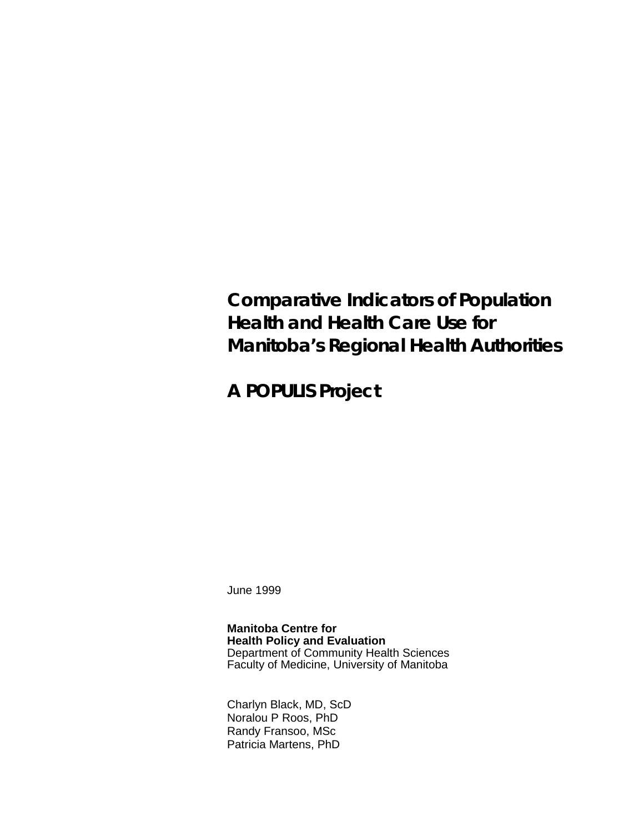# **Comparative Indicators of Population Health and Health Care Use for Manitoba's Regional Health Authorities**

**A POPULIS Project**

June 1999

**Manitoba Centre for Health Policy and Evaluation** Department of Community Health Sciences Faculty of Medicine, University of Manitoba

Charlyn Black, MD, ScD Noralou P Roos, PhD Randy Fransoo, MSc Patricia Martens, PhD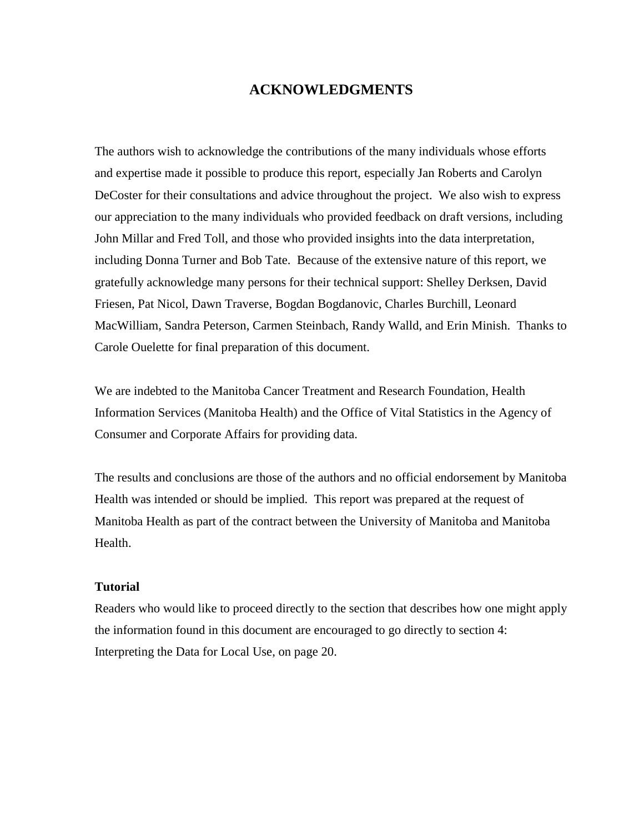## **ACKNOWLEDGMENTS**

The authors wish to acknowledge the contributions of the many individuals whose efforts and expertise made it possible to produce this report, especially Jan Roberts and Carolyn DeCoster for their consultations and advice throughout the project. We also wish to express our appreciation to the many individuals who provided feedback on draft versions, including John Millar and Fred Toll, and those who provided insights into the data interpretation, including Donna Turner and Bob Tate. Because of the extensive nature of this report, we gratefully acknowledge many persons for their technical support: Shelley Derksen, David Friesen, Pat Nicol, Dawn Traverse, Bogdan Bogdanovic, Charles Burchill, Leonard MacWilliam, Sandra Peterson, Carmen Steinbach, Randy Walld, and Erin Minish. Thanks to Carole Ouelette for final preparation of this document.

We are indebted to the Manitoba Cancer Treatment and Research Foundation, Health Information Services (Manitoba Health) and the Office of Vital Statistics in the Agency of Consumer and Corporate Affairs for providing data.

The results and conclusions are those of the authors and no official endorsement by Manitoba Health was intended or should be implied. This report was prepared at the request of Manitoba Health as part of the contract between the University of Manitoba and Manitoba Health.

#### **Tutorial**

Readers who would like to proceed directly to the section that describes how one might apply the information found in this document are encouraged to go directly to section 4: Interpreting the Data for Local Use, on page 20.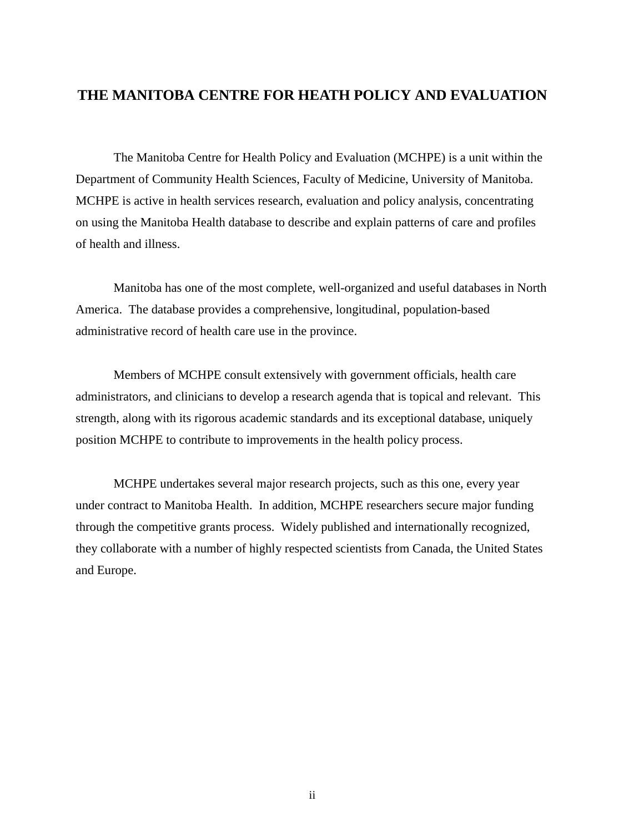## **THE MANITOBA CENTRE FOR HEATH POLICY AND EVALUATION**

The Manitoba Centre for Health Policy and Evaluation (MCHPE) is a unit within the Department of Community Health Sciences, Faculty of Medicine, University of Manitoba. MCHPE is active in health services research, evaluation and policy analysis, concentrating on using the Manitoba Health database to describe and explain patterns of care and profiles of health and illness.

Manitoba has one of the most complete, well-organized and useful databases in North America. The database provides a comprehensive, longitudinal, population-based administrative record of health care use in the province.

Members of MCHPE consult extensively with government officials, health care administrators, and clinicians to develop a research agenda that is topical and relevant. This strength, along with its rigorous academic standards and its exceptional database, uniquely position MCHPE to contribute to improvements in the health policy process.

MCHPE undertakes several major research projects, such as this one, every year under contract to Manitoba Health. In addition, MCHPE researchers secure major funding through the competitive grants process. Widely published and internationally recognized, they collaborate with a number of highly respected scientists from Canada, the United States and Europe.

ii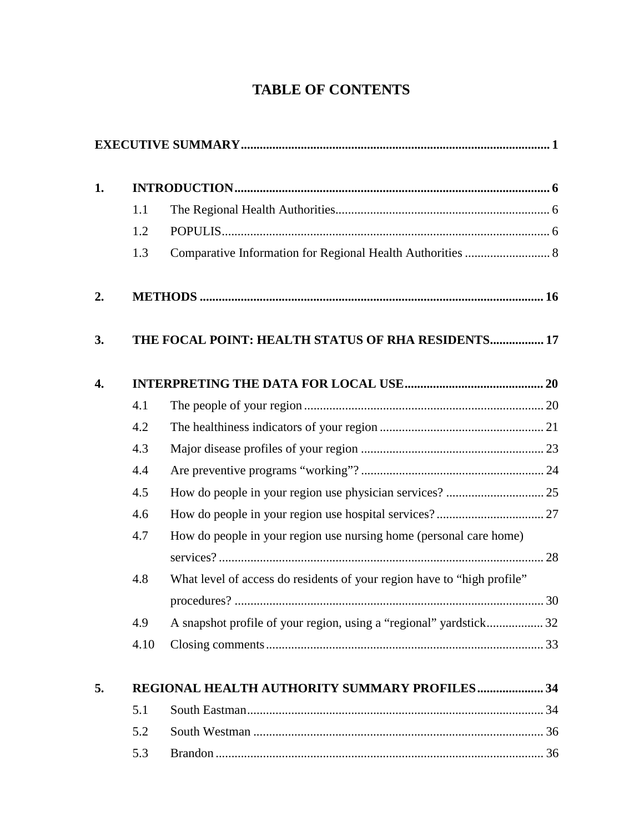## **TABLE OF CONTENTS**

| 1. |      |                                                                         |  |
|----|------|-------------------------------------------------------------------------|--|
|    | 1.1  |                                                                         |  |
|    | 1.2  |                                                                         |  |
|    | 1.3  | Comparative Information for Regional Health Authorities  8              |  |
| 2. |      |                                                                         |  |
| 3. |      | THE FOCAL POINT: HEALTH STATUS OF RHA RESIDENTS 17                      |  |
| 4. |      |                                                                         |  |
|    | 4.1  |                                                                         |  |
|    | 4.2  |                                                                         |  |
|    | 4.3  |                                                                         |  |
|    | 4.4  |                                                                         |  |
|    | 4.5  |                                                                         |  |
|    | 4.6  |                                                                         |  |
|    | 4.7  | How do people in your region use nursing home (personal care home)      |  |
|    |      |                                                                         |  |
|    | 4.8  | What level of access do residents of your region have to "high profile" |  |
|    |      |                                                                         |  |
|    | 4.9  | A snapshot profile of your region, using a "regional" yardstick 32      |  |
|    | 4.10 |                                                                         |  |
| 5. |      | REGIONAL HEALTH AUTHORITY SUMMARY PROFILES 34                           |  |
|    | 5.1  |                                                                         |  |
|    | 5.2  |                                                                         |  |
|    | 5.3  |                                                                         |  |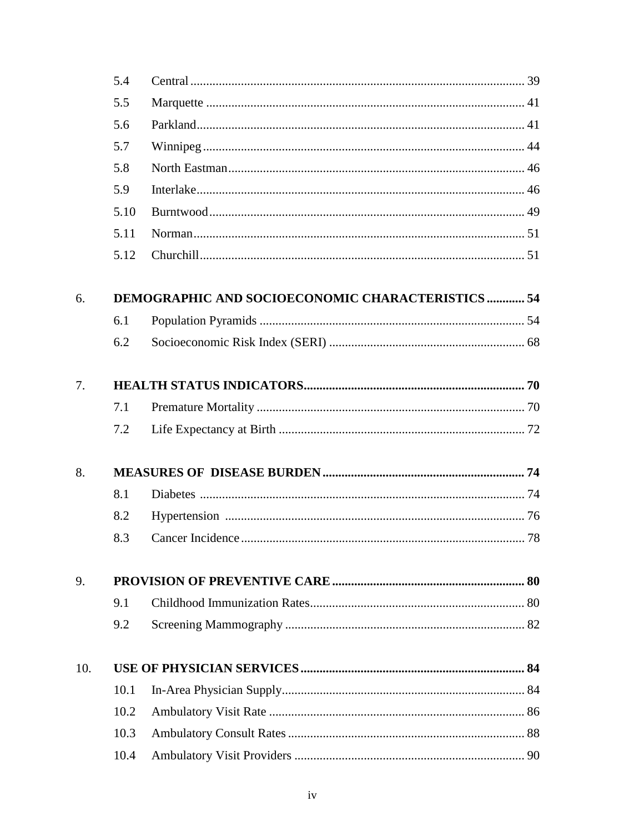|     | 5.4  |                                                          |  |
|-----|------|----------------------------------------------------------|--|
|     | 5.5  |                                                          |  |
|     | 5.6  |                                                          |  |
|     | 5.7  |                                                          |  |
|     | 5.8  |                                                          |  |
|     | 5.9  |                                                          |  |
|     | 5.10 |                                                          |  |
|     | 5.11 |                                                          |  |
|     | 5.12 |                                                          |  |
| 6.  |      | <b>DEMOGRAPHIC AND SOCIOECONOMIC CHARACTERISTICS  54</b> |  |
|     | 6.1  |                                                          |  |
|     | 6.2  |                                                          |  |
| 7.  |      |                                                          |  |
|     | 7.1  |                                                          |  |
|     | 7.2  |                                                          |  |
| 8.  |      |                                                          |  |
|     | 8.1  |                                                          |  |
|     | 8.2  |                                                          |  |
|     | 8.3  |                                                          |  |
| 9.  |      |                                                          |  |
|     | 9.1  |                                                          |  |
|     | 9.2  |                                                          |  |
| 10. |      |                                                          |  |
|     | 10.1 |                                                          |  |
|     | 10.2 |                                                          |  |
|     | 10.3 |                                                          |  |
|     | 10.4 |                                                          |  |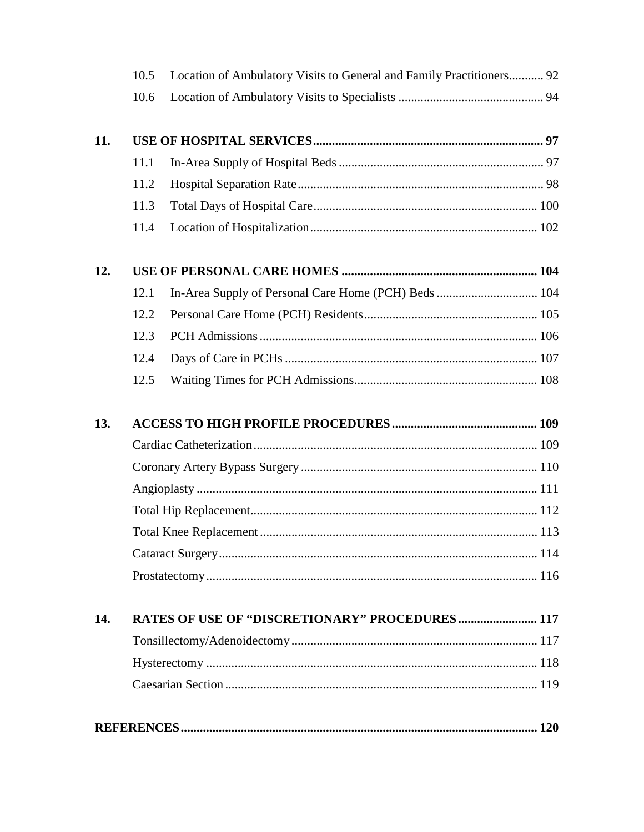|     | 10.5 | Location of Ambulatory Visits to General and Family Practitioners 92 |  |
|-----|------|----------------------------------------------------------------------|--|
|     | 10.6 |                                                                      |  |
| 11. |      |                                                                      |  |
|     | 11.1 |                                                                      |  |
|     | 11.2 |                                                                      |  |
|     | 11.3 |                                                                      |  |
|     | 11.4 |                                                                      |  |
| 12. |      |                                                                      |  |
|     | 12.1 | In-Area Supply of Personal Care Home (PCH) Beds  104                 |  |
|     | 12.2 |                                                                      |  |
|     | 12.3 |                                                                      |  |
|     | 12.4 |                                                                      |  |
|     | 12.5 |                                                                      |  |
| 13. |      |                                                                      |  |
|     |      |                                                                      |  |
|     |      |                                                                      |  |
|     |      |                                                                      |  |
|     |      |                                                                      |  |
|     |      |                                                                      |  |
|     |      |                                                                      |  |
|     |      |                                                                      |  |
| 14. |      | <b>RATES OF USE OF "DISCRETIONARY" PROCEDURES  117</b>               |  |
|     |      |                                                                      |  |
|     |      |                                                                      |  |
|     |      |                                                                      |  |
|     |      |                                                                      |  |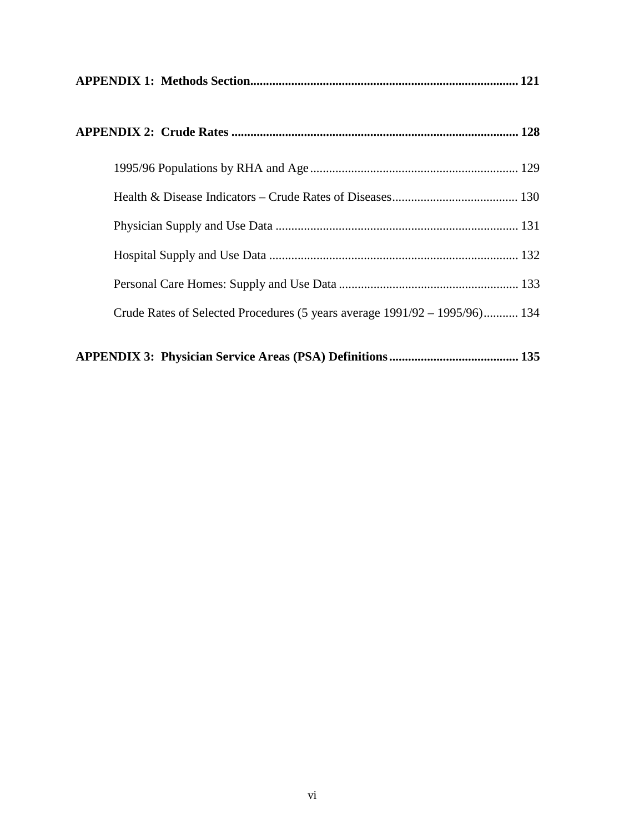| Crude Rates of Selected Procedures (5 years average $1991/92 - 1995/96$ ) 134 |  |
|-------------------------------------------------------------------------------|--|
|                                                                               |  |

|--|--|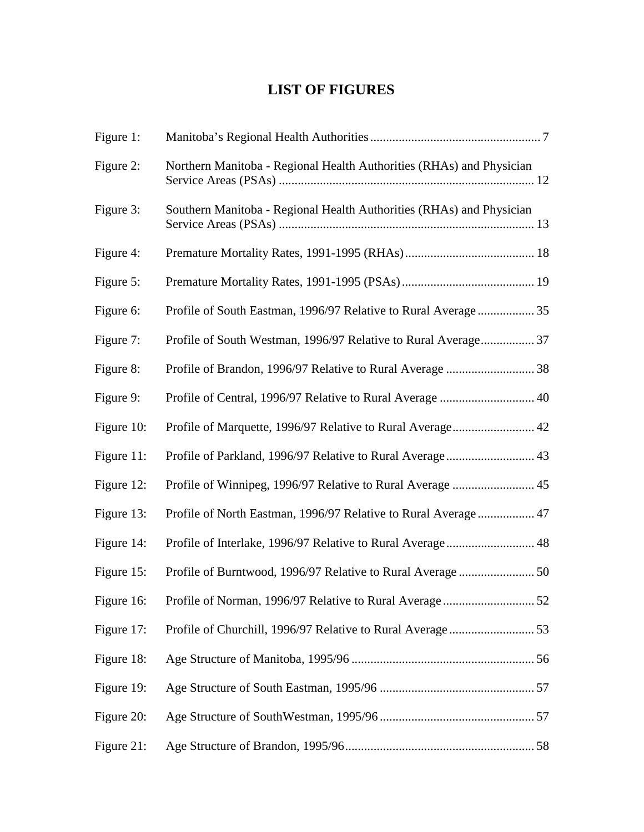## **LIST OF FIGURES**

| Figure 1:  |                                                                      |  |
|------------|----------------------------------------------------------------------|--|
| Figure 2:  | Northern Manitoba - Regional Health Authorities (RHAs) and Physician |  |
| Figure 3:  | Southern Manitoba - Regional Health Authorities (RHAs) and Physician |  |
| Figure 4:  |                                                                      |  |
| Figure 5:  |                                                                      |  |
| Figure 6:  | Profile of South Eastman, 1996/97 Relative to Rural Average 35       |  |
| Figure 7:  | Profile of South Westman, 1996/97 Relative to Rural Average 37       |  |
| Figure 8:  |                                                                      |  |
| Figure 9:  | Profile of Central, 1996/97 Relative to Rural Average  40            |  |
| Figure 10: | Profile of Marquette, 1996/97 Relative to Rural Average 42           |  |
| Figure 11: | Profile of Parkland, 1996/97 Relative to Rural Average 43            |  |
| Figure 12: | Profile of Winnipeg, 1996/97 Relative to Rural Average  45           |  |
| Figure 13: | Profile of North Eastman, 1996/97 Relative to Rural Average 47       |  |
| Figure 14: | Profile of Interlake, 1996/97 Relative to Rural Average 48           |  |
| Figure 15: | Profile of Burntwood, 1996/97 Relative to Rural Average  50          |  |
|            |                                                                      |  |
| Figure 17: |                                                                      |  |
| Figure 18: |                                                                      |  |
| Figure 19: |                                                                      |  |
| Figure 20: |                                                                      |  |
| Figure 21: |                                                                      |  |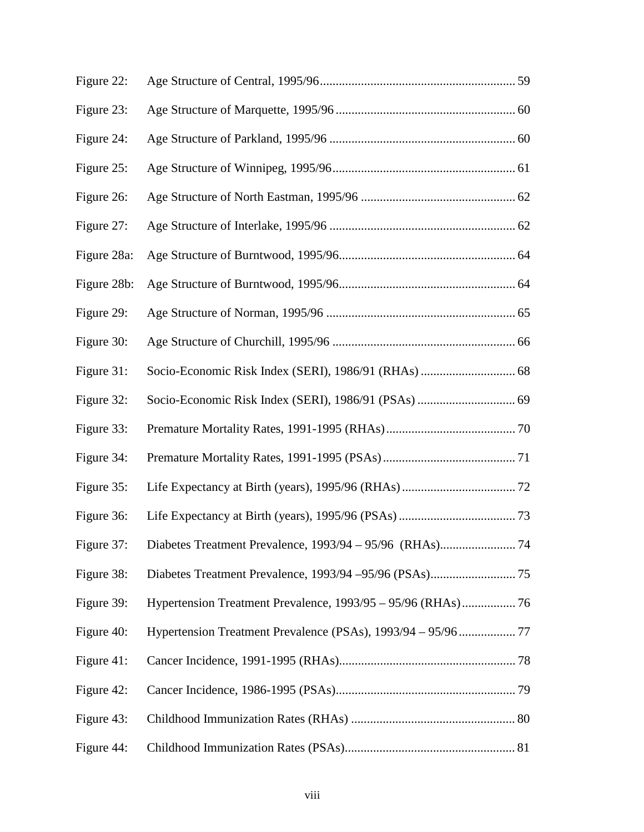| Figure 22:  |  |
|-------------|--|
| Figure 23:  |  |
| Figure 24:  |  |
| Figure 25:  |  |
| Figure 26:  |  |
| Figure 27:  |  |
| Figure 28a: |  |
| Figure 28b: |  |
| Figure 29:  |  |
| Figure 30:  |  |
| Figure 31:  |  |
| Figure 32:  |  |
| Figure 33:  |  |
| Figure 34:  |  |
| Figure 35:  |  |
| Figure 36:  |  |
| Figure 37:  |  |
| Figure 38:  |  |
| Figure 39:  |  |
| Figure 40:  |  |
| Figure 41:  |  |
| Figure 42:  |  |
| Figure 43:  |  |
| Figure 44:  |  |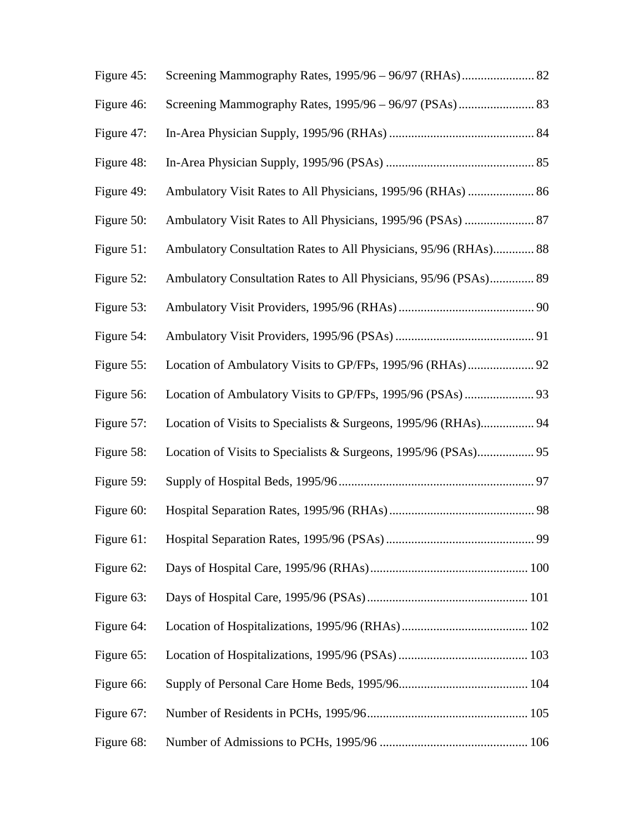| Figure 45: | Screening Mammography Rates, 1995/96 - 96/97 (RHAs) 82           |  |
|------------|------------------------------------------------------------------|--|
| Figure 46: |                                                                  |  |
| Figure 47: |                                                                  |  |
| Figure 48: |                                                                  |  |
| Figure 49: | Ambulatory Visit Rates to All Physicians, 1995/96 (RHAs)  86     |  |
| Figure 50: | Ambulatory Visit Rates to All Physicians, 1995/96 (PSAs)  87     |  |
| Figure 51: | Ambulatory Consultation Rates to All Physicians, 95/96 (RHAs) 88 |  |
| Figure 52: | Ambulatory Consultation Rates to All Physicians, 95/96 (PSAs) 89 |  |
| Figure 53: |                                                                  |  |
| Figure 54: |                                                                  |  |
| Figure 55: | Location of Ambulatory Visits to GP/FPs, 1995/96 (RHAs) 92       |  |
| Figure 56: |                                                                  |  |
| Figure 57: | Location of Visits to Specialists & Surgeons, 1995/96 (RHAs) 94  |  |
| Figure 58: |                                                                  |  |
| Figure 59: |                                                                  |  |
| Figure 60: |                                                                  |  |
|            |                                                                  |  |
| Figure 62: |                                                                  |  |
| Figure 63: |                                                                  |  |
| Figure 64: |                                                                  |  |
| Figure 65: |                                                                  |  |
| Figure 66: |                                                                  |  |
| Figure 67: |                                                                  |  |
| Figure 68: |                                                                  |  |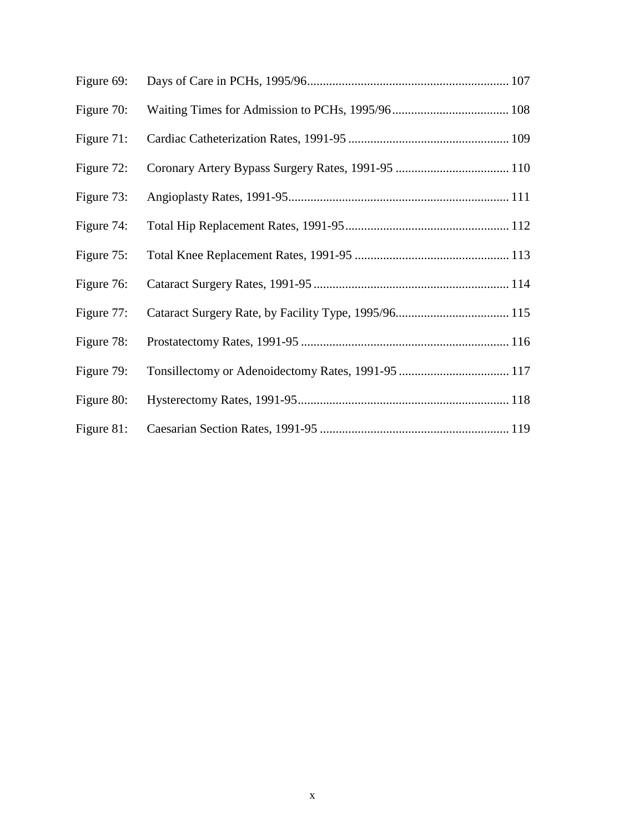| Figure 69: |  |
|------------|--|
| Figure 70: |  |
| Figure 71: |  |
| Figure 72: |  |
| Figure 73: |  |
| Figure 74: |  |
| Figure 75: |  |
| Figure 76: |  |
| Figure 77: |  |
| Figure 78: |  |
| Figure 79: |  |
| Figure 80: |  |
| Figure 81: |  |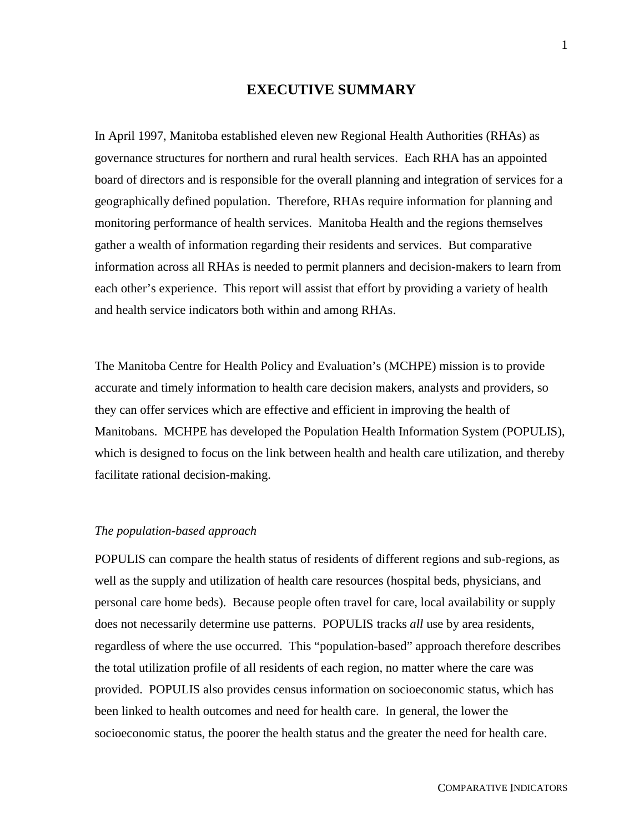#### **EXECUTIVE SUMMARY**

In April 1997, Manitoba established eleven new Regional Health Authorities (RHAs) as governance structures for northern and rural health services. Each RHA has an appointed board of directors and is responsible for the overall planning and integration of services for a geographically defined population. Therefore, RHAs require information for planning and monitoring performance of health services. Manitoba Health and the regions themselves gather a wealth of information regarding their residents and services. But comparative information across all RHAs is needed to permit planners and decision-makers to learn from each other's experience. This report will assist that effort by providing a variety of health and health service indicators both within and among RHAs.

The Manitoba Centre for Health Policy and Evaluation's (MCHPE) mission is to provide accurate and timely information to health care decision makers, analysts and providers, so they can offer services which are effective and efficient in improving the health of Manitobans. MCHPE has developed the Population Health Information System (POPULIS), which is designed to focus on the link between health and health care utilization, and thereby facilitate rational decision-making.

#### *The population-based approach*

POPULIS can compare the health status of residents of different regions and sub-regions, as well as the supply and utilization of health care resources (hospital beds, physicians, and personal care home beds). Because people often travel for care, local availability or supply does not necessarily determine use patterns. POPULIS tracks *all* use by area residents, regardless of where the use occurred. This "population-based" approach therefore describes the total utilization profile of all residents of each region, no matter where the care was provided. POPULIS also provides census information on socioeconomic status, which has been linked to health outcomes and need for health care. In general, the lower the socioeconomic status, the poorer the health status and the greater the need for health care.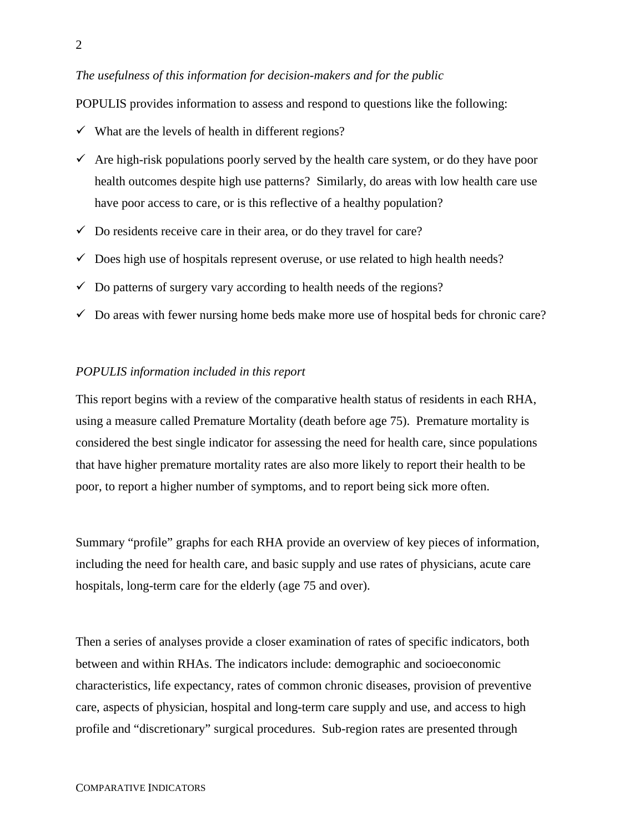#### *The usefulness of this information for decision-makers and for the public*

POPULIS provides information to assess and respond to questions like the following:

- $\checkmark$  What are the levels of health in different regions?
- $\checkmark$  Are high-risk populations poorly served by the health care system, or do they have poor health outcomes despite high use patterns? Similarly, do areas with low health care use have poor access to care, or is this reflective of a healthy population?
- $\checkmark$  Do residents receive care in their area, or do they travel for care?
- $\checkmark$  Does high use of hospitals represent overuse, or use related to high health needs?
- $\checkmark$  Do patterns of surgery vary according to health needs of the regions?
- $\checkmark$  Do areas with fewer nursing home beds make more use of hospital beds for chronic care?

#### *POPULIS information included in this report*

This report begins with a review of the comparative health status of residents in each RHA, using a measure called Premature Mortality (death before age 75). Premature mortality is considered the best single indicator for assessing the need for health care, since populations that have higher premature mortality rates are also more likely to report their health to be poor, to report a higher number of symptoms, and to report being sick more often.

Summary "profile" graphs for each RHA provide an overview of key pieces of information, including the need for health care, and basic supply and use rates of physicians, acute care hospitals, long-term care for the elderly (age 75 and over).

Then a series of analyses provide a closer examination of rates of specific indicators, both between and within RHAs. The indicators include: demographic and socioeconomic characteristics, life expectancy, rates of common chronic diseases, provision of preventive care, aspects of physician, hospital and long-term care supply and use, and access to high profile and "discretionary" surgical procedures. Sub-region rates are presented through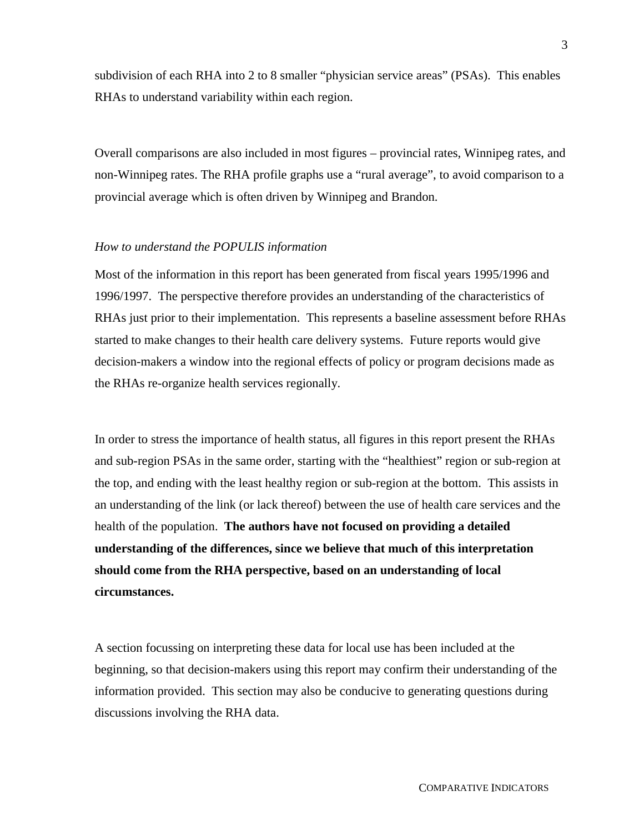subdivision of each RHA into 2 to 8 smaller "physician service areas" (PSAs). This enables RHAs to understand variability within each region.

Overall comparisons are also included in most figures – provincial rates, Winnipeg rates, and non-Winnipeg rates. The RHA profile graphs use a "rural average", to avoid comparison to a provincial average which is often driven by Winnipeg and Brandon.

#### *How to understand the POPULIS information*

Most of the information in this report has been generated from fiscal years 1995/1996 and 1996/1997. The perspective therefore provides an understanding of the characteristics of RHAs just prior to their implementation. This represents a baseline assessment before RHAs started to make changes to their health care delivery systems. Future reports would give decision-makers a window into the regional effects of policy or program decisions made as the RHAs re-organize health services regionally.

In order to stress the importance of health status, all figures in this report present the RHAs and sub-region PSAs in the same order, starting with the "healthiest" region or sub-region at the top, and ending with the least healthy region or sub-region at the bottom. This assists in an understanding of the link (or lack thereof) between the use of health care services and the health of the population. **The authors have not focused on providing a detailed understanding of the differences, since we believe that much of this interpretation should come from the RHA perspective, based on an understanding of local circumstances.**

A section focussing on interpreting these data for local use has been included at the beginning, so that decision-makers using this report may confirm their understanding of the information provided. This section may also be conducive to generating questions during discussions involving the RHA data.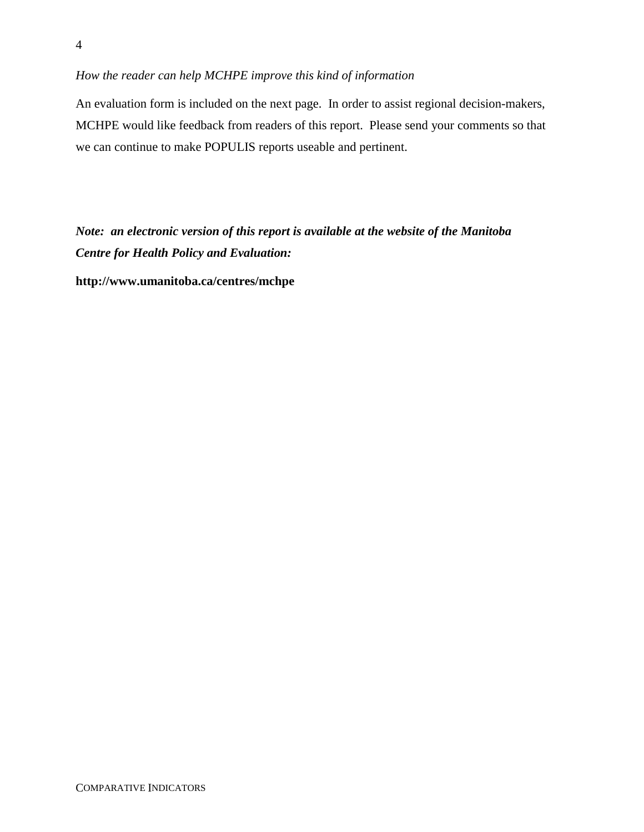### *How the reader can help MCHPE improve this kind of information*

An evaluation form is included on the next page. In order to assist regional decision-makers, MCHPE would like feedback from readers of this report. Please send your comments so that we can continue to make POPULIS reports useable and pertinent.

*Note: an electronic version of this report is available at the website of the Manitoba Centre for Health Policy and Evaluation:*

**http://www.umanitoba.ca/centres/mchpe**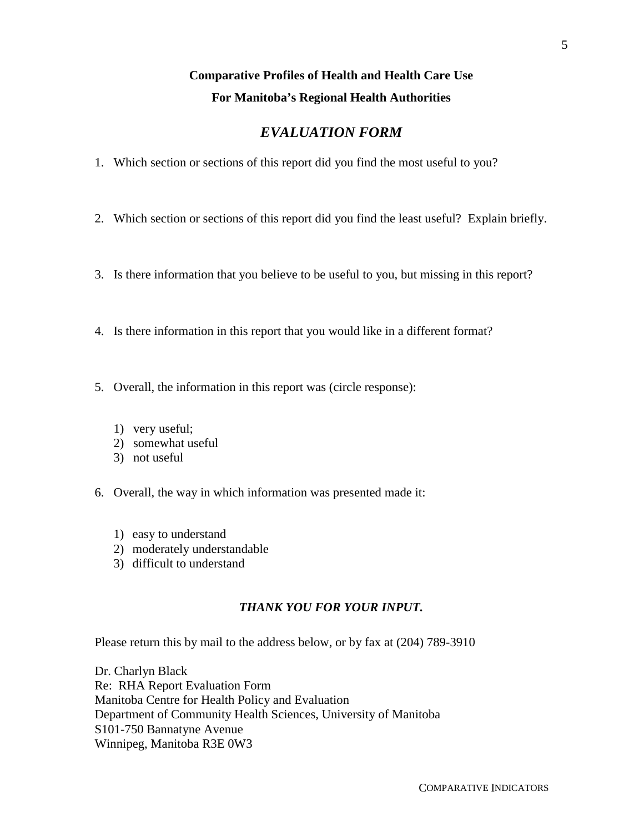## **Comparative Profiles of Health and Health Care Use For Manitoba's Regional Health Authorities**

## *EVALUATION FORM*

- 1. Which section or sections of this report did you find the most useful to you?
- 2. Which section or sections of this report did you find the least useful? Explain briefly.
- 3. Is there information that you believe to be useful to you, but missing in this report?
- 4. Is there information in this report that you would like in a different format?
- 5. Overall, the information in this report was (circle response):
	- 1) very useful;
	- 2) somewhat useful
	- 3) not useful
- 6. Overall, the way in which information was presented made it:
	- 1) easy to understand
	- 2) moderately understandable
	- 3) difficult to understand

### *THANK YOU FOR YOUR INPUT.*

Please return this by mail to the address below, or by fax at (204) 789-3910

Dr. Charlyn Black Re: RHA Report Evaluation Form Manitoba Centre for Health Policy and Evaluation Department of Community Health Sciences, University of Manitoba S101-750 Bannatyne Avenue Winnipeg, Manitoba R3E 0W3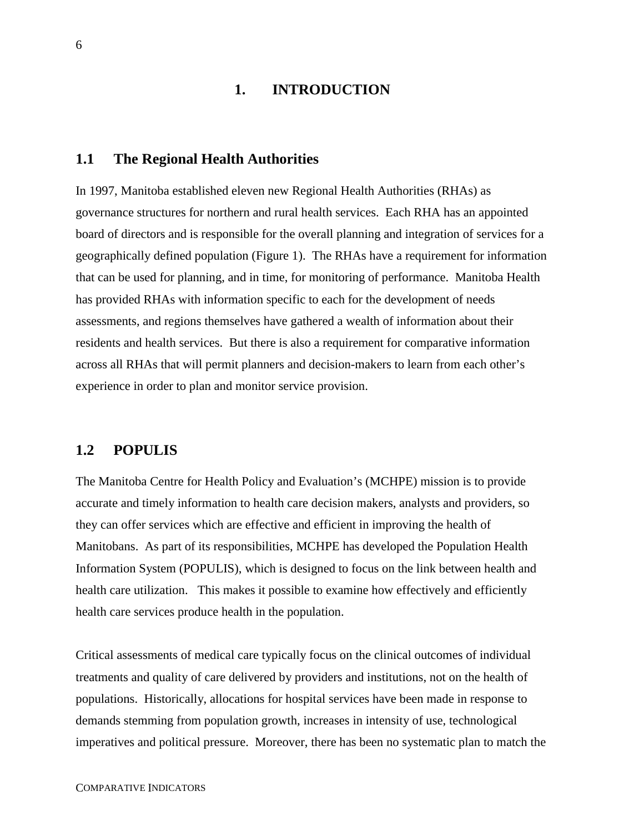## **1. INTRODUCTION**

#### **1.1 The Regional Health Authorities**

In 1997, Manitoba established eleven new Regional Health Authorities (RHAs) as governance structures for northern and rural health services. Each RHA has an appointed board of directors and is responsible for the overall planning and integration of services for a geographically defined population (Figure 1). The RHAs have a requirement for information that can be used for planning, and in time, for monitoring of performance. Manitoba Health has provided RHAs with information specific to each for the development of needs assessments, and regions themselves have gathered a wealth of information about their residents and health services. But there is also a requirement for comparative information across all RHAs that will permit planners and decision-makers to learn from each other's experience in order to plan and monitor service provision.

## **1.2 POPULIS**

The Manitoba Centre for Health Policy and Evaluation's (MCHPE) mission is to provide accurate and timely information to health care decision makers, analysts and providers, so they can offer services which are effective and efficient in improving the health of Manitobans. As part of its responsibilities, MCHPE has developed the Population Health Information System (POPULIS), which is designed to focus on the link between health and health care utilization. This makes it possible to examine how effectively and efficiently health care services produce health in the population.

Critical assessments of medical care typically focus on the clinical outcomes of individual treatments and quality of care delivered by providers and institutions, not on the health of populations. Historically, allocations for hospital services have been made in response to demands stemming from population growth, increases in intensity of use, technological imperatives and political pressure. Moreover, there has been no systematic plan to match the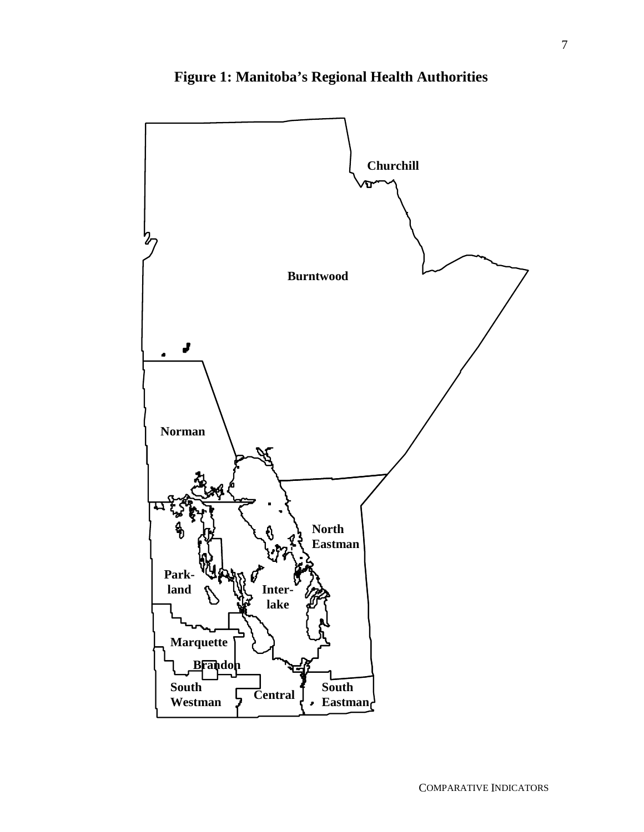

**Figure 1: Manitoba's Regional Health Authorities**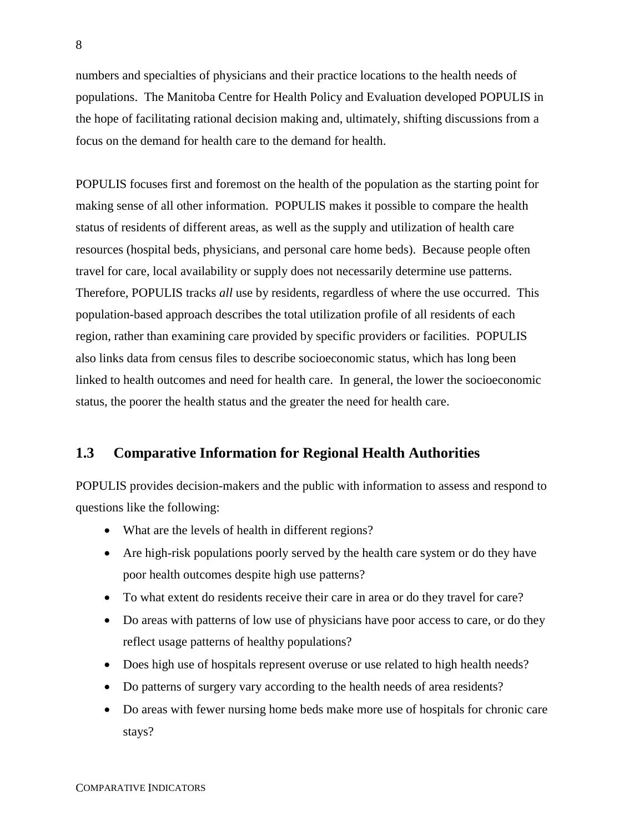numbers and specialties of physicians and their practice locations to the health needs of populations. The Manitoba Centre for Health Policy and Evaluation developed POPULIS in the hope of facilitating rational decision making and, ultimately, shifting discussions from a focus on the demand for health care to the demand for health.

POPULIS focuses first and foremost on the health of the population as the starting point for making sense of all other information. POPULIS makes it possible to compare the health status of residents of different areas, as well as the supply and utilization of health care resources (hospital beds, physicians, and personal care home beds). Because people often travel for care, local availability or supply does not necessarily determine use patterns. Therefore, POPULIS tracks *all* use by residents, regardless of where the use occurred. This population-based approach describes the total utilization profile of all residents of each region, rather than examining care provided by specific providers or facilities. POPULIS also links data from census files to describe socioeconomic status, which has long been linked to health outcomes and need for health care. In general, the lower the socioeconomic status, the poorer the health status and the greater the need for health care.

## **1.3 Comparative Information for Regional Health Authorities**

POPULIS provides decision-makers and the public with information to assess and respond to questions like the following:

- What are the levels of health in different regions?
- Are high-risk populations poorly served by the health care system or do they have poor health outcomes despite high use patterns?
- To what extent do residents receive their care in area or do they travel for care?
- Do areas with patterns of low use of physicians have poor access to care, or do they reflect usage patterns of healthy populations?
- Does high use of hospitals represent overuse or use related to high health needs?
- Do patterns of surgery vary according to the health needs of area residents?
- Do areas with fewer nursing home beds make more use of hospitals for chronic care stays?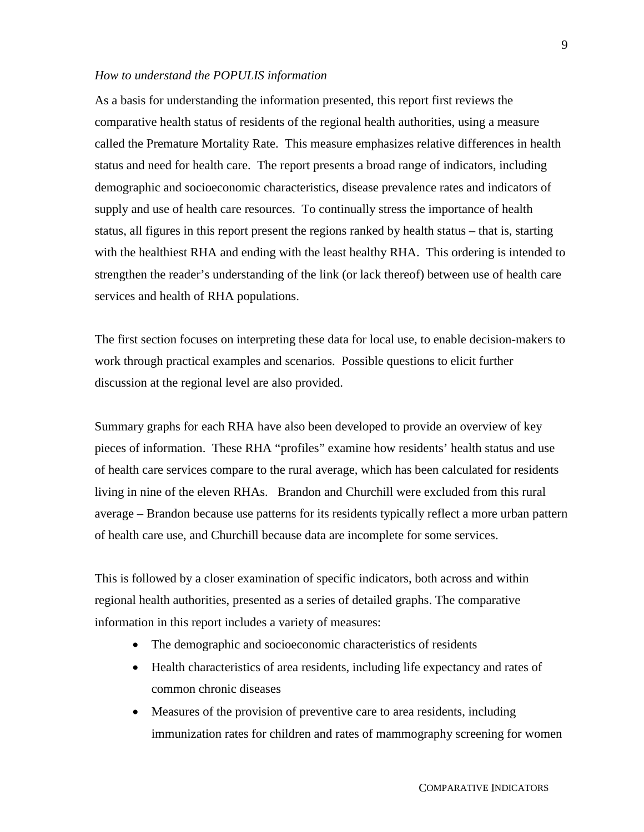#### *How to understand the POPULIS information*

As a basis for understanding the information presented, this report first reviews the comparative health status of residents of the regional health authorities, using a measure called the Premature Mortality Rate. This measure emphasizes relative differences in health status and need for health care. The report presents a broad range of indicators, including demographic and socioeconomic characteristics, disease prevalence rates and indicators of supply and use of health care resources. To continually stress the importance of health status, all figures in this report present the regions ranked by health status – that is, starting with the healthiest RHA and ending with the least healthy RHA. This ordering is intended to strengthen the reader's understanding of the link (or lack thereof) between use of health care services and health of RHA populations.

The first section focuses on interpreting these data for local use, to enable decision-makers to work through practical examples and scenarios. Possible questions to elicit further discussion at the regional level are also provided.

Summary graphs for each RHA have also been developed to provide an overview of key pieces of information. These RHA "profiles" examine how residents' health status and use of health care services compare to the rural average, which has been calculated for residents living in nine of the eleven RHAs. Brandon and Churchill were excluded from this rural average – Brandon because use patterns for its residents typically reflect a more urban pattern of health care use, and Churchill because data are incomplete for some services.

This is followed by a closer examination of specific indicators, both across and within regional health authorities, presented as a series of detailed graphs. The comparative information in this report includes a variety of measures:

- The demographic and socioeconomic characteristics of residents
- Health characteristics of area residents, including life expectancy and rates of common chronic diseases
- $\bullet$  Measures of the provision of preventive care to area residents, including immunization rates for children and rates of mammography screening for women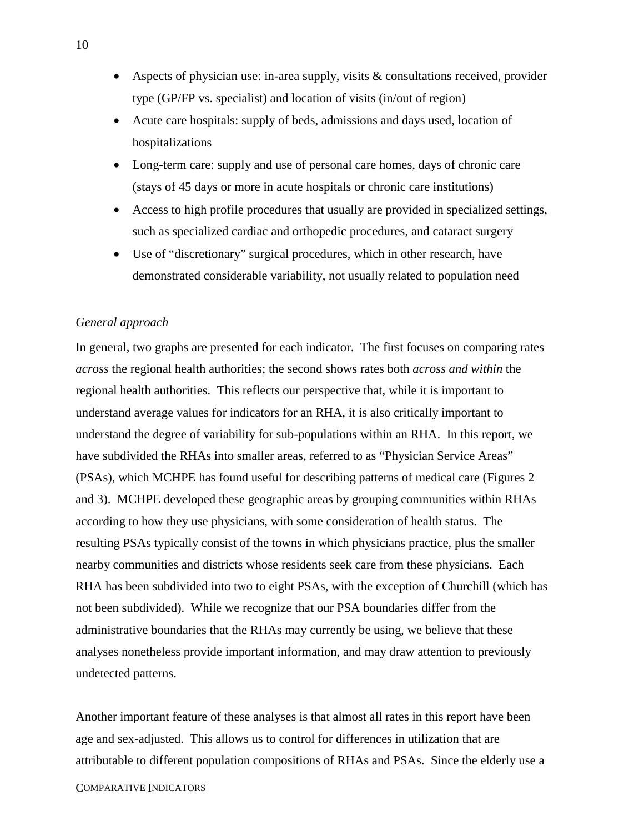- Aspects of physician use: in-area supply, visits & consultations received, provider type (GP/FP vs. specialist) and location of visits (in/out of region)
- Acute care hospitals: supply of beds, admissions and days used, location of hospitalizations
- Long-term care: supply and use of personal care homes, days of chronic care (stays of 45 days or more in acute hospitals or chronic care institutions)
- Access to high profile procedures that usually are provided in specialized settings, such as specialized cardiac and orthopedic procedures, and cataract surgery
- Use of "discretionary" surgical procedures, which in other research, have demonstrated considerable variability, not usually related to population need

#### *General approach*

In general, two graphs are presented for each indicator. The first focuses on comparing rates *across* the regional health authorities; the second shows rates both *across and within* the regional health authorities. This reflects our perspective that, while it is important to understand average values for indicators for an RHA, it is also critically important to understand the degree of variability for sub-populations within an RHA. In this report, we have subdivided the RHAs into smaller areas, referred to as "Physician Service Areas" (PSAs), which MCHPE has found useful for describing patterns of medical care (Figures 2 and 3). MCHPE developed these geographic areas by grouping communities within RHAs according to how they use physicians, with some consideration of health status. The resulting PSAs typically consist of the towns in which physicians practice, plus the smaller nearby communities and districts whose residents seek care from these physicians. Each RHA has been subdivided into two to eight PSAs, with the exception of Churchill (which has not been subdivided). While we recognize that our PSA boundaries differ from the administrative boundaries that the RHAs may currently be using, we believe that these analyses nonetheless provide important information, and may draw attention to previously undetected patterns.

Another important feature of these analyses is that almost all rates in this report have been age and sex-adjusted. This allows us to control for differences in utilization that are attributable to different population compositions of RHAs and PSAs. Since the elderly use a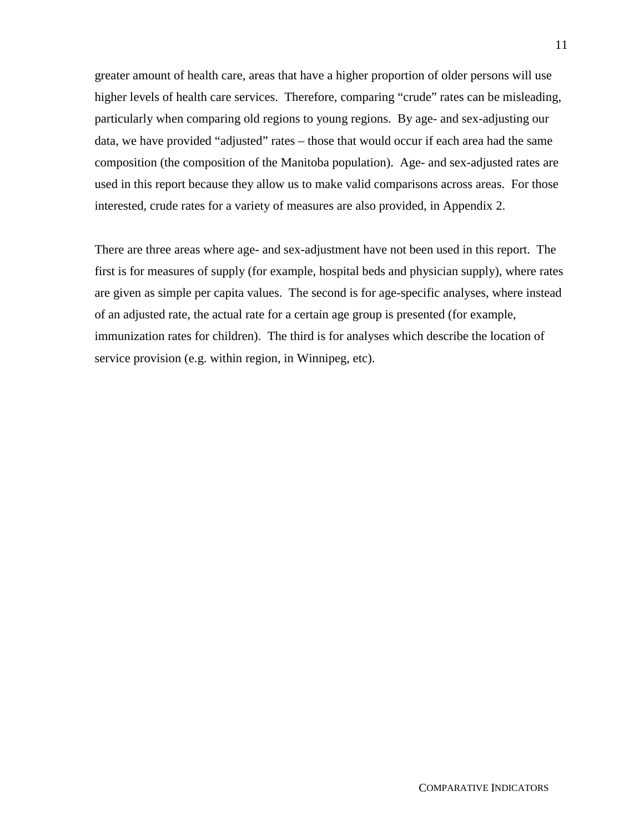greater amount of health care, areas that have a higher proportion of older persons will use higher levels of health care services. Therefore, comparing "crude" rates can be misleading, particularly when comparing old regions to young regions. By age- and sex-adjusting our data, we have provided "adjusted" rates – those that would occur if each area had the same composition (the composition of the Manitoba population). Age- and sex-adjusted rates are used in this report because they allow us to make valid comparisons across areas. For those interested, crude rates for a variety of measures are also provided, in Appendix 2.

There are three areas where age- and sex-adjustment have not been used in this report. The first is for measures of supply (for example, hospital beds and physician supply), where rates are given as simple per capita values. The second is for age-specific analyses, where instead of an adjusted rate, the actual rate for a certain age group is presented (for example, immunization rates for children). The third is for analyses which describe the location of service provision (e.g. within region, in Winnipeg, etc).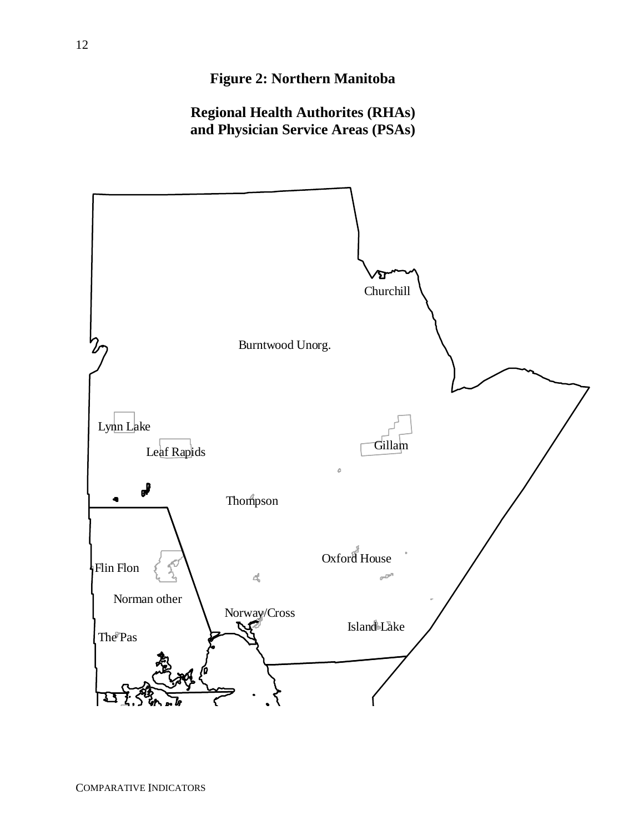## **Figure 2: Northern Manitoba**

**Regional Health Authorites (RHAs) and Physician Service Areas (PSAs)**

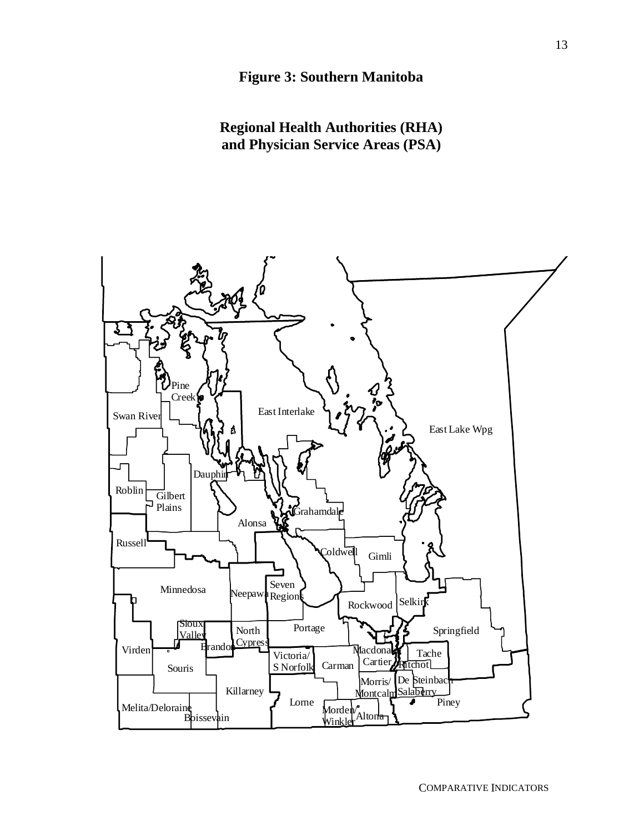**Regional Health Authorities (RHA) and Physician Service Areas (PSA)**



COMPARATIVE INDICATORS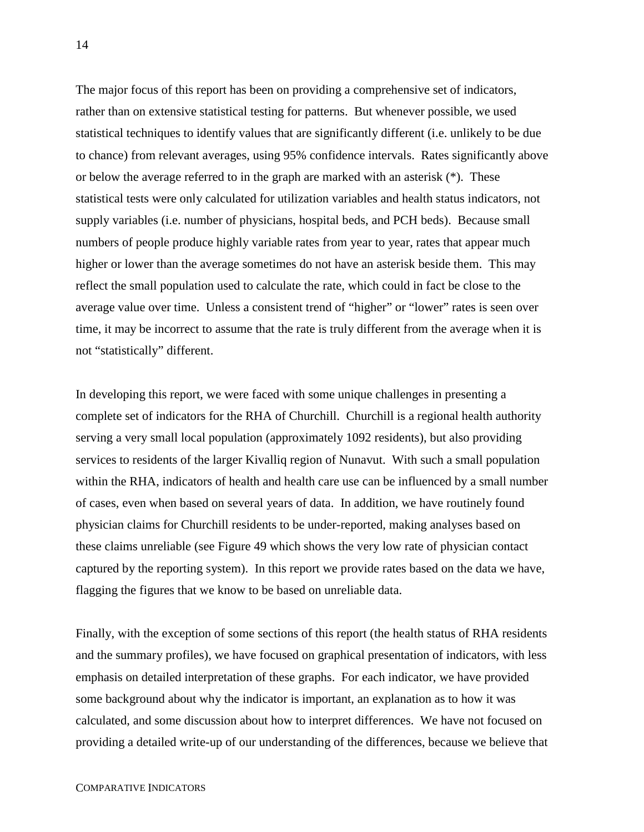The major focus of this report has been on providing a comprehensive set of indicators, rather than on extensive statistical testing for patterns. But whenever possible, we used statistical techniques to identify values that are significantly different (i.e. unlikely to be due to chance) from relevant averages, using 95% confidence intervals. Rates significantly above or below the average referred to in the graph are marked with an asterisk (\*). These statistical tests were only calculated for utilization variables and health status indicators, not supply variables (i.e. number of physicians, hospital beds, and PCH beds). Because small numbers of people produce highly variable rates from year to year, rates that appear much higher or lower than the average sometimes do not have an asterisk beside them. This may reflect the small population used to calculate the rate, which could in fact be close to the average value over time. Unless a consistent trend of "higher" or "lower" rates is seen over time, it may be incorrect to assume that the rate is truly different from the average when it is not "statistically" different.

In developing this report, we were faced with some unique challenges in presenting a complete set of indicators for the RHA of Churchill. Churchill is a regional health authority serving a very small local population (approximately 1092 residents), but also providing services to residents of the larger Kivalliq region of Nunavut. With such a small population within the RHA, indicators of health and health care use can be influenced by a small number of cases, even when based on several years of data. In addition, we have routinely found physician claims for Churchill residents to be under-reported, making analyses based on these claims unreliable (see Figure 49 which shows the very low rate of physician contact captured by the reporting system). In this report we provide rates based on the data we have, flagging the figures that we know to be based on unreliable data.

Finally, with the exception of some sections of this report (the health status of RHA residents and the summary profiles), we have focused on graphical presentation of indicators, with less emphasis on detailed interpretation of these graphs. For each indicator, we have provided some background about why the indicator is important, an explanation as to how it was calculated, and some discussion about how to interpret differences. We have not focused on providing a detailed write-up of our understanding of the differences, because we believe that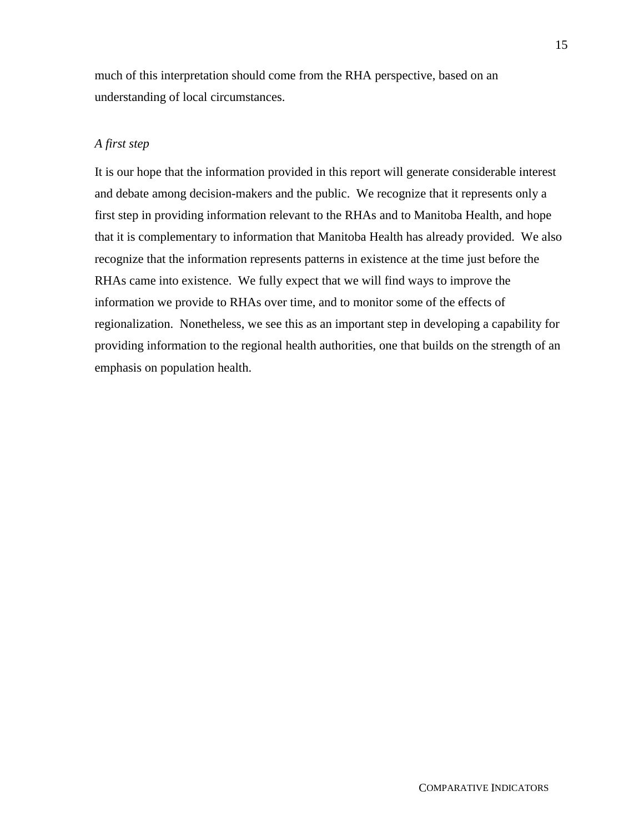much of this interpretation should come from the RHA perspective, based on an understanding of local circumstances.

## *A first step*

It is our hope that the information provided in this report will generate considerable interest and debate among decision-makers and the public. We recognize that it represents only a first step in providing information relevant to the RHAs and to Manitoba Health, and hope that it is complementary to information that Manitoba Health has already provided. We also recognize that the information represents patterns in existence at the time just before the RHAs came into existence. We fully expect that we will find ways to improve the information we provide to RHAs over time, and to monitor some of the effects of regionalization. Nonetheless, we see this as an important step in developing a capability for providing information to the regional health authorities, one that builds on the strength of an emphasis on population health.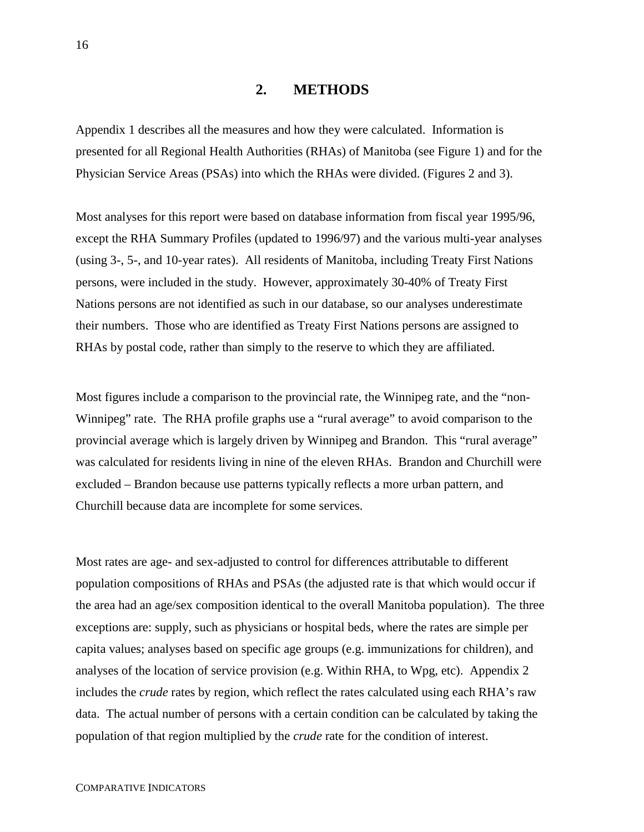#### **2. METHODS**

Appendix 1 describes all the measures and how they were calculated. Information is presented for all Regional Health Authorities (RHAs) of Manitoba (see Figure 1) and for the Physician Service Areas (PSAs) into which the RHAs were divided. (Figures 2 and 3).

Most analyses for this report were based on database information from fiscal year 1995/96, except the RHA Summary Profiles (updated to 1996/97) and the various multi-year analyses (using 3-, 5-, and 10-year rates). All residents of Manitoba, including Treaty First Nations persons, were included in the study. However, approximately 30-40% of Treaty First Nations persons are not identified as such in our database, so our analyses underestimate their numbers. Those who are identified as Treaty First Nations persons are assigned to RHAs by postal code, rather than simply to the reserve to which they are affiliated.

Most figures include a comparison to the provincial rate, the Winnipeg rate, and the "non-Winnipeg" rate. The RHA profile graphs use a "rural average" to avoid comparison to the provincial average which is largely driven by Winnipeg and Brandon. This "rural average" was calculated for residents living in nine of the eleven RHAs. Brandon and Churchill were excluded – Brandon because use patterns typically reflects a more urban pattern, and Churchill because data are incomplete for some services.

Most rates are age- and sex-adjusted to control for differences attributable to different population compositions of RHAs and PSAs (the adjusted rate is that which would occur if the area had an age/sex composition identical to the overall Manitoba population). The three exceptions are: supply, such as physicians or hospital beds, where the rates are simple per capita values; analyses based on specific age groups (e.g. immunizations for children), and analyses of the location of service provision (e.g. Within RHA, to Wpg, etc). Appendix 2 includes the *crude* rates by region, which reflect the rates calculated using each RHA's raw data. The actual number of persons with a certain condition can be calculated by taking the population of that region multiplied by the *crude* rate for the condition of interest.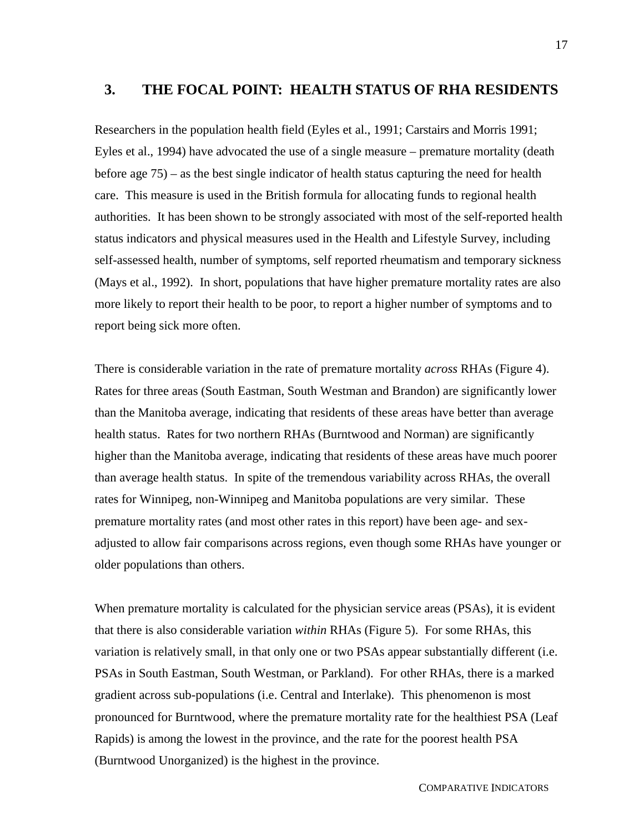## **3. THE FOCAL POINT: HEALTH STATUS OF RHA RESIDENTS**

Researchers in the population health field (Eyles et al., 1991; Carstairs and Morris 1991; Eyles et al., 1994) have advocated the use of a single measure – premature mortality (death before age 75) – as the best single indicator of health status capturing the need for health care. This measure is used in the British formula for allocating funds to regional health authorities. It has been shown to be strongly associated with most of the self-reported health status indicators and physical measures used in the Health and Lifestyle Survey, including self-assessed health, number of symptoms, self reported rheumatism and temporary sickness (Mays et al., 1992). In short, populations that have higher premature mortality rates are also more likely to report their health to be poor, to report a higher number of symptoms and to report being sick more often.

There is considerable variation in the rate of premature mortality *across* RHAs (Figure 4). Rates for three areas (South Eastman, South Westman and Brandon) are significantly lower than the Manitoba average, indicating that residents of these areas have better than average health status. Rates for two northern RHAs (Burntwood and Norman) are significantly higher than the Manitoba average, indicating that residents of these areas have much poorer than average health status. In spite of the tremendous variability across RHAs, the overall rates for Winnipeg, non-Winnipeg and Manitoba populations are very similar. These premature mortality rates (and most other rates in this report) have been age- and sexadjusted to allow fair comparisons across regions, even though some RHAs have younger or older populations than others.

When premature mortality is calculated for the physician service areas (PSAs), it is evident that there is also considerable variation *within* RHAs (Figure 5). For some RHAs, this variation is relatively small, in that only one or two PSAs appear substantially different (i.e. PSAs in South Eastman, South Westman, or Parkland). For other RHAs, there is a marked gradient across sub-populations (i.e. Central and Interlake). This phenomenon is most pronounced for Burntwood, where the premature mortality rate for the healthiest PSA (Leaf Rapids) is among the lowest in the province, and the rate for the poorest health PSA (Burntwood Unorganized) is the highest in the province.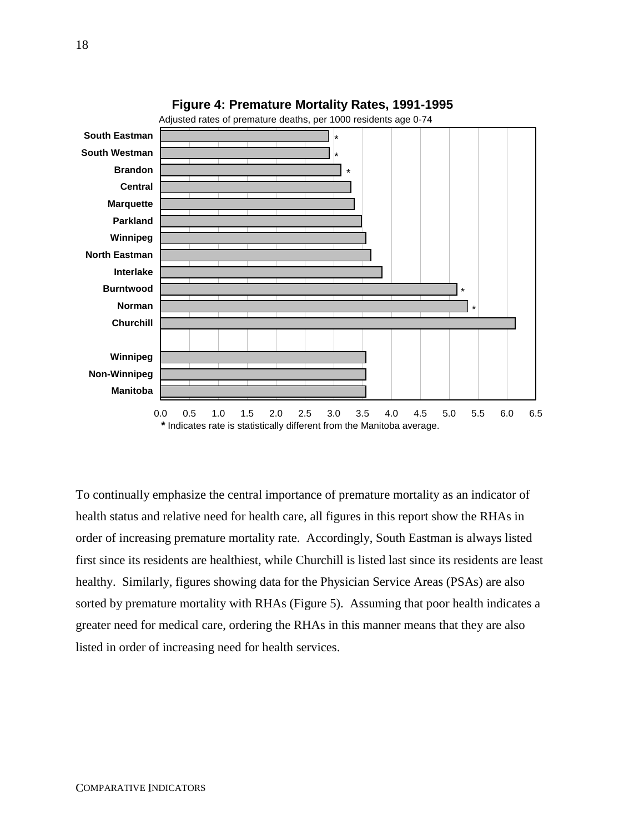



To continually emphasize the central importance of premature mortality as an indicator of health status and relative need for health care, all figures in this report show the RHAs in order of increasing premature mortality rate. Accordingly, South Eastman is always listed first since its residents are healthiest, while Churchill is listed last since its residents are least healthy. Similarly, figures showing data for the Physician Service Areas (PSAs) are also sorted by premature mortality with RHAs (Figure 5). Assuming that poor health indicates a greater need for medical care, ordering the RHAs in this manner means that they are also listed in order of increasing need for health services.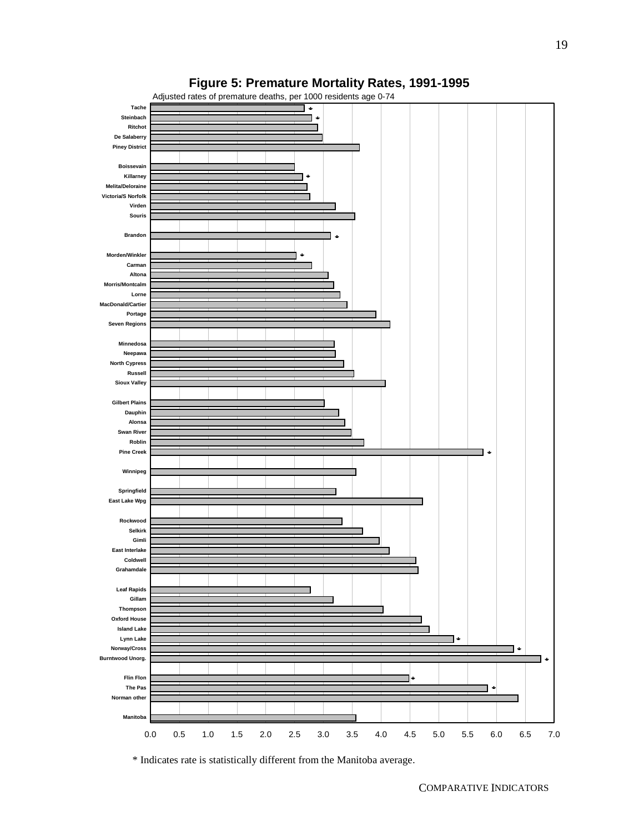



\* Indicates rate is statistically different from the Manitoba average.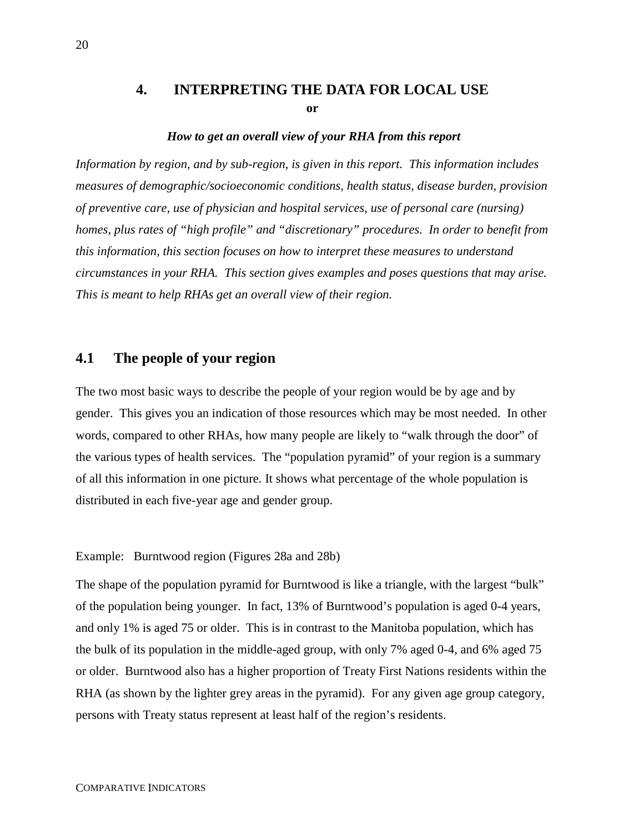## **4. INTERPRETING THE DATA FOR LOCAL USE or**

#### *How to get an overall view of your RHA from this report*

*Information by region, and by sub-region, is given in this report. This information includes measures of demographic/socioeconomic conditions, health status, disease burden, provision of preventive care, use of physician and hospital services, use of personal care (nursing) homes, plus rates of "high profile" and "discretionary" procedures. In order to benefit from this information, this section focuses on how to interpret these measures to understand circumstances in your RHA. This section gives examples and poses questions that may arise. This is meant to help RHAs get an overall view of their region.*

## **4.1 The people of your region**

The two most basic ways to describe the people of your region would be by age and by gender. This gives you an indication of those resources which may be most needed. In other words, compared to other RHAs, how many people are likely to "walk through the door" of the various types of health services. The "population pyramid" of your region is a summary of all this information in one picture. It shows what percentage of the whole population is distributed in each five-year age and gender group.

#### Example: Burntwood region (Figures 28a and 28b)

The shape of the population pyramid for Burntwood is like a triangle, with the largest "bulk" of the population being younger. In fact, 13% of Burntwood's population is aged 0-4 years, and only 1% is aged 75 or older. This is in contrast to the Manitoba population, which has the bulk of its population in the middle-aged group, with only 7% aged 0-4, and 6% aged 75 or older. Burntwood also has a higher proportion of Treaty First Nations residents within the RHA (as shown by the lighter grey areas in the pyramid). For any given age group category, persons with Treaty status represent at least half of the region's residents.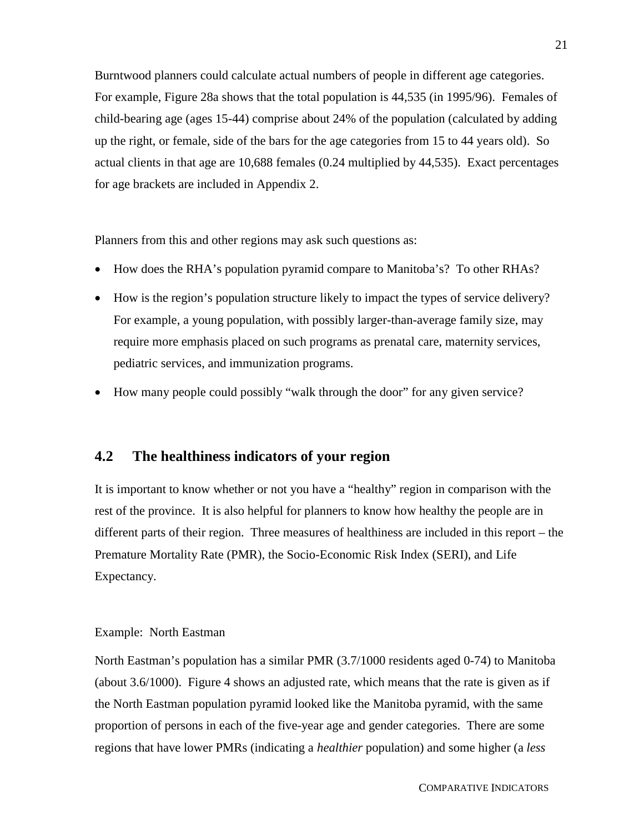Burntwood planners could calculate actual numbers of people in different age categories. For example, Figure 28a shows that the total population is 44,535 (in 1995/96). Females of child-bearing age (ages 15-44) comprise about 24% of the population (calculated by adding up the right, or female, side of the bars for the age categories from 15 to 44 years old). So actual clients in that age are 10,688 females (0.24 multiplied by 44,535). Exact percentages for age brackets are included in Appendix 2.

Planners from this and other regions may ask such questions as:

- How does the RHA's population pyramid compare to Manitoba's? To other RHAs?
- How is the region's population structure likely to impact the types of service delivery? For example, a young population, with possibly larger-than-average family size, may require more emphasis placed on such programs as prenatal care, maternity services, pediatric services, and immunization programs.
- How many people could possibly "walk through the door" for any given service?

## **4.2 The healthiness indicators of your region**

It is important to know whether or not you have a "healthy" region in comparison with the rest of the province. It is also helpful for planners to know how healthy the people are in different parts of their region. Three measures of healthiness are included in this report – the Premature Mortality Rate (PMR), the Socio-Economic Risk Index (SERI), and Life Expectancy.

#### Example: North Eastman

North Eastman's population has a similar PMR (3.7/1000 residents aged 0-74) to Manitoba (about 3.6/1000). Figure 4 shows an adjusted rate, which means that the rate is given as if the North Eastman population pyramid looked like the Manitoba pyramid, with the same proportion of persons in each of the five-year age and gender categories. There are some regions that have lower PMRs (indicating a *healthier* population) and some higher (a *less*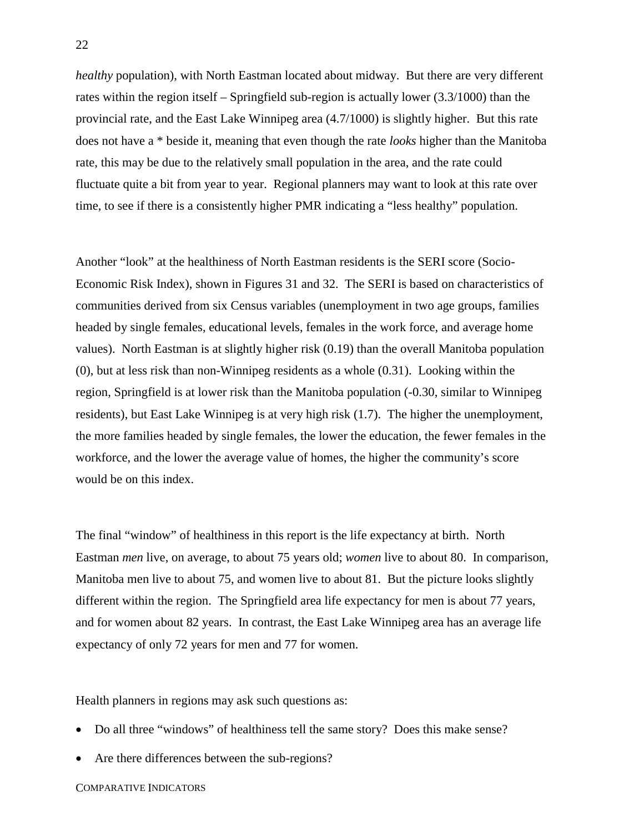*healthy* population), with North Eastman located about midway. But there are very different rates within the region itself – Springfield sub-region is actually lower (3.3/1000) than the provincial rate, and the East Lake Winnipeg area (4.7/1000) is slightly higher. But this rate does not have a \* beside it, meaning that even though the rate *looks* higher than the Manitoba rate, this may be due to the relatively small population in the area, and the rate could fluctuate quite a bit from year to year. Regional planners may want to look at this rate over time, to see if there is a consistently higher PMR indicating a "less healthy" population.

Another "look" at the healthiness of North Eastman residents is the SERI score (Socio-Economic Risk Index), shown in Figures 31 and 32. The SERI is based on characteristics of communities derived from six Census variables (unemployment in two age groups, families headed by single females, educational levels, females in the work force, and average home values). North Eastman is at slightly higher risk (0.19) than the overall Manitoba population (0), but at less risk than non-Winnipeg residents as a whole (0.31). Looking within the region, Springfield is at lower risk than the Manitoba population (-0.30, similar to Winnipeg residents), but East Lake Winnipeg is at very high risk (1.7). The higher the unemployment, the more families headed by single females, the lower the education, the fewer females in the workforce, and the lower the average value of homes, the higher the community's score would be on this index.

The final "window" of healthiness in this report is the life expectancy at birth. North Eastman *men* live, on average, to about 75 years old; *women* live to about 80. In comparison, Manitoba men live to about 75, and women live to about 81. But the picture looks slightly different within the region. The Springfield area life expectancy for men is about 77 years, and for women about 82 years. In contrast, the East Lake Winnipeg area has an average life expectancy of only 72 years for men and 77 for women.

Health planners in regions may ask such questions as:

- Do all three "windows" of healthiness tell the same story? Does this make sense?
- Are there differences between the sub-regions?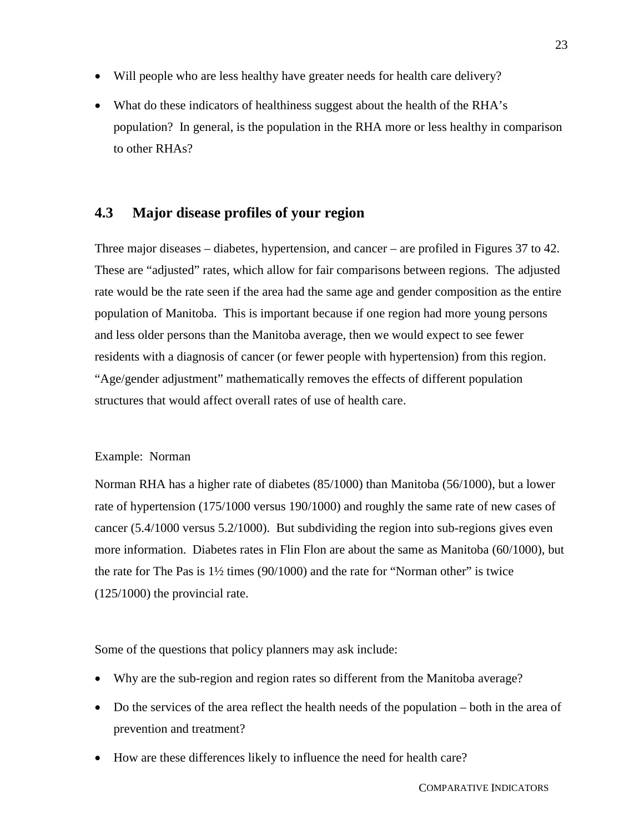- Will people who are less healthy have greater needs for health care delivery?
- What do these indicators of healthiness suggest about the health of the RHA's population? In general, is the population in the RHA more or less healthy in comparison to other RHAs?

## **4.3 Major disease profiles of your region**

Three major diseases – diabetes, hypertension, and cancer – are profiled in Figures 37 to 42. These are "adjusted" rates, which allow for fair comparisons between regions. The adjusted rate would be the rate seen if the area had the same age and gender composition as the entire population of Manitoba. This is important because if one region had more young persons and less older persons than the Manitoba average, then we would expect to see fewer residents with a diagnosis of cancer (or fewer people with hypertension) from this region. "Age/gender adjustment" mathematically removes the effects of different population structures that would affect overall rates of use of health care.

#### Example: Norman

Norman RHA has a higher rate of diabetes (85/1000) than Manitoba (56/1000), but a lower rate of hypertension (175/1000 versus 190/1000) and roughly the same rate of new cases of cancer (5.4/1000 versus 5.2/1000). But subdividing the region into sub-regions gives even more information. Diabetes rates in Flin Flon are about the same as Manitoba (60/1000), but the rate for The Pas is  $1\frac{1}{2}$  times (90/1000) and the rate for "Norman other" is twice (125/1000) the provincial rate.

Some of the questions that policy planners may ask include:

- Why are the sub-region and region rates so different from the Manitoba average?
- Do the services of the area reflect the health needs of the population both in the area of prevention and treatment?
- $\overline{a}$ How are these differences likely to influence the need for health care?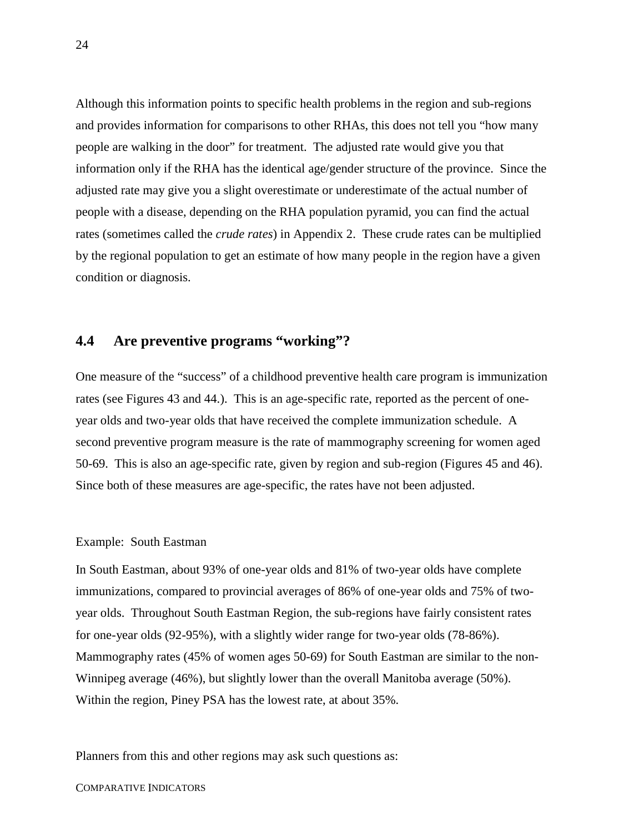Although this information points to specific health problems in the region and sub-regions and provides information for comparisons to other RHAs, this does not tell you "how many people are walking in the door" for treatment. The adjusted rate would give you that information only if the RHA has the identical age/gender structure of the province. Since the adjusted rate may give you a slight overestimate or underestimate of the actual number of people with a disease, depending on the RHA population pyramid, you can find the actual rates (sometimes called the *crude rates*) in Appendix 2. These crude rates can be multiplied by the regional population to get an estimate of how many people in the region have a given condition or diagnosis.

## **4.4 Are preventive programs "working"?**

One measure of the "success" of a childhood preventive health care program is immunization rates (see Figures 43 and 44.). This is an age-specific rate, reported as the percent of oneyear olds and two-year olds that have received the complete immunization schedule. A second preventive program measure is the rate of mammography screening for women aged 50-69. This is also an age-specific rate, given by region and sub-region (Figures 45 and 46). Since both of these measures are age-specific, the rates have not been adjusted.

#### Example: South Eastman

In South Eastman, about 93% of one-year olds and 81% of two-year olds have complete immunizations, compared to provincial averages of 86% of one-year olds and 75% of twoyear olds. Throughout South Eastman Region, the sub-regions have fairly consistent rates for one-year olds (92-95%), with a slightly wider range for two-year olds (78-86%). Mammography rates (45% of women ages 50-69) for South Eastman are similar to the non-Winnipeg average (46%), but slightly lower than the overall Manitoba average (50%). Within the region, Piney PSA has the lowest rate, at about 35%.

Planners from this and other regions may ask such questions as:

#### COMPARATIVE INDICATORS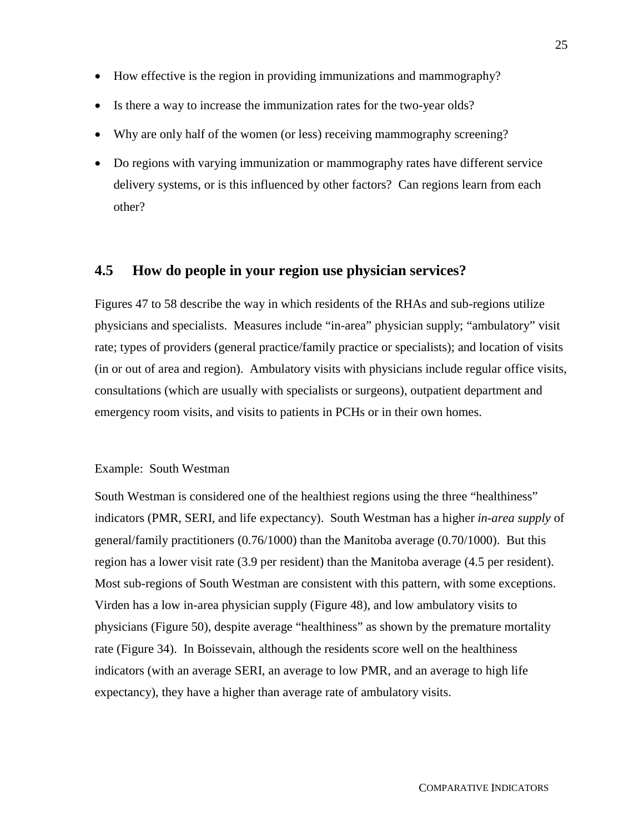- How effective is the region in providing immunizations and mammography?
- Is there a way to increase the immunization rates for the two-year olds?
- Why are only half of the women (or less) receiving mammography screening?
- Do regions with varying immunization or mammography rates have different service delivery systems, or is this influenced by other factors? Can regions learn from each other?

### **4.5 How do people in your region use physician services?**

Figures 47 to 58 describe the way in which residents of the RHAs and sub-regions utilize physicians and specialists. Measures include "in-area" physician supply; "ambulatory" visit rate; types of providers (general practice/family practice or specialists); and location of visits (in or out of area and region). Ambulatory visits with physicians include regular office visits, consultations (which are usually with specialists or surgeons), outpatient department and emergency room visits, and visits to patients in PCHs or in their own homes.

#### Example: South Westman

South Westman is considered one of the healthiest regions using the three "healthiness" indicators (PMR, SERI, and life expectancy). South Westman has a higher *in-area supply* of general/family practitioners (0.76/1000) than the Manitoba average (0.70/1000). But this region has a lower visit rate (3.9 per resident) than the Manitoba average (4.5 per resident). Most sub-regions of South Westman are consistent with this pattern, with some exceptions. Virden has a low in-area physician supply (Figure 48), and low ambulatory visits to physicians (Figure 50), despite average "healthiness" as shown by the premature mortality rate (Figure 34). In Boissevain, although the residents score well on the healthiness indicators (with an average SERI, an average to low PMR, and an average to high life expectancy), they have a higher than average rate of ambulatory visits.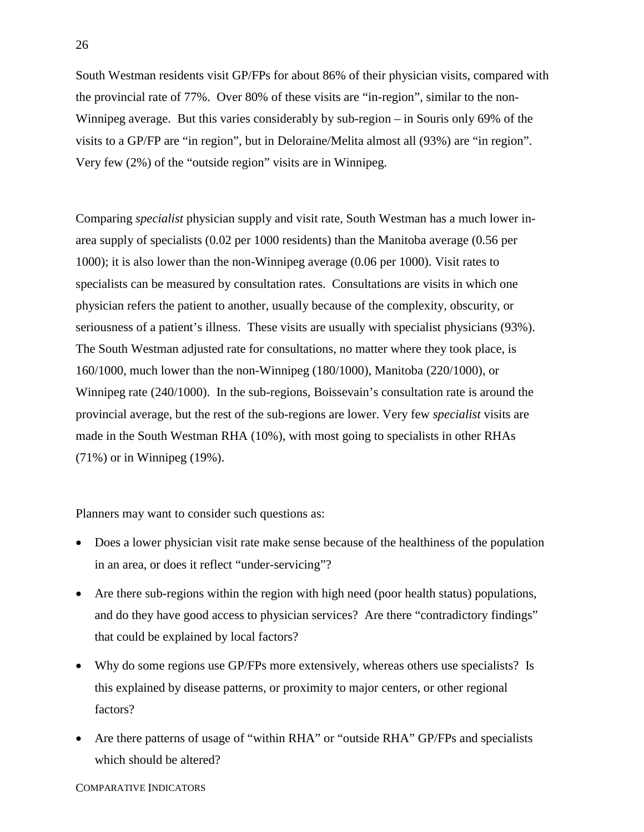South Westman residents visit GP/FPs for about 86% of their physician visits, compared with the provincial rate of 77%. Over 80% of these visits are "in-region", similar to the non-Winnipeg average. But this varies considerably by sub-region – in Souris only 69% of the visits to a GP/FP are "in region", but in Deloraine/Melita almost all (93%) are "in region". Very few (2%) of the "outside region" visits are in Winnipeg.

Comparing *specialist* physician supply and visit rate, South Westman has a much lower inarea supply of specialists (0.02 per 1000 residents) than the Manitoba average (0.56 per 1000); it is also lower than the non-Winnipeg average (0.06 per 1000). Visit rates to specialists can be measured by consultation rates. Consultations are visits in which one physician refers the patient to another, usually because of the complexity, obscurity, or seriousness of a patient's illness. These visits are usually with specialist physicians (93%). The South Westman adjusted rate for consultations, no matter where they took place, is 160/1000, much lower than the non-Winnipeg (180/1000), Manitoba (220/1000), or Winnipeg rate (240/1000). In the sub-regions, Boissevain's consultation rate is around the provincial average, but the rest of the sub-regions are lower. Very few *specialist* visits are made in the South Westman RHA (10%), with most going to specialists in other RHAs (71%) or in Winnipeg (19%).

Planners may want to consider such questions as:

- Does a lower physician visit rate make sense because of the healthiness of the population in an area, or does it reflect "under-servicing"?
- $\overline{\phantom{a}}$  Are there sub-regions within the region with high need (poor health status) populations, and do they have good access to physician services? Are there "contradictory findings" that could be explained by local factors?
- Why do some regions use GP/FPs more extensively, whereas others use specialists? Is this explained by disease patterns, or proximity to major centers, or other regional factors?
- $\overline{a}$  Are there patterns of usage of "within RHA" or "outside RHA" GP/FPs and specialists which should be altered?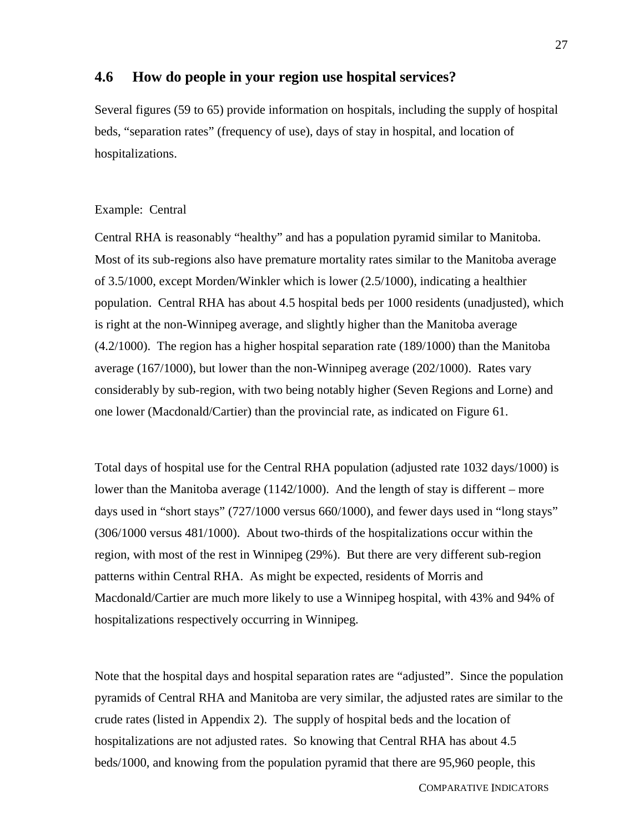# **4.6 How do people in your region use hospital services?**

Several figures (59 to 65) provide information on hospitals, including the supply of hospital beds, "separation rates" (frequency of use), days of stay in hospital, and location of hospitalizations.

#### Example: Central

Central RHA is reasonably "healthy" and has a population pyramid similar to Manitoba. Most of its sub-regions also have premature mortality rates similar to the Manitoba average of 3.5/1000, except Morden/Winkler which is lower (2.5/1000), indicating a healthier population. Central RHA has about 4.5 hospital beds per 1000 residents (unadjusted), which is right at the non-Winnipeg average, and slightly higher than the Manitoba average (4.2/1000). The region has a higher hospital separation rate (189/1000) than the Manitoba average (167/1000), but lower than the non-Winnipeg average (202/1000). Rates vary considerably by sub-region, with two being notably higher (Seven Regions and Lorne) and one lower (Macdonald/Cartier) than the provincial rate, as indicated on Figure 61.

Total days of hospital use for the Central RHA population (adjusted rate 1032 days/1000) is lower than the Manitoba average (1142/1000). And the length of stay is different – more days used in "short stays" (727/1000 versus 660/1000), and fewer days used in "long stays" (306/1000 versus 481/1000). About two-thirds of the hospitalizations occur within the region, with most of the rest in Winnipeg (29%). But there are very different sub-region patterns within Central RHA. As might be expected, residents of Morris and Macdonald/Cartier are much more likely to use a Winnipeg hospital, with 43% and 94% of hospitalizations respectively occurring in Winnipeg.

Note that the hospital days and hospital separation rates are "adjusted". Since the population pyramids of Central RHA and Manitoba are very similar, the adjusted rates are similar to the crude rates (listed in Appendix 2). The supply of hospital beds and the location of hospitalizations are not adjusted rates. So knowing that Central RHA has about 4.5 beds/1000, and knowing from the population pyramid that there are 95,960 people, this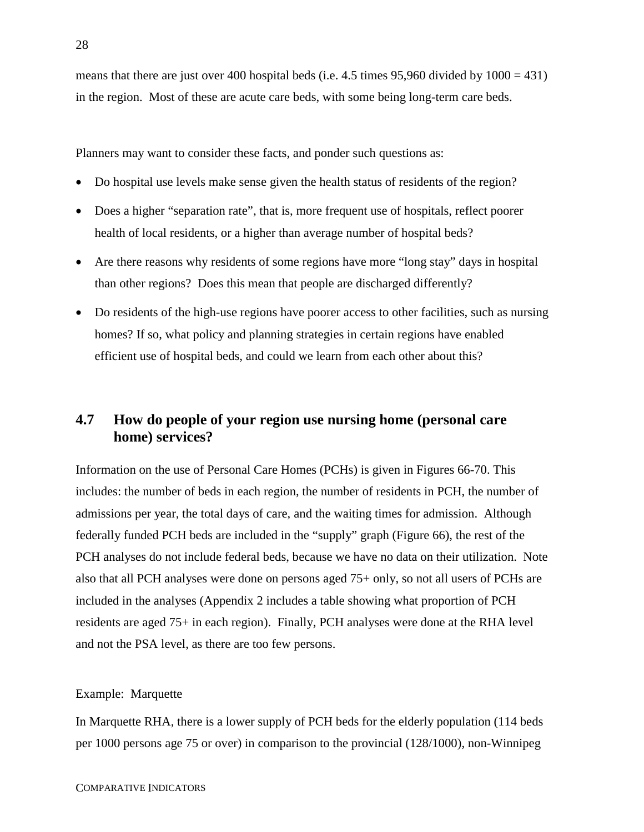means that there are just over 400 hospital beds (i.e.  $4.5$  times 95,960 divided by  $1000 = 431$ ) in the region. Most of these are acute care beds, with some being long-term care beds.

Planners may want to consider these facts, and ponder such questions as:

- $\overline{\phantom{a}}$ Do hospital use levels make sense given the health status of residents of the region?
- Does a higher "separation rate", that is, more frequent use of hospitals, reflect poorer health of local residents, or a higher than average number of hospital beds?
- $\bullet$  Are there reasons why residents of some regions have more "long stay" days in hospital than other regions? Does this mean that people are discharged differently?
- Do residents of the high-use regions have poorer access to other facilities, such as nursing homes? If so, what policy and planning strategies in certain regions have enabled efficient use of hospital beds, and could we learn from each other about this?

# **4.7 How do people of your region use nursing home (personal care home) services?**

Information on the use of Personal Care Homes (PCHs) is given in Figures 66-70. This includes: the number of beds in each region, the number of residents in PCH, the number of admissions per year, the total days of care, and the waiting times for admission. Although federally funded PCH beds are included in the "supply" graph (Figure 66), the rest of the PCH analyses do not include federal beds, because we have no data on their utilization. Note also that all PCH analyses were done on persons aged 75+ only, so not all users of PCHs are included in the analyses (Appendix 2 includes a table showing what proportion of PCH residents are aged 75+ in each region). Finally, PCH analyses were done at the RHA level and not the PSA level, as there are too few persons.

#### Example: Marquette

In Marquette RHA, there is a lower supply of PCH beds for the elderly population (114 beds per 1000 persons age 75 or over) in comparison to the provincial (128/1000), non-Winnipeg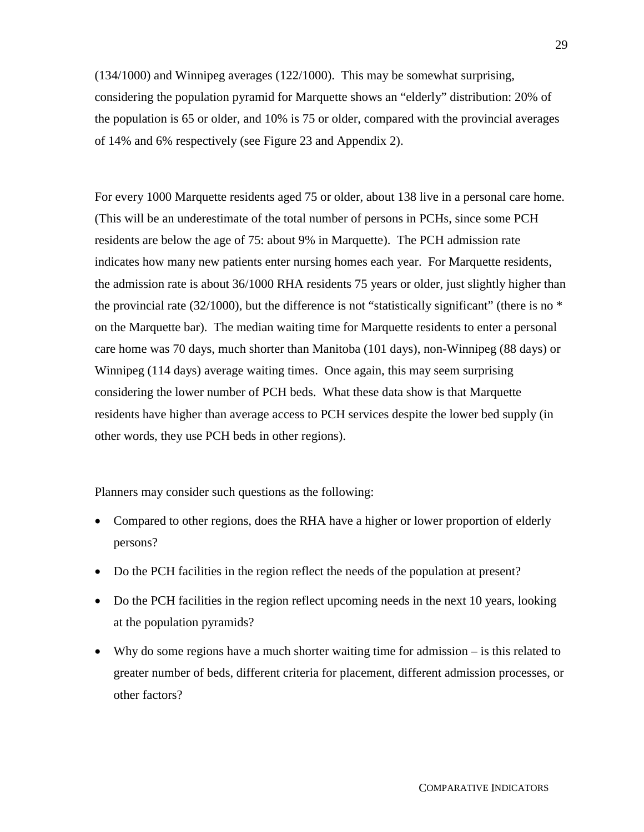(134/1000) and Winnipeg averages (122/1000). This may be somewhat surprising, considering the population pyramid for Marquette shows an "elderly" distribution: 20% of the population is 65 or older, and 10% is 75 or older, compared with the provincial averages of 14% and 6% respectively (see Figure 23 and Appendix 2).

For every 1000 Marquette residents aged 75 or older, about 138 live in a personal care home. (This will be an underestimate of the total number of persons in PCHs, since some PCH residents are below the age of 75: about 9% in Marquette). The PCH admission rate indicates how many new patients enter nursing homes each year. For Marquette residents, the admission rate is about 36/1000 RHA residents 75 years or older, just slightly higher than the provincial rate  $(32/1000)$ , but the difference is not "statistically significant" (there is no  $*$ on the Marquette bar). The median waiting time for Marquette residents to enter a personal care home was 70 days, much shorter than Manitoba (101 days), non-Winnipeg (88 days) or Winnipeg (114 days) average waiting times. Once again, this may seem surprising considering the lower number of PCH beds. What these data show is that Marquette residents have higher than average access to PCH services despite the lower bed supply (in other words, they use PCH beds in other regions).

Planners may consider such questions as the following:

- Compared to other regions, does the RHA have a higher or lower proportion of elderly persons?
- Do the PCH facilities in the region reflect the needs of the population at present?
- Do the PCH facilities in the region reflect upcoming needs in the next 10 years, looking at the population pyramids?
- Why do some regions have a much shorter waiting time for admission is this related to greater number of beds, different criteria for placement, different admission processes, or other factors?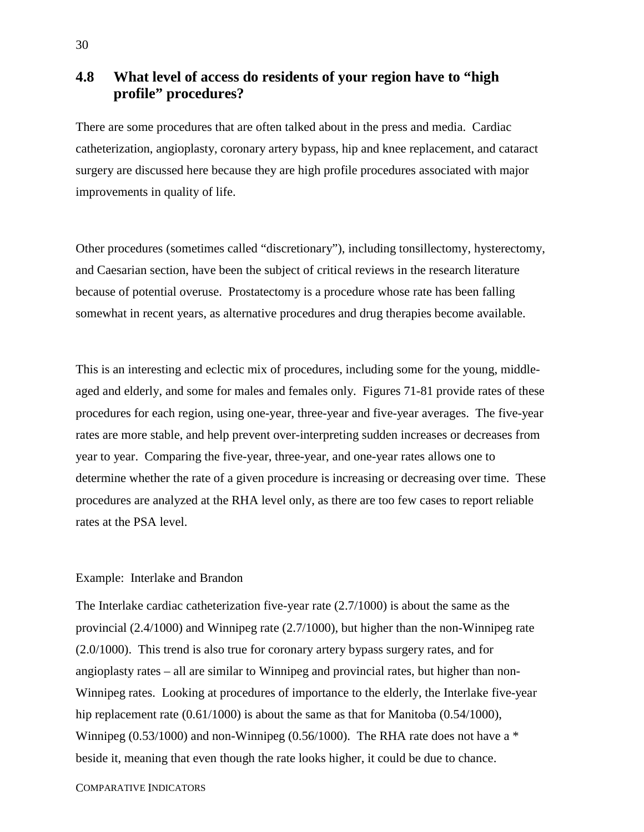# **4.8 What level of access do residents of your region have to "high profile" procedures?**

There are some procedures that are often talked about in the press and media. Cardiac catheterization, angioplasty, coronary artery bypass, hip and knee replacement, and cataract surgery are discussed here because they are high profile procedures associated with major improvements in quality of life.

Other procedures (sometimes called "discretionary"), including tonsillectomy, hysterectomy, and Caesarian section, have been the subject of critical reviews in the research literature because of potential overuse. Prostatectomy is a procedure whose rate has been falling somewhat in recent years, as alternative procedures and drug therapies become available.

This is an interesting and eclectic mix of procedures, including some for the young, middleaged and elderly, and some for males and females only. Figures 71-81 provide rates of these procedures for each region, using one-year, three-year and five-year averages. The five-year rates are more stable, and help prevent over-interpreting sudden increases or decreases from year to year. Comparing the five-year, three-year, and one-year rates allows one to determine whether the rate of a given procedure is increasing or decreasing over time. These procedures are analyzed at the RHA level only, as there are too few cases to report reliable rates at the PSA level.

#### Example: Interlake and Brandon

The Interlake cardiac catheterization five-year rate (2.7/1000) is about the same as the provincial (2.4/1000) and Winnipeg rate (2.7/1000), but higher than the non-Winnipeg rate (2.0/1000). This trend is also true for coronary artery bypass surgery rates, and for angioplasty rates – all are similar to Winnipeg and provincial rates, but higher than non-Winnipeg rates. Looking at procedures of importance to the elderly, the Interlake five-year hip replacement rate (0.61/1000) is about the same as that for Manitoba (0.54/1000), Winnipeg (0.53/1000) and non-Winnipeg (0.56/1000). The RHA rate does not have a \* beside it, meaning that even though the rate looks higher, it could be due to chance.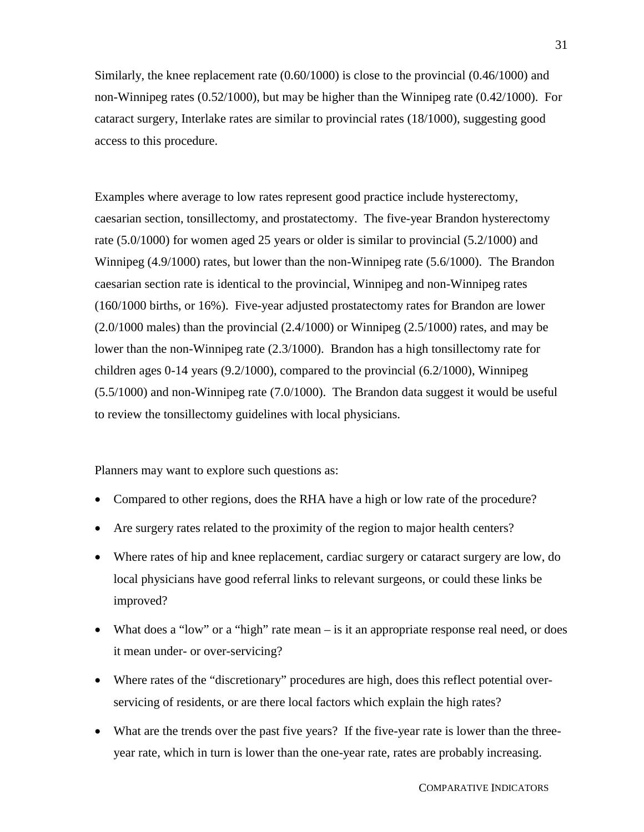Similarly, the knee replacement rate (0.60/1000) is close to the provincial (0.46/1000) and non-Winnipeg rates (0.52/1000), but may be higher than the Winnipeg rate (0.42/1000). For cataract surgery, Interlake rates are similar to provincial rates (18/1000), suggesting good access to this procedure.

Examples where average to low rates represent good practice include hysterectomy, caesarian section, tonsillectomy, and prostatectomy. The five-year Brandon hysterectomy rate (5.0/1000) for women aged 25 years or older is similar to provincial (5.2/1000) and Winnipeg (4.9/1000) rates, but lower than the non-Winnipeg rate (5.6/1000). The Brandon caesarian section rate is identical to the provincial, Winnipeg and non-Winnipeg rates (160/1000 births, or 16%). Five-year adjusted prostatectomy rates for Brandon are lower  $(2.0/1000 \text{ males})$  than the provincial  $(2.4/1000)$  or Winnipeg  $(2.5/1000)$  rates, and may be lower than the non-Winnipeg rate (2.3/1000). Brandon has a high tonsillectomy rate for children ages 0-14 years (9.2/1000), compared to the provincial (6.2/1000), Winnipeg (5.5/1000) and non-Winnipeg rate (7.0/1000). The Brandon data suggest it would be useful to review the tonsillectomy guidelines with local physicians.

Planners may want to explore such questions as:

- Compared to other regions, does the RHA have a high or low rate of the procedure?
- Are surgery rates related to the proximity of the region to major health centers?
- Where rates of hip and knee replacement, cardiac surgery or cataract surgery are low, do local physicians have good referral links to relevant surgeons, or could these links be improved?
- What does a "low" or a "high" rate mean is it an appropriate response real need, or does it mean under- or over-servicing?
- Where rates of the "discretionary" procedures are high, does this reflect potential overservicing of residents, or are there local factors which explain the high rates?
- What are the trends over the past five years? If the five-year rate is lower than the threeyear rate, which in turn is lower than the one-year rate, rates are probably increasing.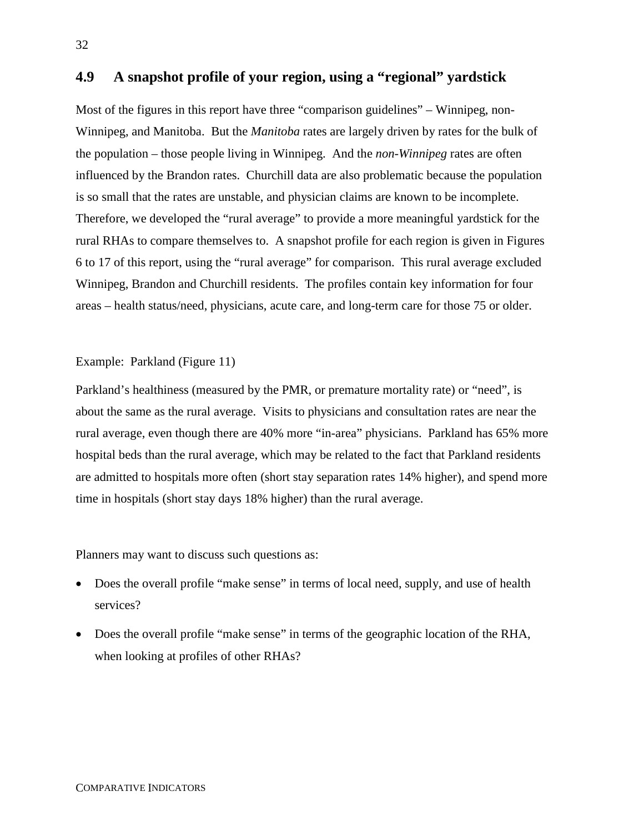# **4.9 A snapshot profile of your region, using a "regional" yardstick**

Most of the figures in this report have three "comparison guidelines" – Winnipeg, non-Winnipeg, and Manitoba. But the *Manitoba* rates are largely driven by rates for the bulk of the population – those people living in Winnipeg. And the *non-Winnipeg* rates are often influenced by the Brandon rates. Churchill data are also problematic because the population is so small that the rates are unstable, and physician claims are known to be incomplete. Therefore, we developed the "rural average" to provide a more meaningful yardstick for the rural RHAs to compare themselves to. A snapshot profile for each region is given in Figures 6 to 17 of this report, using the "rural average" for comparison. This rural average excluded Winnipeg, Brandon and Churchill residents. The profiles contain key information for four areas – health status/need, physicians, acute care, and long-term care for those 75 or older.

#### Example: Parkland (Figure 11)

Parkland's healthiness (measured by the PMR, or premature mortality rate) or "need", is about the same as the rural average. Visits to physicians and consultation rates are near the rural average, even though there are 40% more "in-area" physicians. Parkland has 65% more hospital beds than the rural average, which may be related to the fact that Parkland residents are admitted to hospitals more often (short stay separation rates 14% higher), and spend more time in hospitals (short stay days 18% higher) than the rural average.

Planners may want to discuss such questions as:

- Does the overall profile "make sense" in terms of local need, supply, and use of health services?
- Does the overall profile "make sense" in terms of the geographic location of the RHA, when looking at profiles of other RHAs?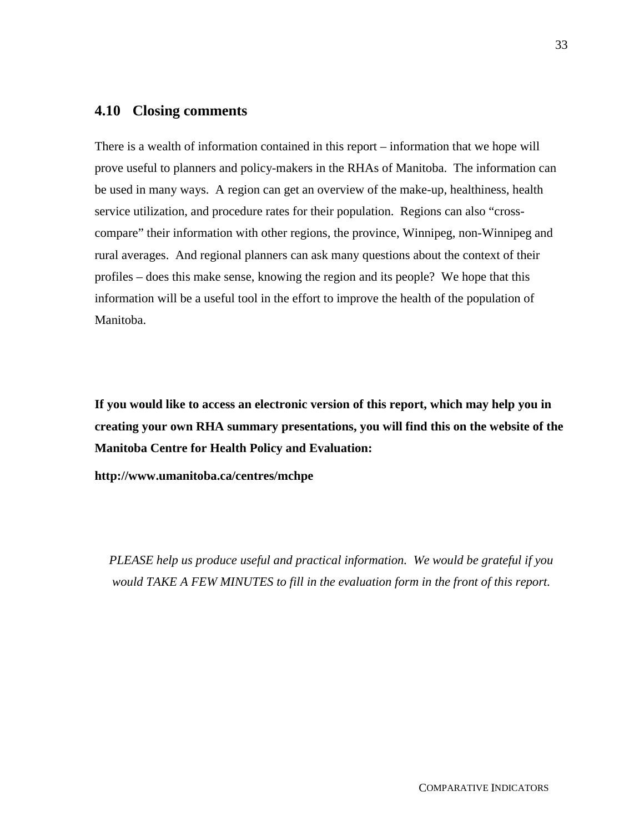#### **4.10 Closing comments**

There is a wealth of information contained in this report – information that we hope will prove useful to planners and policy-makers in the RHAs of Manitoba. The information can be used in many ways. A region can get an overview of the make-up, healthiness, health service utilization, and procedure rates for their population. Regions can also "crosscompare" their information with other regions, the province, Winnipeg, non-Winnipeg and rural averages. And regional planners can ask many questions about the context of their profiles – does this make sense, knowing the region and its people? We hope that this information will be a useful tool in the effort to improve the health of the population of Manitoba.

**If you would like to access an electronic version of this report, which may help you in creating your own RHA summary presentations, you will find this on the website of the Manitoba Centre for Health Policy and Evaluation:**

**http://www.umanitoba.ca/centres/mchpe**

*PLEASE help us produce useful and practical information. We would be grateful if you would TAKE A FEW MINUTES to fill in the evaluation form in the front of this report.*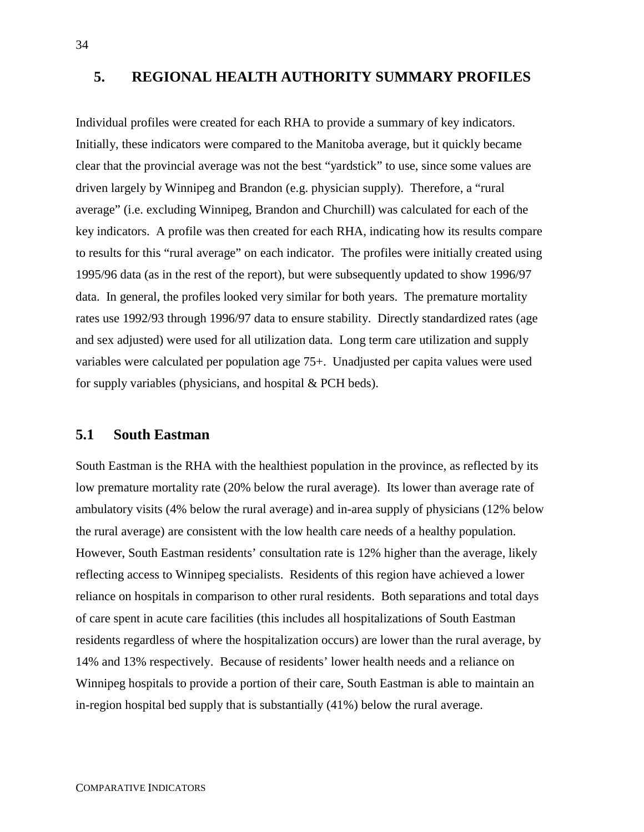# **5. REGIONAL HEALTH AUTHORITY SUMMARY PROFILES**

Individual profiles were created for each RHA to provide a summary of key indicators. Initially, these indicators were compared to the Manitoba average, but it quickly became clear that the provincial average was not the best "yardstick" to use, since some values are driven largely by Winnipeg and Brandon (e.g. physician supply). Therefore, a "rural average" (i.e. excluding Winnipeg, Brandon and Churchill) was calculated for each of the key indicators. A profile was then created for each RHA, indicating how its results compare to results for this "rural average" on each indicator. The profiles were initially created using 1995/96 data (as in the rest of the report), but were subsequently updated to show 1996/97 data. In general, the profiles looked very similar for both years. The premature mortality rates use 1992/93 through 1996/97 data to ensure stability. Directly standardized rates (age and sex adjusted) were used for all utilization data. Long term care utilization and supply variables were calculated per population age 75+. Unadjusted per capita values were used for supply variables (physicians, and hospital & PCH beds).

#### **5.1 South Eastman**

South Eastman is the RHA with the healthiest population in the province, as reflected by its low premature mortality rate (20% below the rural average). Its lower than average rate of ambulatory visits (4% below the rural average) and in-area supply of physicians (12% below the rural average) are consistent with the low health care needs of a healthy population. However, South Eastman residents' consultation rate is 12% higher than the average, likely reflecting access to Winnipeg specialists. Residents of this region have achieved a lower reliance on hospitals in comparison to other rural residents. Both separations and total days of care spent in acute care facilities (this includes all hospitalizations of South Eastman residents regardless of where the hospitalization occurs) are lower than the rural average, by 14% and 13% respectively. Because of residents' lower health needs and a reliance on Winnipeg hospitals to provide a portion of their care, South Eastman is able to maintain an in-region hospital bed supply that is substantially (41%) below the rural average.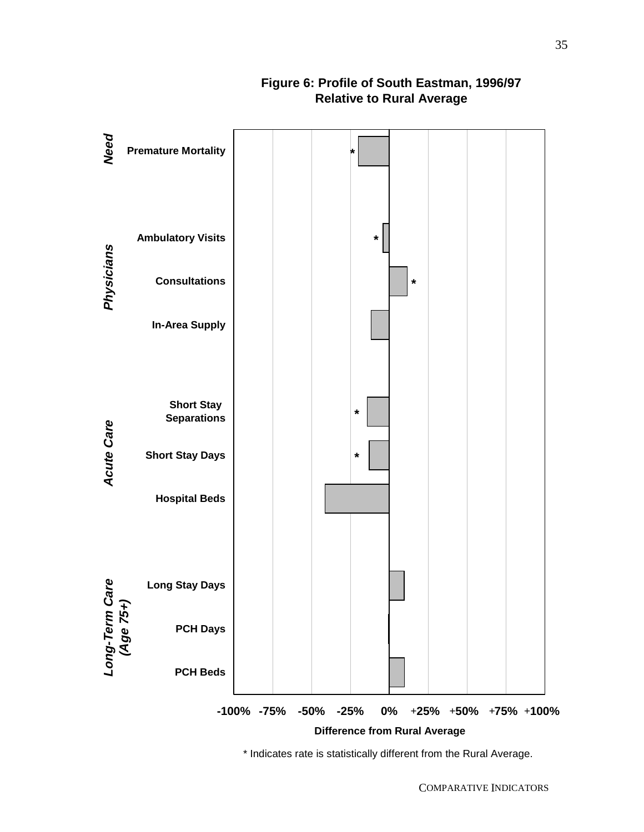

# **Figure 6: Profile of South Eastman, 1996/97 Relative to Rural Average**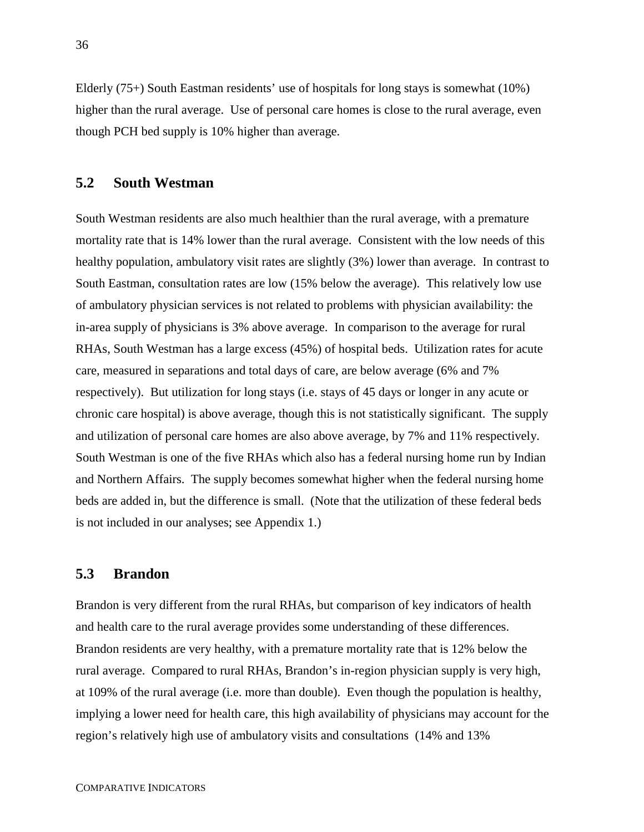Elderly (75+) South Eastman residents' use of hospitals for long stays is somewhat (10%) higher than the rural average. Use of personal care homes is close to the rural average, even though PCH bed supply is 10% higher than average.

#### **5.2 South Westman**

South Westman residents are also much healthier than the rural average, with a premature mortality rate that is 14% lower than the rural average. Consistent with the low needs of this healthy population, ambulatory visit rates are slightly (3%) lower than average. In contrast to South Eastman, consultation rates are low (15% below the average). This relatively low use of ambulatory physician services is not related to problems with physician availability: the in-area supply of physicians is 3% above average. In comparison to the average for rural RHAs, South Westman has a large excess (45%) of hospital beds. Utilization rates for acute care, measured in separations and total days of care, are below average (6% and 7% respectively). But utilization for long stays (i.e. stays of 45 days or longer in any acute or chronic care hospital) is above average, though this is not statistically significant. The supply and utilization of personal care homes are also above average, by 7% and 11% respectively. South Westman is one of the five RHAs which also has a federal nursing home run by Indian and Northern Affairs. The supply becomes somewhat higher when the federal nursing home beds are added in, but the difference is small. (Note that the utilization of these federal beds is not included in our analyses; see Appendix 1.)

# **5.3 Brandon**

Brandon is very different from the rural RHAs, but comparison of key indicators of health and health care to the rural average provides some understanding of these differences. Brandon residents are very healthy, with a premature mortality rate that is 12% below the rural average. Compared to rural RHAs, Brandon's in-region physician supply is very high, at 109% of the rural average (i.e. more than double). Even though the population is healthy, implying a lower need for health care, this high availability of physicians may account for the region's relatively high use of ambulatory visits and consultations (14% and 13%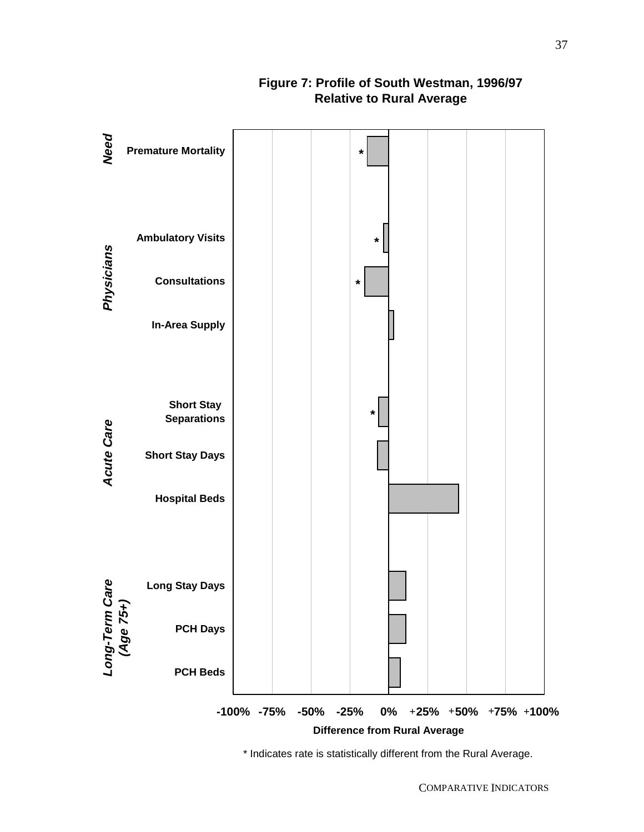

# **Figure 7: Profile of South Westman, 1996/97 Relative to Rural Average**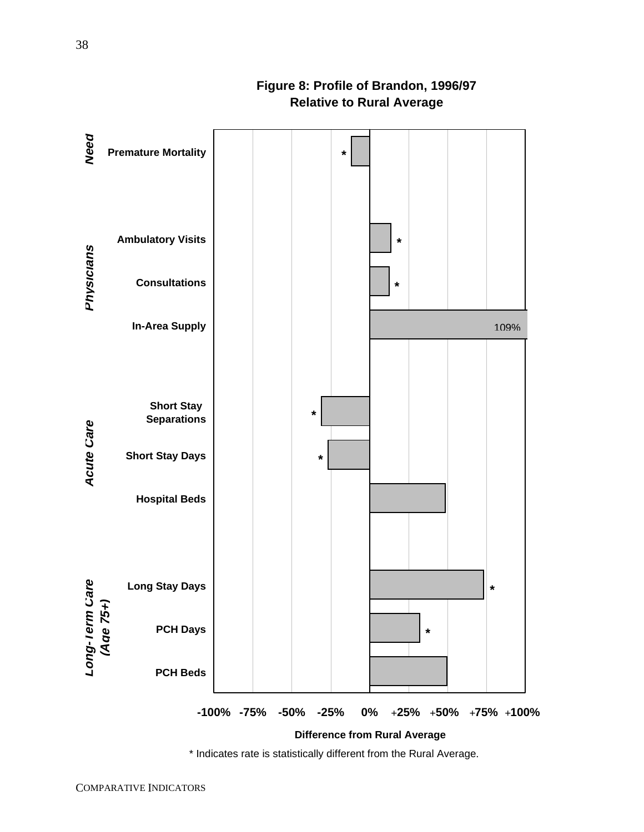# **Figure 8: Profile of Brandon, 1996/97 Relative to Rural Average**

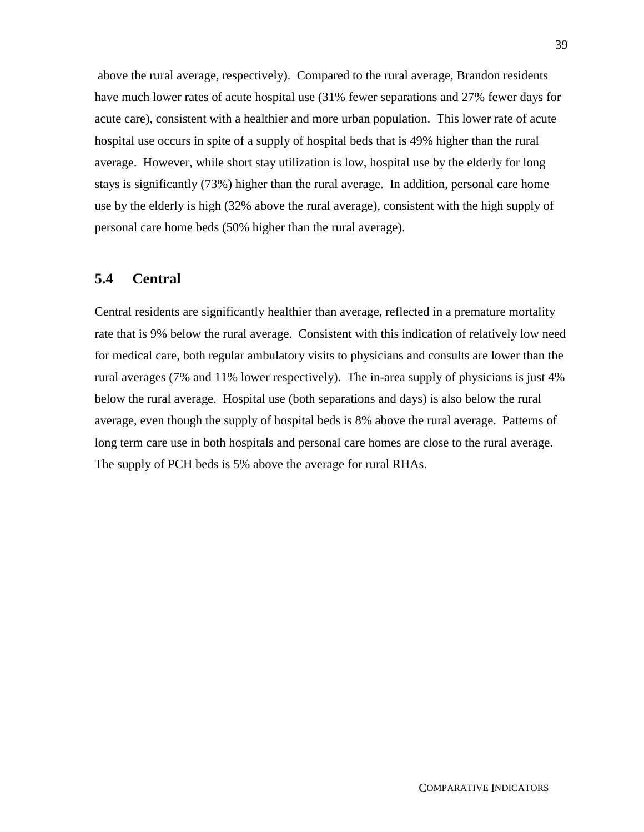above the rural average, respectively). Compared to the rural average, Brandon residents have much lower rates of acute hospital use (31% fewer separations and 27% fewer days for acute care), consistent with a healthier and more urban population. This lower rate of acute hospital use occurs in spite of a supply of hospital beds that is 49% higher than the rural average. However, while short stay utilization is low, hospital use by the elderly for long stays is significantly (73%) higher than the rural average. In addition, personal care home use by the elderly is high (32% above the rural average), consistent with the high supply of personal care home beds (50% higher than the rural average).

# **5.4 Central**

Central residents are significantly healthier than average, reflected in a premature mortality rate that is 9% below the rural average. Consistent with this indication of relatively low need for medical care, both regular ambulatory visits to physicians and consults are lower than the rural averages (7% and 11% lower respectively). The in-area supply of physicians is just 4% below the rural average. Hospital use (both separations and days) is also below the rural average, even though the supply of hospital beds is 8% above the rural average. Patterns of long term care use in both hospitals and personal care homes are close to the rural average. The supply of PCH beds is 5% above the average for rural RHAs.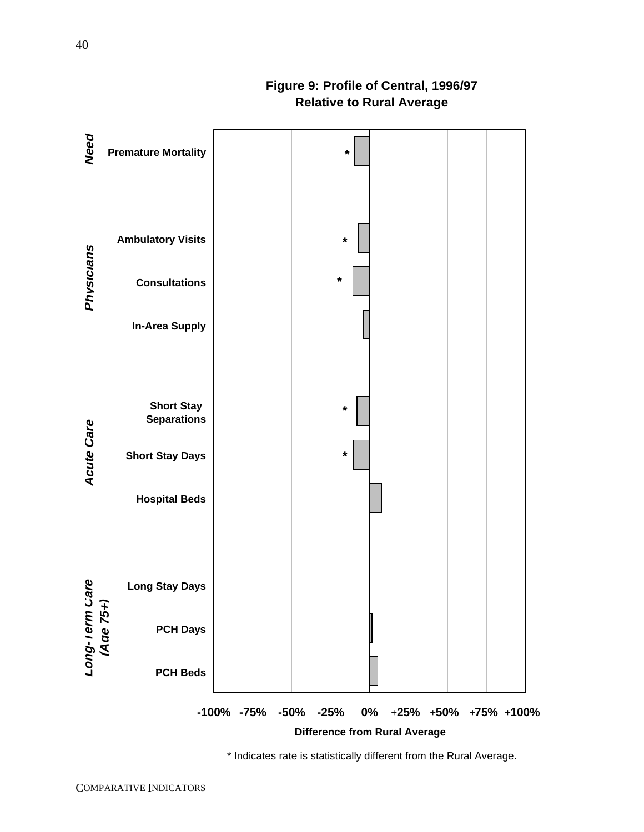# **Figure 9: Profile of Central, 1996/97 Relative to Rural Average**

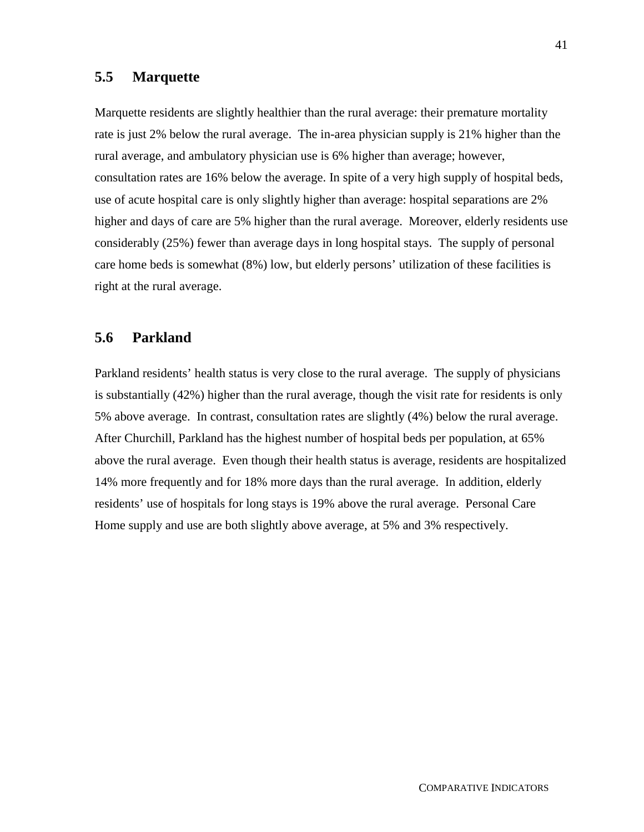# **5.5 Marquette**

Marquette residents are slightly healthier than the rural average: their premature mortality rate is just 2% below the rural average. The in-area physician supply is 21% higher than the rural average, and ambulatory physician use is 6% higher than average; however, consultation rates are 16% below the average. In spite of a very high supply of hospital beds, use of acute hospital care is only slightly higher than average: hospital separations are 2% higher and days of care are 5% higher than the rural average. Moreover, elderly residents use considerably (25%) fewer than average days in long hospital stays. The supply of personal care home beds is somewhat (8%) low, but elderly persons' utilization of these facilities is right at the rural average.

#### **5.6 Parkland**

Parkland residents' health status is very close to the rural average. The supply of physicians is substantially (42%) higher than the rural average, though the visit rate for residents is only 5% above average. In contrast, consultation rates are slightly (4%) below the rural average. After Churchill, Parkland has the highest number of hospital beds per population, at 65% above the rural average. Even though their health status is average, residents are hospitalized 14% more frequently and for 18% more days than the rural average. In addition, elderly residents' use of hospitals for long stays is 19% above the rural average. Personal Care Home supply and use are both slightly above average, at 5% and 3% respectively.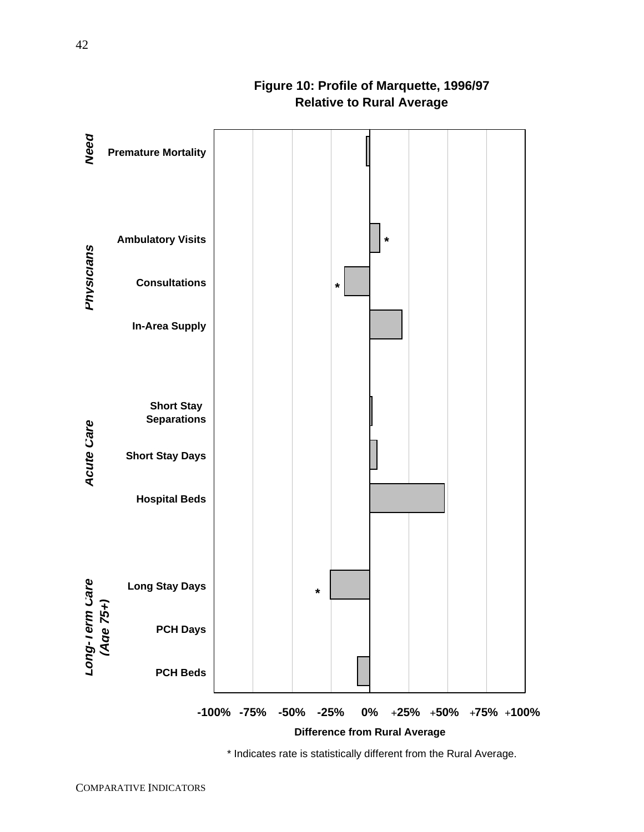

# **Figure 10: Profile of Marquette, 1996/97 Relative to Rural Average**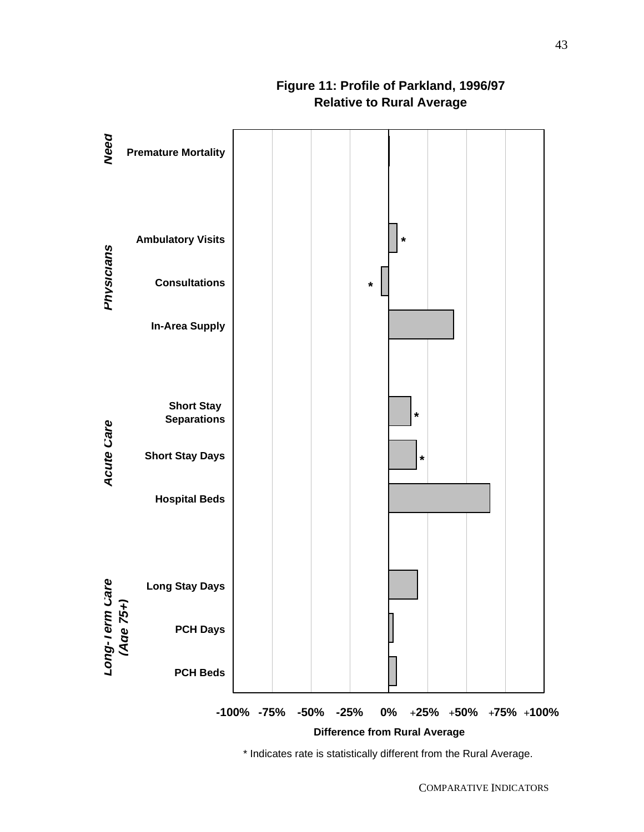

# **Figure 11: Profile of Parkland, 1996/97 Relative to Rural Average**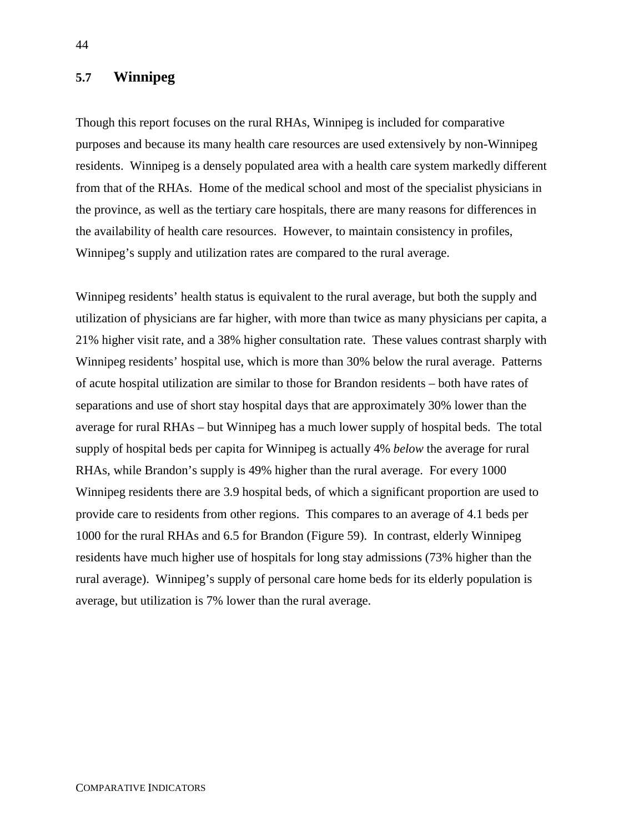# **5.7 Winnipeg**

Though this report focuses on the rural RHAs, Winnipeg is included for comparative purposes and because its many health care resources are used extensively by non-Winnipeg residents. Winnipeg is a densely populated area with a health care system markedly different from that of the RHAs. Home of the medical school and most of the specialist physicians in the province, as well as the tertiary care hospitals, there are many reasons for differences in the availability of health care resources. However, to maintain consistency in profiles, Winnipeg's supply and utilization rates are compared to the rural average.

Winnipeg residents' health status is equivalent to the rural average, but both the supply and utilization of physicians are far higher, with more than twice as many physicians per capita, a 21% higher visit rate, and a 38% higher consultation rate. These values contrast sharply with Winnipeg residents' hospital use, which is more than 30% below the rural average. Patterns of acute hospital utilization are similar to those for Brandon residents – both have rates of separations and use of short stay hospital days that are approximately 30% lower than the average for rural RHAs – but Winnipeg has a much lower supply of hospital beds. The total supply of hospital beds per capita for Winnipeg is actually 4% *below* the average for rural RHAs, while Brandon's supply is 49% higher than the rural average. For every 1000 Winnipeg residents there are 3.9 hospital beds, of which a significant proportion are used to provide care to residents from other regions. This compares to an average of 4.1 beds per 1000 for the rural RHAs and 6.5 for Brandon (Figure 59). In contrast, elderly Winnipeg residents have much higher use of hospitals for long stay admissions (73% higher than the rural average). Winnipeg's supply of personal care home beds for its elderly population is average, but utilization is 7% lower than the rural average.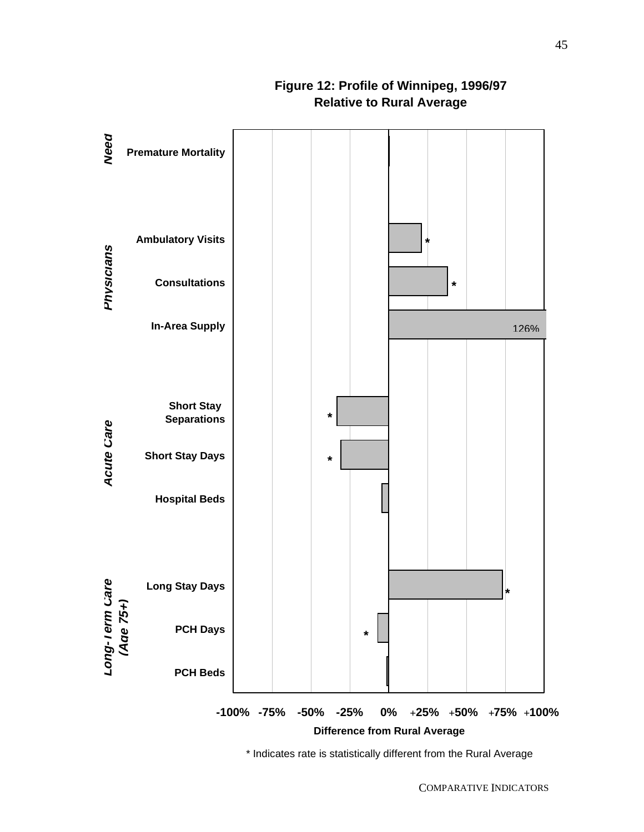

**Figure 12: Profile of Winnipeg, 1996/97 Relative to Rural Average**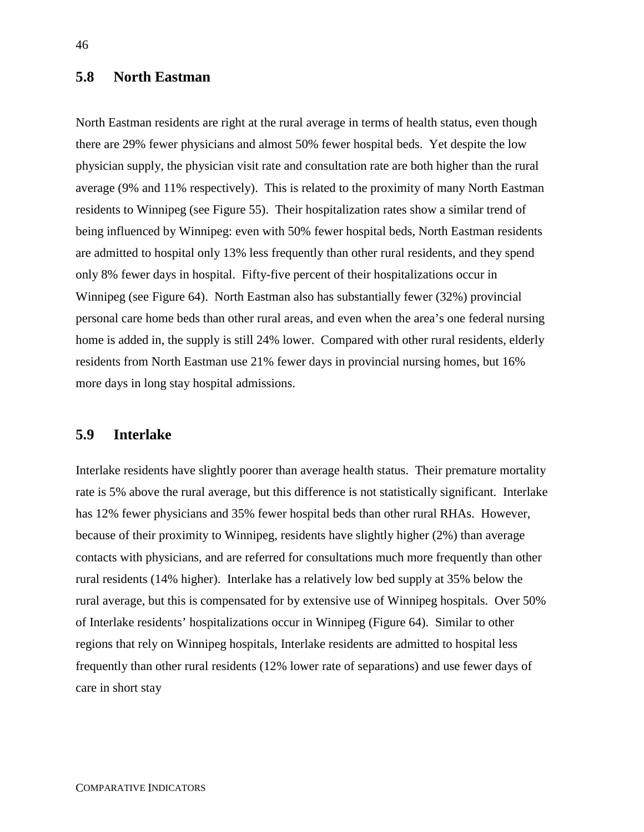# **5.8 North Eastman**

North Eastman residents are right at the rural average in terms of health status, even though there are 29% fewer physicians and almost 50% fewer hospital beds. Yet despite the low physician supply, the physician visit rate and consultation rate are both higher than the rural average (9% and 11% respectively). This is related to the proximity of many North Eastman residents to Winnipeg (see Figure 55). Their hospitalization rates show a similar trend of being influenced by Winnipeg: even with 50% fewer hospital beds, North Eastman residents are admitted to hospital only 13% less frequently than other rural residents, and they spend only 8% fewer days in hospital. Fifty-five percent of their hospitalizations occur in Winnipeg (see Figure 64). North Eastman also has substantially fewer (32%) provincial personal care home beds than other rural areas, and even when the area's one federal nursing home is added in, the supply is still 24% lower. Compared with other rural residents, elderly residents from North Eastman use 21% fewer days in provincial nursing homes, but 16% more days in long stay hospital admissions.

# **5.9 Interlake**

Interlake residents have slightly poorer than average health status. Their premature mortality rate is 5% above the rural average, but this difference is not statistically significant. Interlake has 12% fewer physicians and 35% fewer hospital beds than other rural RHAs. However, because of their proximity to Winnipeg, residents have slightly higher (2%) than average contacts with physicians, and are referred for consultations much more frequently than other rural residents (14% higher). Interlake has a relatively low bed supply at 35% below the rural average, but this is compensated for by extensive use of Winnipeg hospitals. Over 50% of Interlake residents' hospitalizations occur in Winnipeg (Figure 64). Similar to other regions that rely on Winnipeg hospitals, Interlake residents are admitted to hospital less frequently than other rural residents (12% lower rate of separations) and use fewer days of care in short stay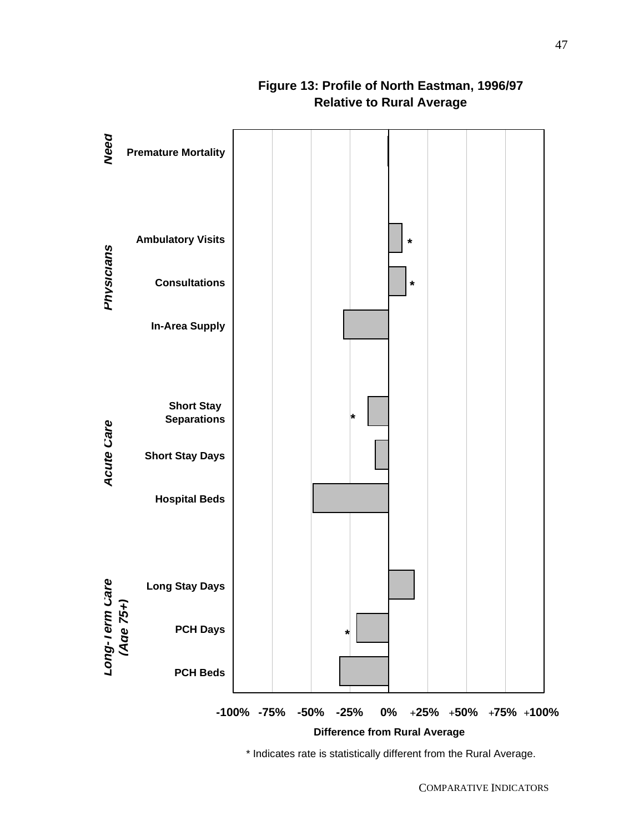

# **Figure 13: Profile of North Eastman, 1996/97 Relative to Rural Average**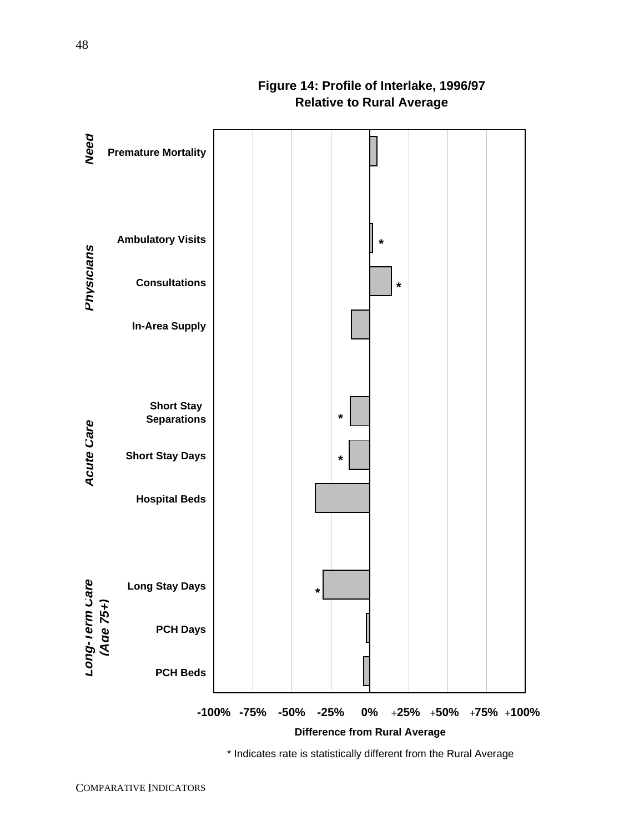# **Premature Mortality Ambulatory Visits Consultations In-Area Supply Short Stay Separations Short Stay Days \* \* \***

**\***

**\***

# **Figure 14: Profile of Interlake, 1996/97 Relative to Rural Average**

\* Indicates rate is statistically different from the Rural Average

**-100% -75% -50% -25% 0% 25% 50% 75% 100%** + + + +

**Difference from Rural Average**

**Need**

**Long**

**-Term Care**

**Acute** 

**Care Physicians**

Physicians

**(Age 75+)**

**Hospital Beds**

**Long Stay Days**

**PCH Days**

**PCH Beds**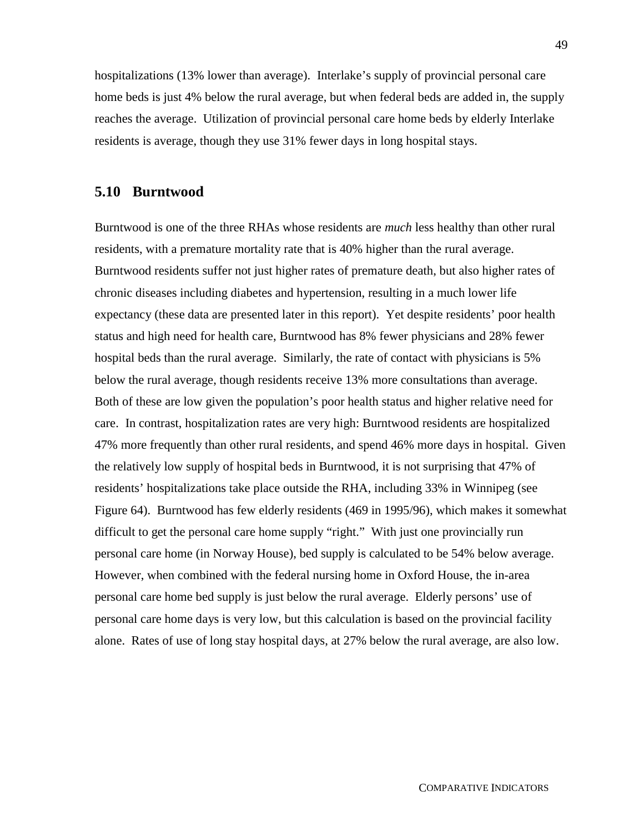hospitalizations (13% lower than average). Interlake's supply of provincial personal care home beds is just 4% below the rural average, but when federal beds are added in, the supply reaches the average. Utilization of provincial personal care home beds by elderly Interlake residents is average, though they use 31% fewer days in long hospital stays.

#### **5.10 Burntwood**

Burntwood is one of the three RHAs whose residents are *much* less healthy than other rural residents, with a premature mortality rate that is 40% higher than the rural average. Burntwood residents suffer not just higher rates of premature death, but also higher rates of chronic diseases including diabetes and hypertension, resulting in a much lower life expectancy (these data are presented later in this report). Yet despite residents' poor health status and high need for health care, Burntwood has 8% fewer physicians and 28% fewer hospital beds than the rural average. Similarly, the rate of contact with physicians is 5% below the rural average, though residents receive 13% more consultations than average. Both of these are low given the population's poor health status and higher relative need for care. In contrast, hospitalization rates are very high: Burntwood residents are hospitalized 47% more frequently than other rural residents, and spend 46% more days in hospital. Given the relatively low supply of hospital beds in Burntwood, it is not surprising that 47% of residents' hospitalizations take place outside the RHA, including 33% in Winnipeg (see Figure 64). Burntwood has few elderly residents (469 in 1995/96), which makes it somewhat difficult to get the personal care home supply "right." With just one provincially run personal care home (in Norway House), bed supply is calculated to be 54% below average. However, when combined with the federal nursing home in Oxford House, the in-area personal care home bed supply is just below the rural average. Elderly persons' use of personal care home days is very low, but this calculation is based on the provincial facility alone. Rates of use of long stay hospital days, at 27% below the rural average, are also low.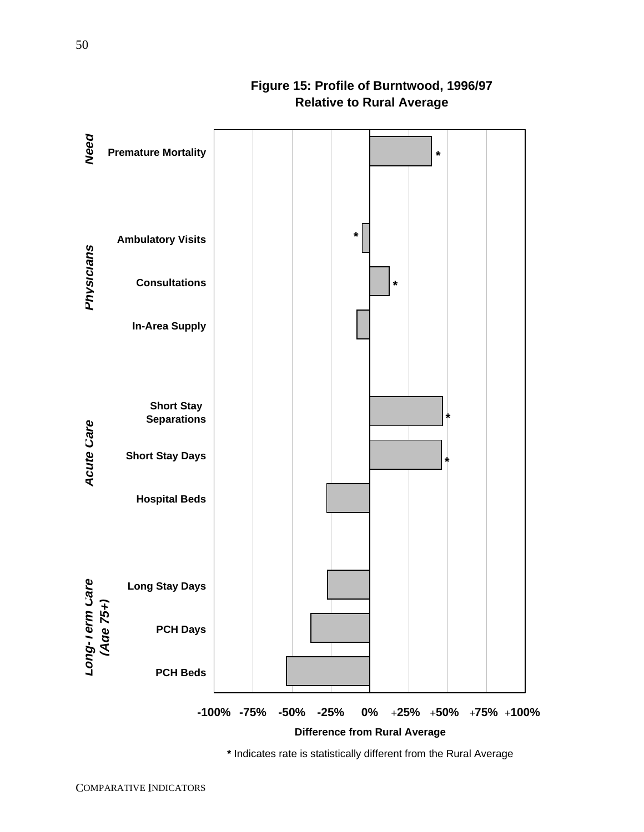

**Figure 15: Profile of Burntwood, 1996/97 Relative to Rural Average**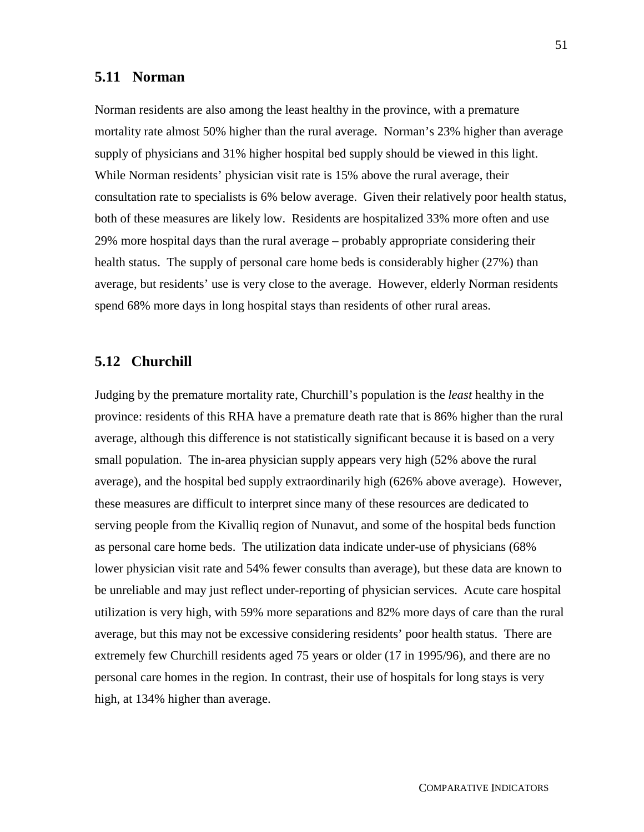# **5.11 Norman**

Norman residents are also among the least healthy in the province, with a premature mortality rate almost 50% higher than the rural average. Norman's 23% higher than average supply of physicians and 31% higher hospital bed supply should be viewed in this light. While Norman residents' physician visit rate is 15% above the rural average, their consultation rate to specialists is 6% below average. Given their relatively poor health status, both of these measures are likely low. Residents are hospitalized 33% more often and use 29% more hospital days than the rural average – probably appropriate considering their health status. The supply of personal care home beds is considerably higher (27%) than average, but residents' use is very close to the average. However, elderly Norman residents spend 68% more days in long hospital stays than residents of other rural areas.

#### **5.12 Churchill**

Judging by the premature mortality rate, Churchill's population is the *least* healthy in the province: residents of this RHA have a premature death rate that is 86% higher than the rural average, although this difference is not statistically significant because it is based on a very small population. The in-area physician supply appears very high (52% above the rural average), and the hospital bed supply extraordinarily high (626% above average). However, these measures are difficult to interpret since many of these resources are dedicated to serving people from the Kivalliq region of Nunavut, and some of the hospital beds function as personal care home beds. The utilization data indicate under-use of physicians (68% lower physician visit rate and 54% fewer consults than average), but these data are known to be unreliable and may just reflect under-reporting of physician services. Acute care hospital utilization is very high, with 59% more separations and 82% more days of care than the rural average, but this may not be excessive considering residents' poor health status. There are extremely few Churchill residents aged 75 years or older (17 in 1995/96), and there are no personal care homes in the region. In contrast, their use of hospitals for long stays is very high, at 134% higher than average.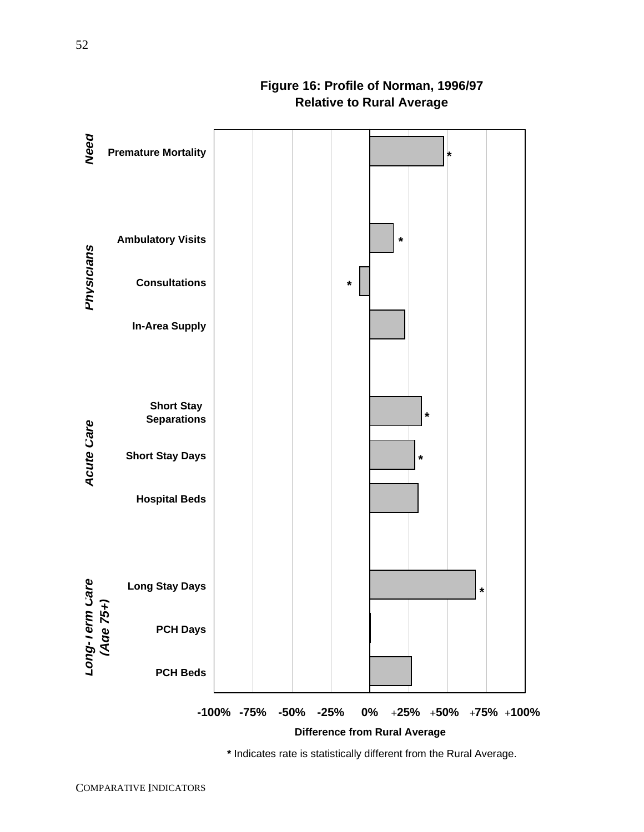# **Need Premature Mortality \*Ambulatory Visits \*** Physicians **Care Physicians Consultations \* In-Area Supply Short Stay \* Separations Acute Care Short Stay Days \* Hospital Beds -Term Care Long Stay Days \* (Age 75+) PCH Days Long PCH Beds -100% -75% -50% -25% 0% 25% 50% 75% 100%** + + + +

# **Figure 16: Profile of Norman, 1996/97 Relative to Rural Average**

**\*** Indicates rate is statistically different from the Rural Average.

**Difference from Rural Average**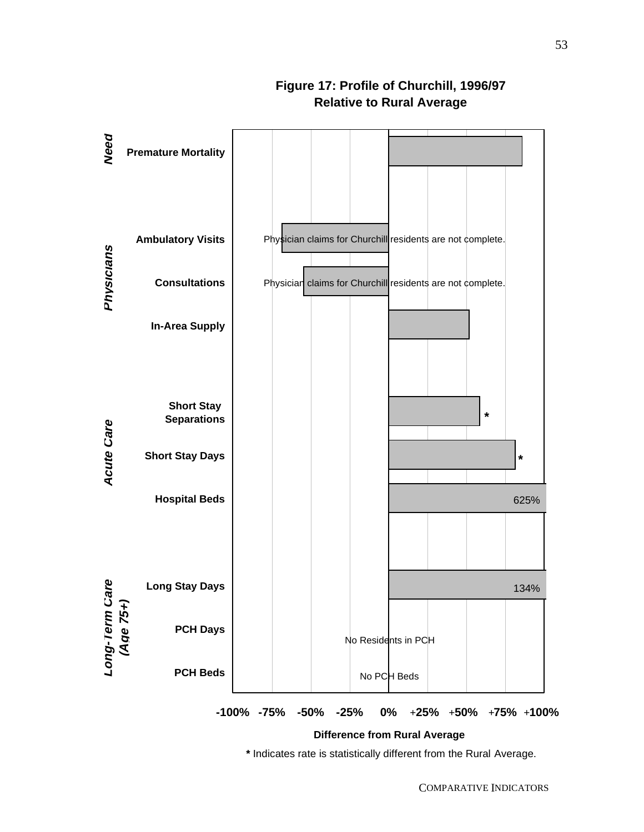

# **Figure 17: Profile of Churchill, 1996/97 Relative to Rural Average**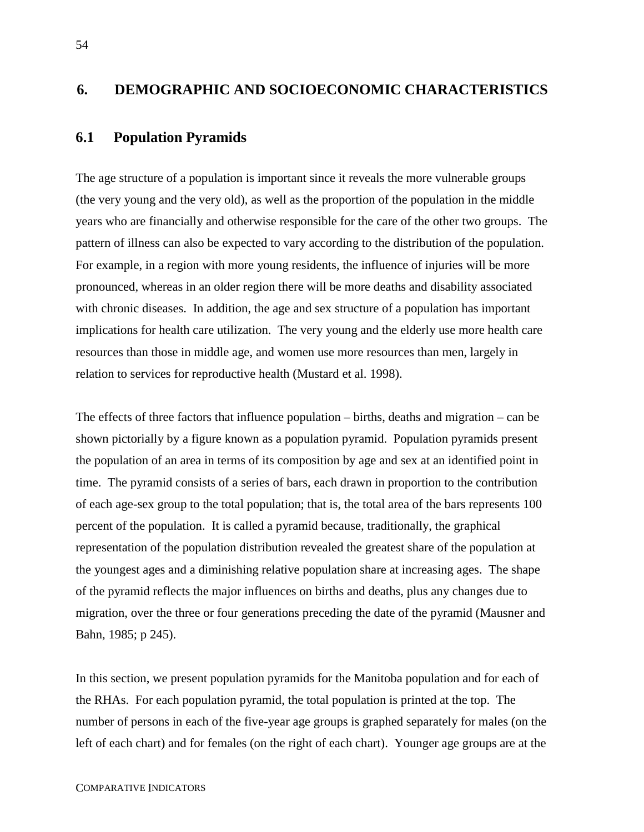#### **6. DEMOGRAPHIC AND SOCIOECONOMIC CHARACTERISTICS**

#### **6.1 Population Pyramids**

The age structure of a population is important since it reveals the more vulnerable groups (the very young and the very old), as well as the proportion of the population in the middle years who are financially and otherwise responsible for the care of the other two groups. The pattern of illness can also be expected to vary according to the distribution of the population. For example, in a region with more young residents, the influence of injuries will be more pronounced, whereas in an older region there will be more deaths and disability associated with chronic diseases. In addition, the age and sex structure of a population has important implications for health care utilization. The very young and the elderly use more health care resources than those in middle age, and women use more resources than men, largely in relation to services for reproductive health (Mustard et al. 1998).

The effects of three factors that influence population – births, deaths and migration – can be shown pictorially by a figure known as a population pyramid. Population pyramids present the population of an area in terms of its composition by age and sex at an identified point in time. The pyramid consists of a series of bars, each drawn in proportion to the contribution of each age-sex group to the total population; that is, the total area of the bars represents 100 percent of the population. It is called a pyramid because, traditionally, the graphical representation of the population distribution revealed the greatest share of the population at the youngest ages and a diminishing relative population share at increasing ages. The shape of the pyramid reflects the major influences on births and deaths, plus any changes due to migration, over the three or four generations preceding the date of the pyramid (Mausner and Bahn, 1985; p 245).

In this section, we present population pyramids for the Manitoba population and for each of the RHAs. For each population pyramid, the total population is printed at the top. The number of persons in each of the five-year age groups is graphed separately for males (on the left of each chart) and for females (on the right of each chart). Younger age groups are at the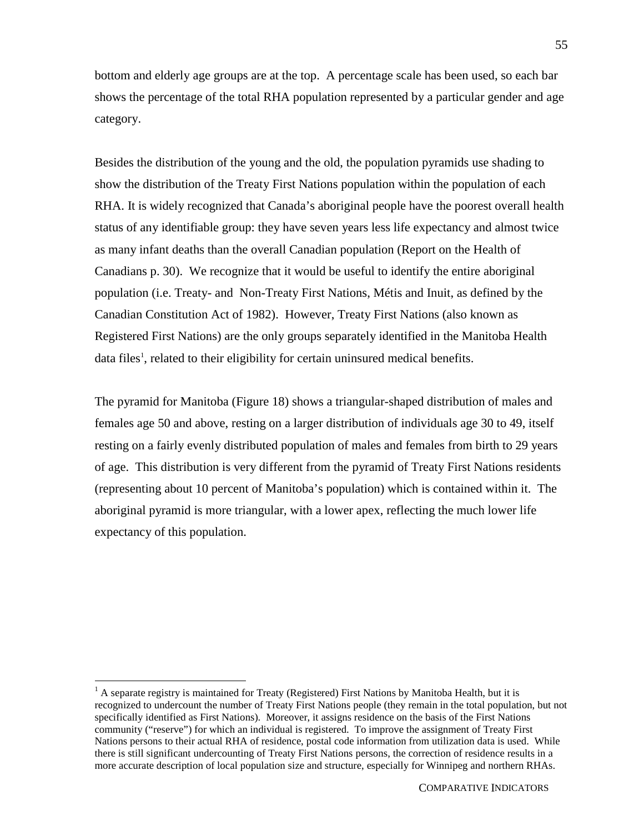bottom and elderly age groups are at the top. A percentage scale has been used, so each bar shows the percentage of the total RHA population represented by a particular gender and age category.

Besides the distribution of the young and the old, the population pyramids use shading to show the distribution of the Treaty First Nations population within the population of each RHA. It is widely recognized that Canada's aboriginal people have the poorest overall health status of any identifiable group: they have seven years less life expectancy and almost twice as many infant deaths than the overall Canadian population (Report on the Health of Canadians p. 30). We recognize that it would be useful to identify the entire aboriginal population (i.e. Treaty- and Non-Treaty First Nations, Métis and Inuit, as defined by the Canadian Constitution Act of 1982). However, Treaty First Nations (also known as Registered First Nations) are the only groups separately identified in the Manitoba Health data files<sup>1</sup>, related to their eligibility for certain uninsured medical benefits.

The pyramid for Manitoba (Figure 18) shows a triangular-shaped distribution of males and females age 50 and above, resting on a larger distribution of individuals age 30 to 49, itself resting on a fairly evenly distributed population of males and females from birth to 29 years of age. This distribution is very different from the pyramid of Treaty First Nations residents (representing about 10 percent of Manitoba's population) which is contained within it. The aboriginal pyramid is more triangular, with a lower apex, reflecting the much lower life expectancy of this population.

 $\overline{a}$ 

 $<sup>1</sup>$  A separate registry is maintained for Treaty (Registered) First Nations by Manitoba Health, but it is</sup> recognized to undercount the number of Treaty First Nations people (they remain in the total population, but not specifically identified as First Nations). Moreover, it assigns residence on the basis of the First Nations community ("reserve") for which an individual is registered. To improve the assignment of Treaty First Nations persons to their actual RHA of residence, postal code information from utilization data is used. While there is still significant undercounting of Treaty First Nations persons, the correction of residence results in a more accurate description of local population size and structure, especially for Winnipeg and northern RHAs.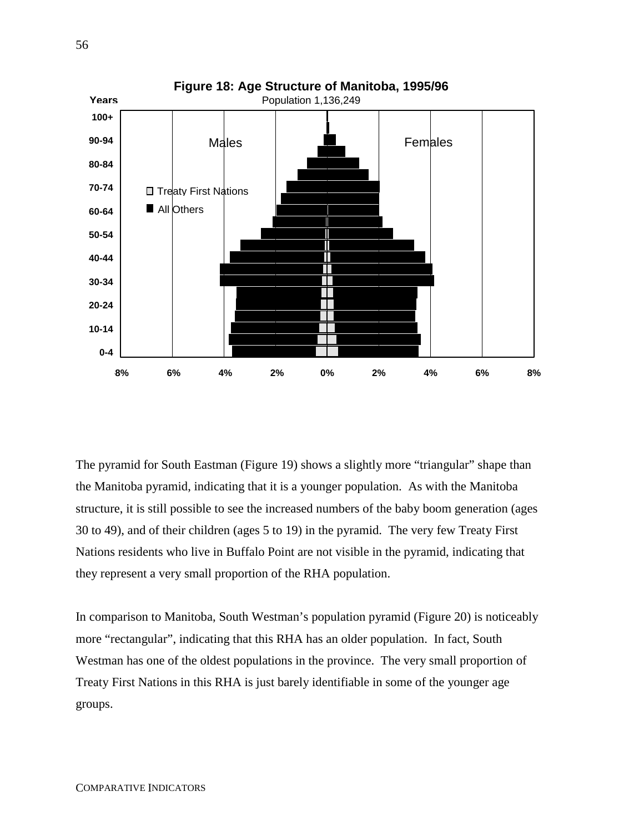

The pyramid for South Eastman (Figure 19) shows a slightly more "triangular" shape than the Manitoba pyramid, indicating that it is a younger population. As with the Manitoba structure, it is still possible to see the increased numbers of the baby boom generation (ages 30 to 49), and of their children (ages 5 to 19) in the pyramid. The very few Treaty First Nations residents who live in Buffalo Point are not visible in the pyramid, indicating that they represent a very small proportion of the RHA population.

In comparison to Manitoba, South Westman's population pyramid (Figure 20) is noticeably more "rectangular", indicating that this RHA has an older population. In fact, South Westman has one of the oldest populations in the province. The very small proportion of Treaty First Nations in this RHA is just barely identifiable in some of the younger age groups.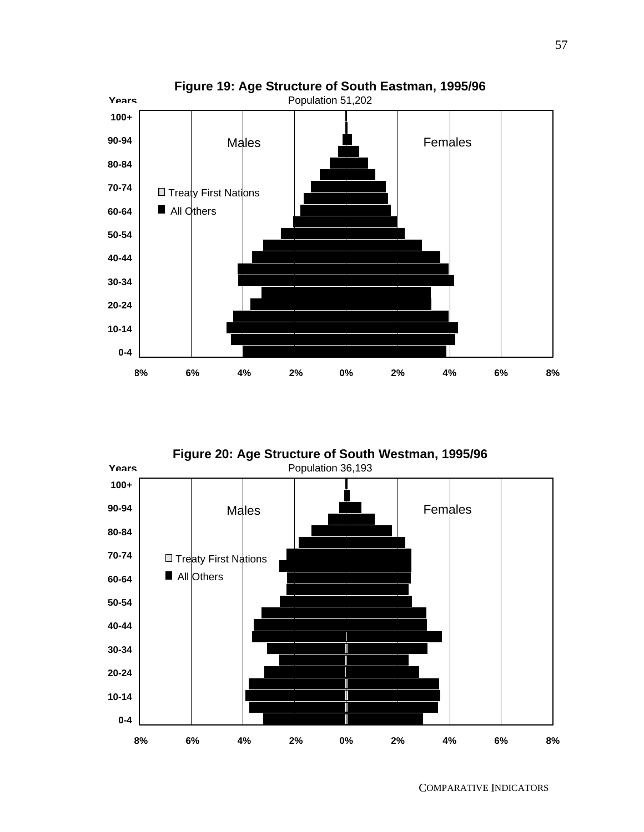

**Figure 20: Age Structure of South Westman, 1995/96**

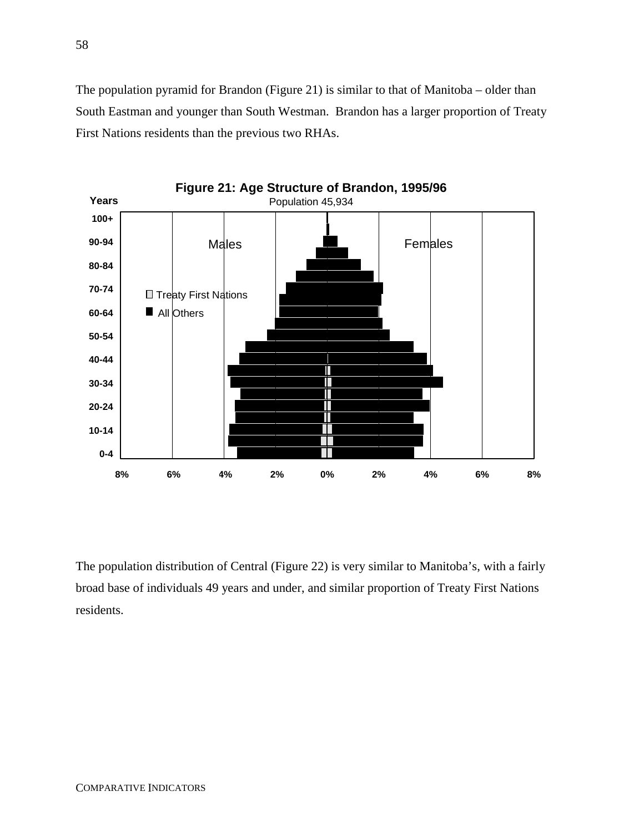The population pyramid for Brandon (Figure 21) is similar to that of Manitoba – older than South Eastman and younger than South Westman. Brandon has a larger proportion of Treaty First Nations residents than the previous two RHAs.



The population distribution of Central (Figure 22) is very similar to Manitoba's, with a fairly broad base of individuals 49 years and under, and similar proportion of Treaty First Nations residents.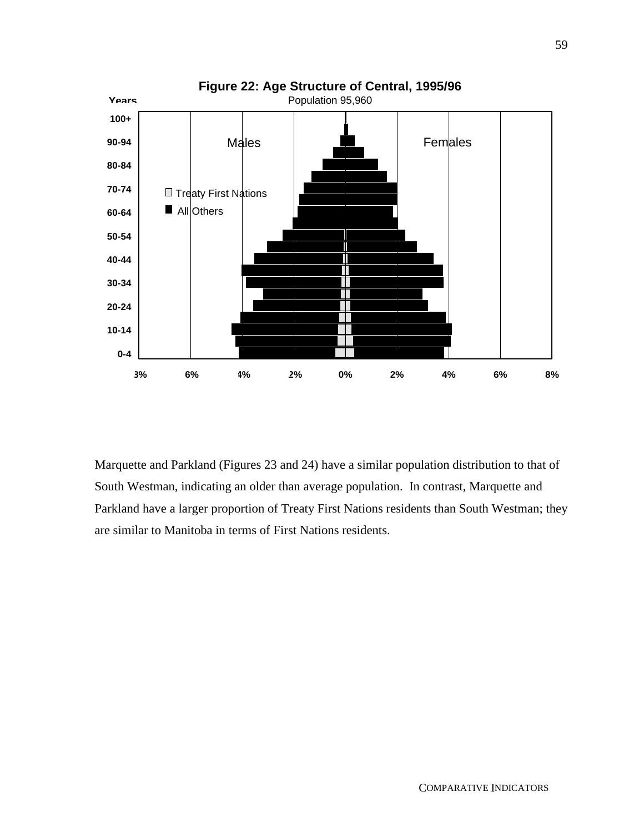

Marquette and Parkland (Figures 23 and 24) have a similar population distribution to that of South Westman, indicating an older than average population. In contrast, Marquette and Parkland have a larger proportion of Treaty First Nations residents than South Westman; they are similar to Manitoba in terms of First Nations residents.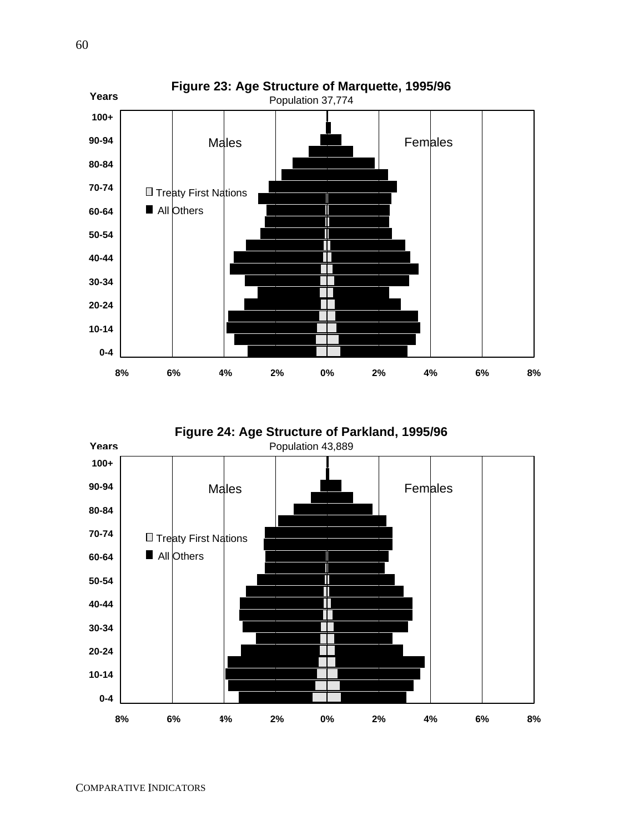

**Figure 24: Age Structure of Parkland, 1995/96**

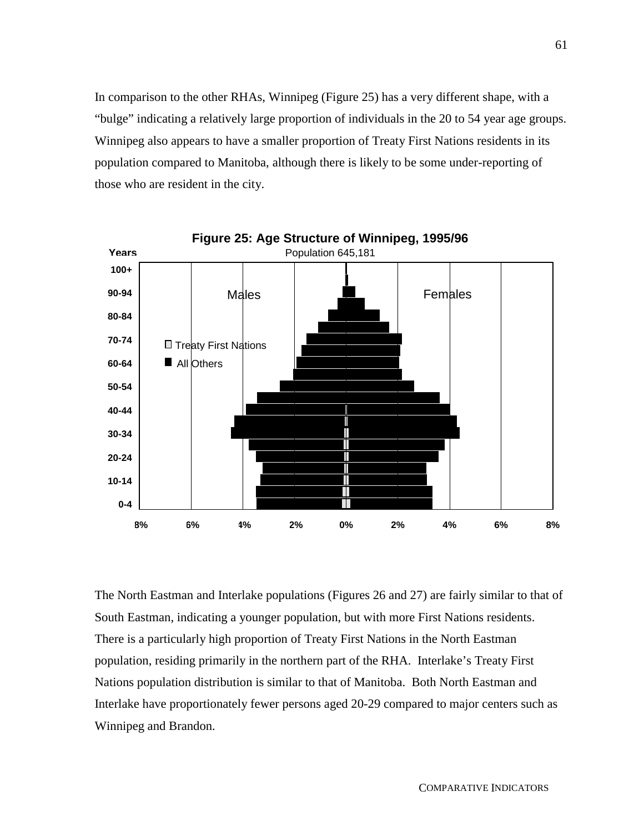In comparison to the other RHAs, Winnipeg (Figure 25) has a very different shape, with a "bulge" indicating a relatively large proportion of individuals in the 20 to 54 year age groups. Winnipeg also appears to have a smaller proportion of Treaty First Nations residents in its population compared to Manitoba, although there is likely to be some under-reporting of those who are resident in the city.



The North Eastman and Interlake populations (Figures 26 and 27) are fairly similar to that of South Eastman, indicating a younger population, but with more First Nations residents. There is a particularly high proportion of Treaty First Nations in the North Eastman population, residing primarily in the northern part of the RHA. Interlake's Treaty First Nations population distribution is similar to that of Manitoba. Both North Eastman and Interlake have proportionately fewer persons aged 20-29 compared to major centers such as Winnipeg and Brandon.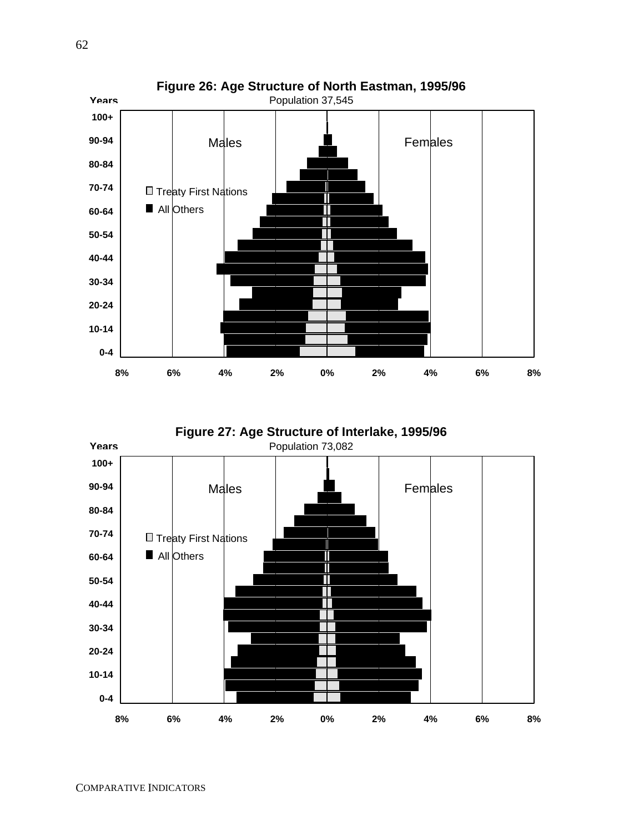

**Figure 27: Age Structure of Interlake, 1995/96**

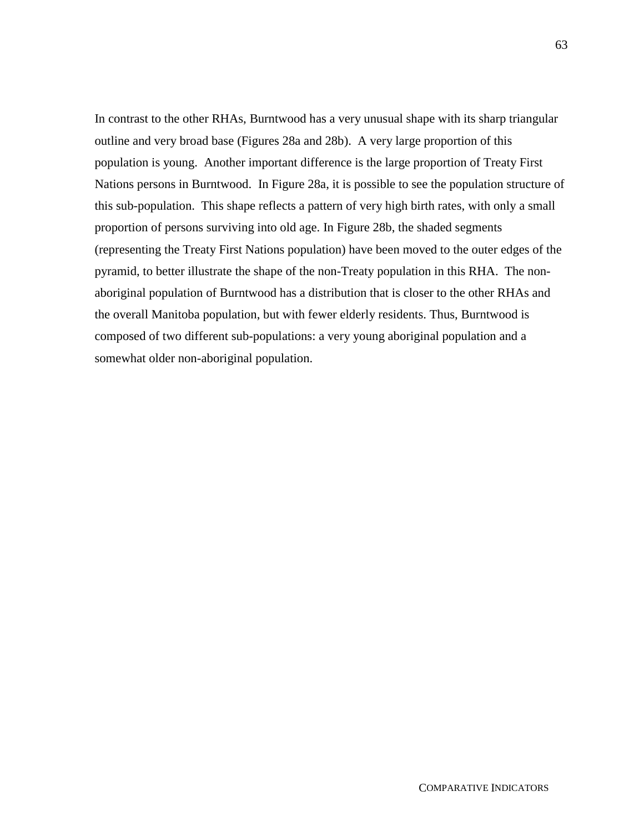In contrast to the other RHAs, Burntwood has a very unusual shape with its sharp triangular outline and very broad base (Figures 28a and 28b). A very large proportion of this population is young. Another important difference is the large proportion of Treaty First Nations persons in Burntwood. In Figure 28a, it is possible to see the population structure of this sub-population. This shape reflects a pattern of very high birth rates, with only a small proportion of persons surviving into old age. In Figure 28b, the shaded segments (representing the Treaty First Nations population) have been moved to the outer edges of the pyramid, to better illustrate the shape of the non-Treaty population in this RHA. The nonaboriginal population of Burntwood has a distribution that is closer to the other RHAs and the overall Manitoba population, but with fewer elderly residents. Thus, Burntwood is composed of two different sub-populations: a very young aboriginal population and a somewhat older non-aboriginal population.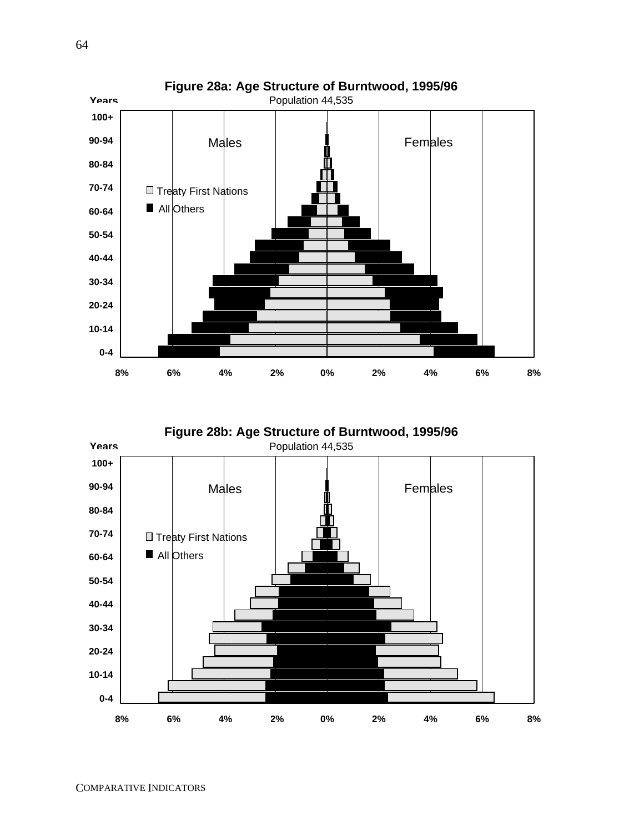

**Figure 28b: Age Structure of Burntwood, 1995/96**

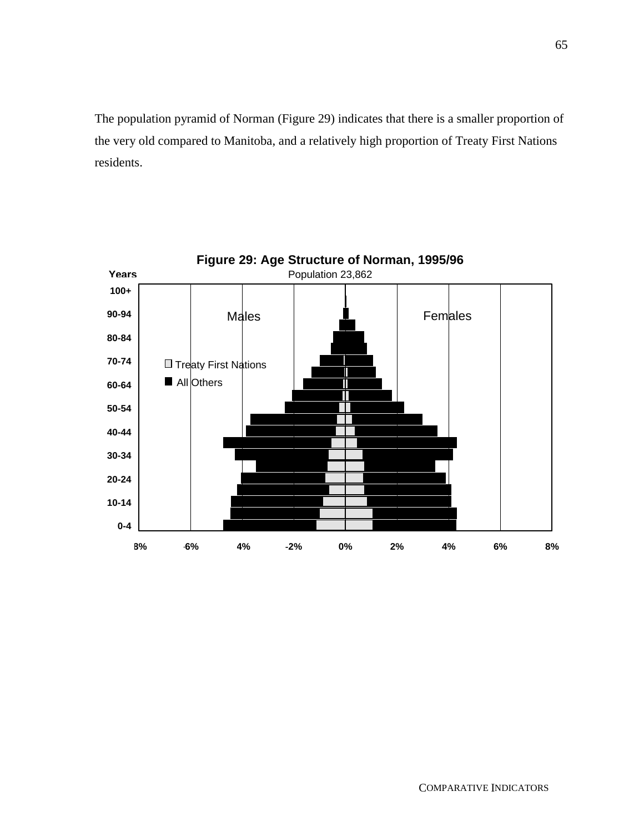The population pyramid of Norman (Figure 29) indicates that there is a smaller proportion of the very old compared to Manitoba, and a relatively high proportion of Treaty First Nations residents.

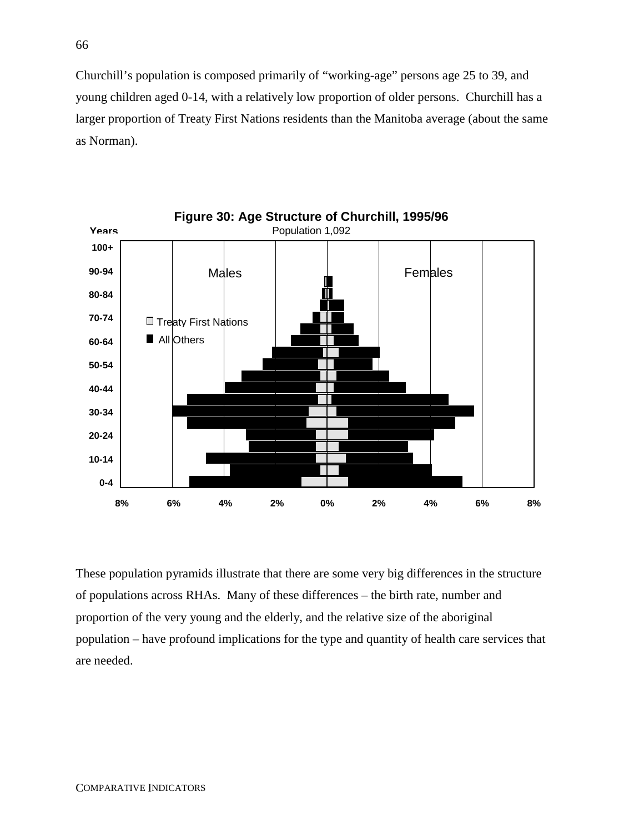Churchill's population is composed primarily of "working-age" persons age 25 to 39, and young children aged 0-14, with a relatively low proportion of older persons. Churchill has a larger proportion of Treaty First Nations residents than the Manitoba average (about the same as Norman).



These population pyramids illustrate that there are some very big differences in the structure of populations across RHAs. Many of these differences – the birth rate, number and proportion of the very young and the elderly, and the relative size of the aboriginal population – have profound implications for the type and quantity of health care services that are needed.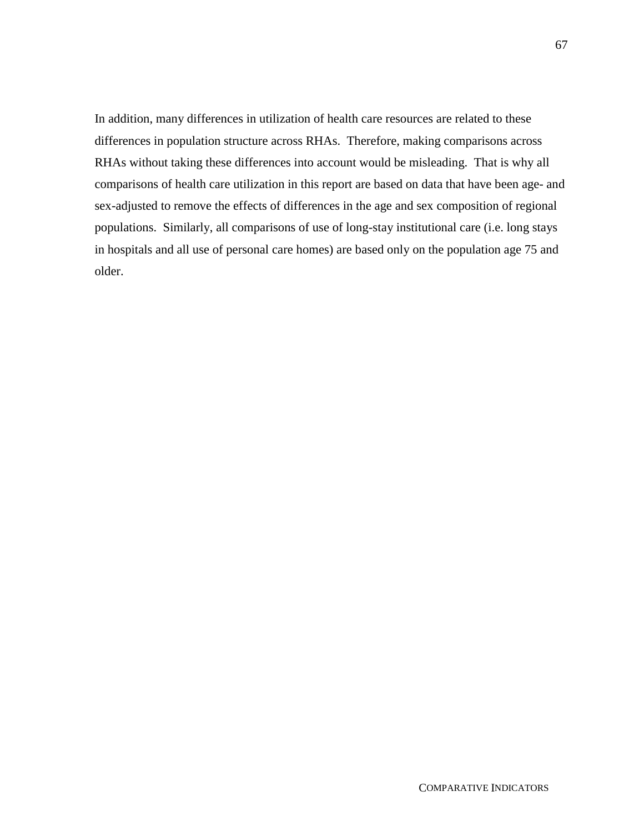In addition, many differences in utilization of health care resources are related to these differences in population structure across RHAs. Therefore, making comparisons across RHAs without taking these differences into account would be misleading. That is why all comparisons of health care utilization in this report are based on data that have been age- and sex-adjusted to remove the effects of differences in the age and sex composition of regional populations. Similarly, all comparisons of use of long-stay institutional care (i.e. long stays in hospitals and all use of personal care homes) are based only on the population age 75 and older.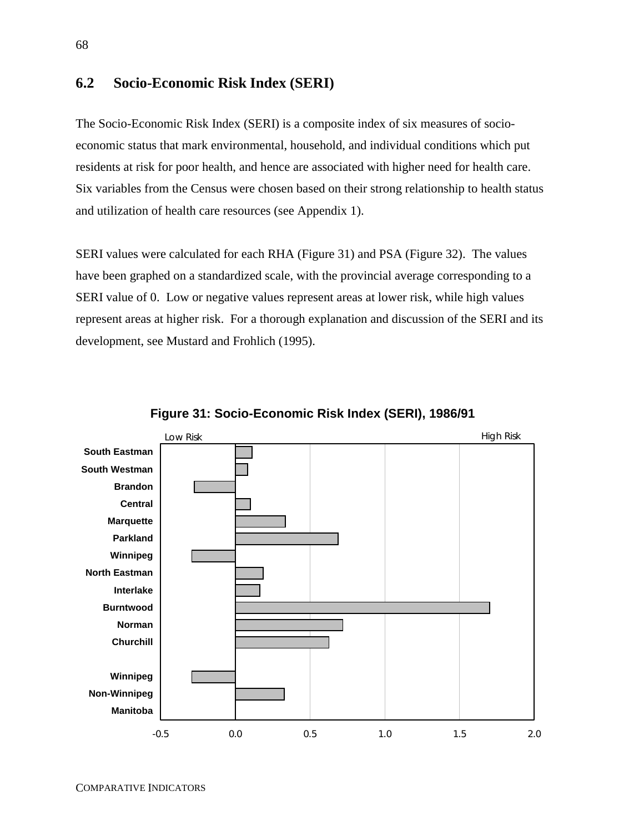### **6.2 Socio-Economic Risk Index (SERI)**

The Socio-Economic Risk Index (SERI) is a composite index of six measures of socioeconomic status that mark environmental, household, and individual conditions which put residents at risk for poor health, and hence are associated with higher need for health care. Six variables from the Census were chosen based on their strong relationship to health status and utilization of health care resources (see Appendix 1).

SERI values were calculated for each RHA (Figure 31) and PSA (Figure 32). The values have been graphed on a standardized scale, with the provincial average corresponding to a SERI value of 0. Low or negative values represent areas at lower risk, while high values represent areas at higher risk. For a thorough explanation and discussion of the SERI and its development, see Mustard and Frohlich (1995).



**Figure 31: Socio-Economic Risk Index (SERI), 1986/91**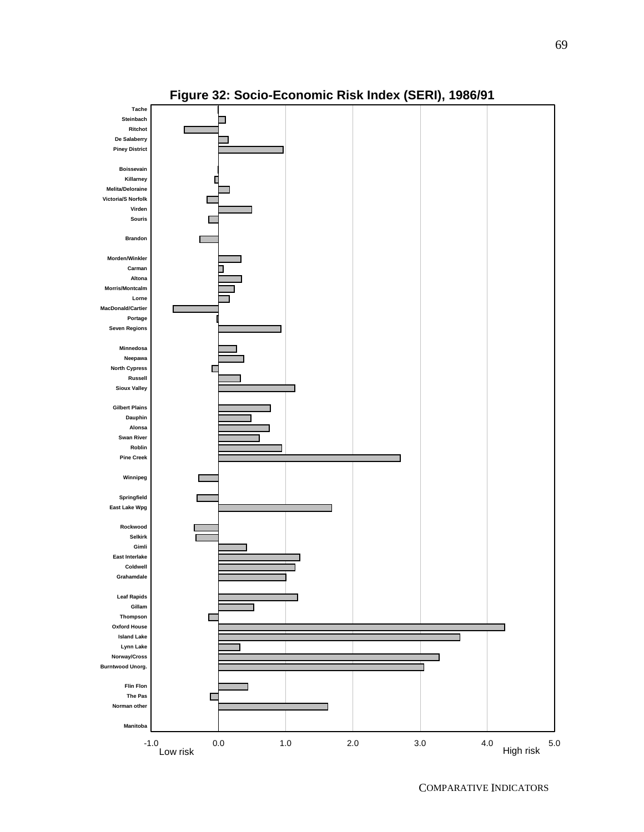

**Figure 32: Socio-Economic Risk Index (SERI), 1986/91**

COMPARATIVE INDICATORS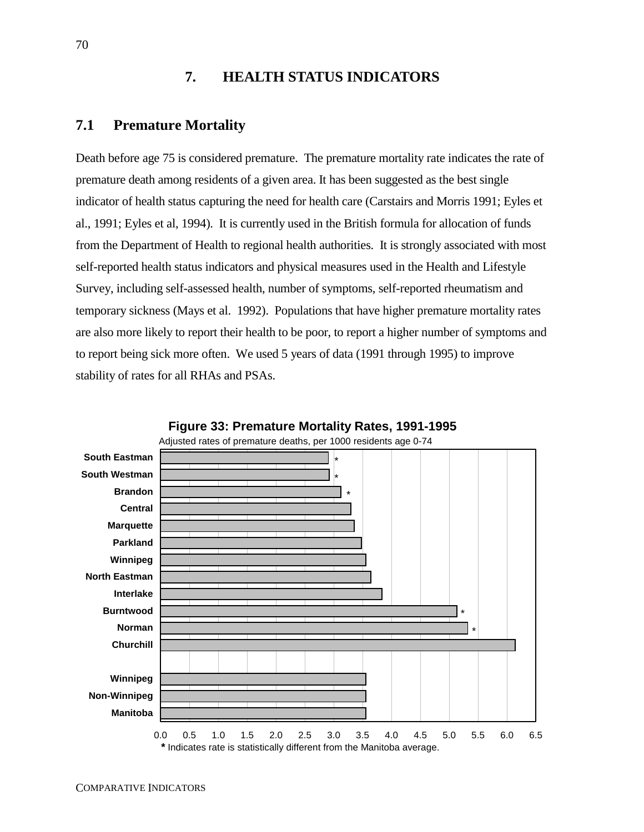# **7. HEALTH STATUS INDICATORS**

## **7.1 Premature Mortality**

Death before age 75 is considered premature. The premature mortality rate indicates the rate of premature death among residents of a given area. It has been suggested as the best single indicator of health status capturing the need for health care (Carstairs and Morris 1991; Eyles et al., 1991; Eyles et al, 1994). It is currently used in the British formula for allocation of funds from the Department of Health to regional health authorities. It is strongly associated with most self-reported health status indicators and physical measures used in the Health and Lifestyle Survey, including self-assessed health, number of symptoms, self-reported rheumatism and temporary sickness (Mays et al. 1992). Populations that have higher premature mortality rates are also more likely to report their health to be poor, to report a higher number of symptoms and to report being sick more often. We used 5 years of data (1991 through 1995) to improve stability of rates for all RHAs and PSAs.



**Figure 33: Premature Mortality Rates, 1991-1995**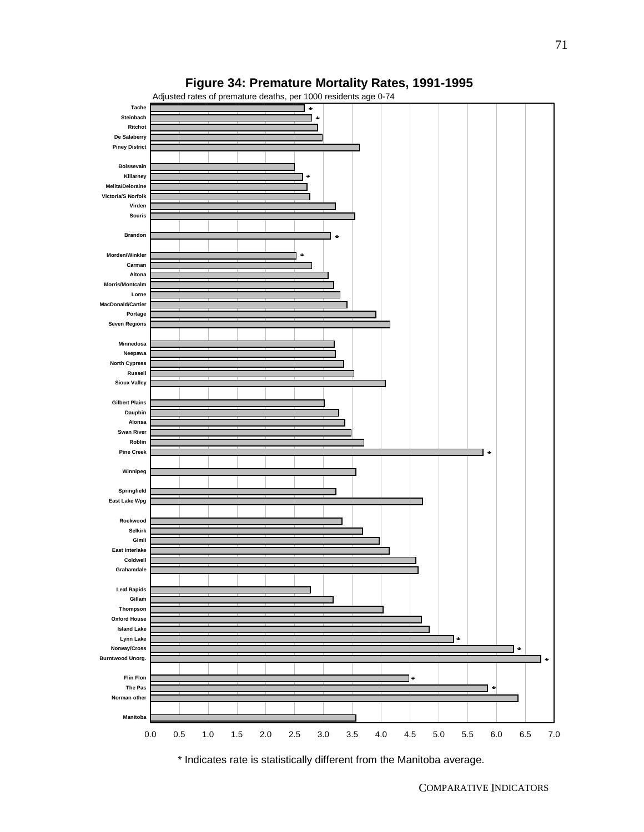



\* Indicates rate is statistically different from the Manitoba average.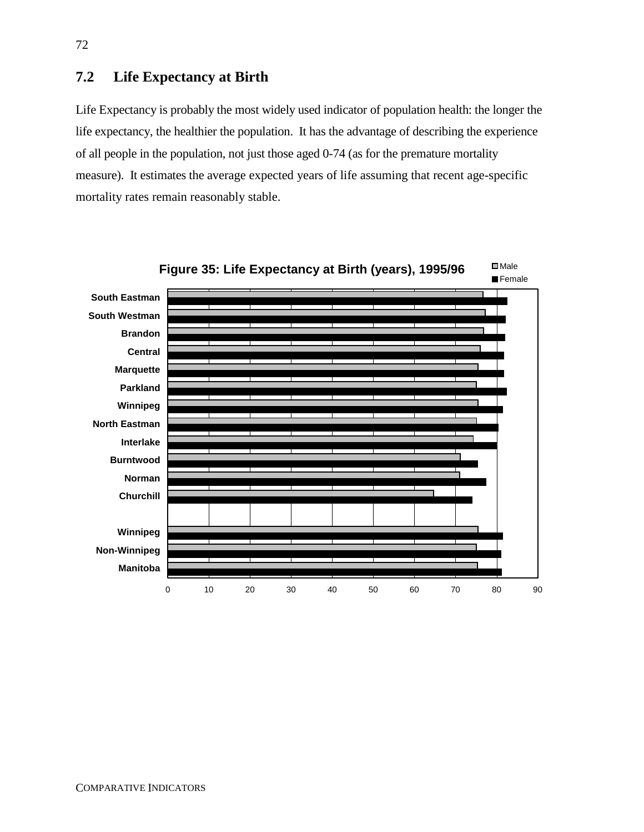# **7.2 Life Expectancy at Birth**

Life Expectancy is probably the most widely used indicator of population health: the longer the life expectancy, the healthier the population. It has the advantage of describing the experience of all people in the population, not just those aged 0-74 (as for the premature mortality measure). It estimates the average expected years of life assuming that recent age-specific mortality rates remain reasonably stable.



72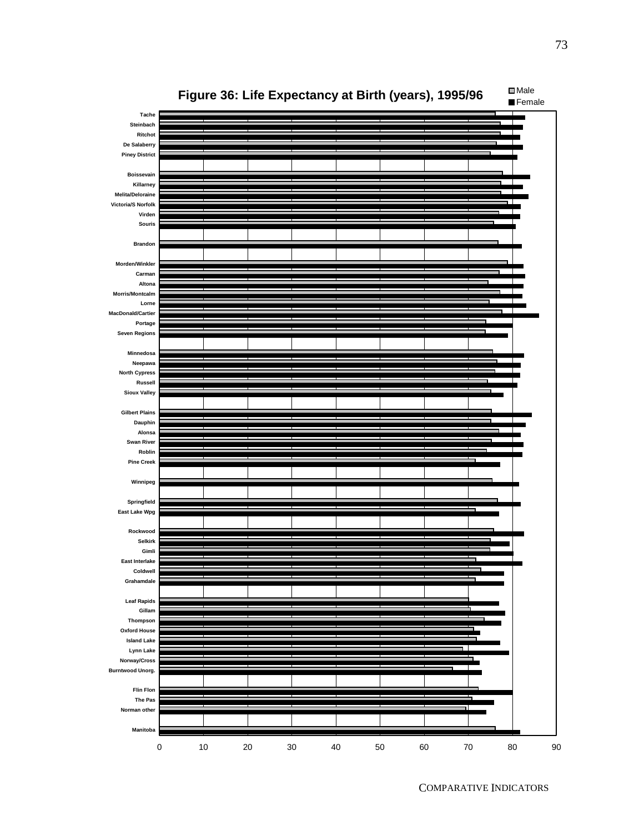

73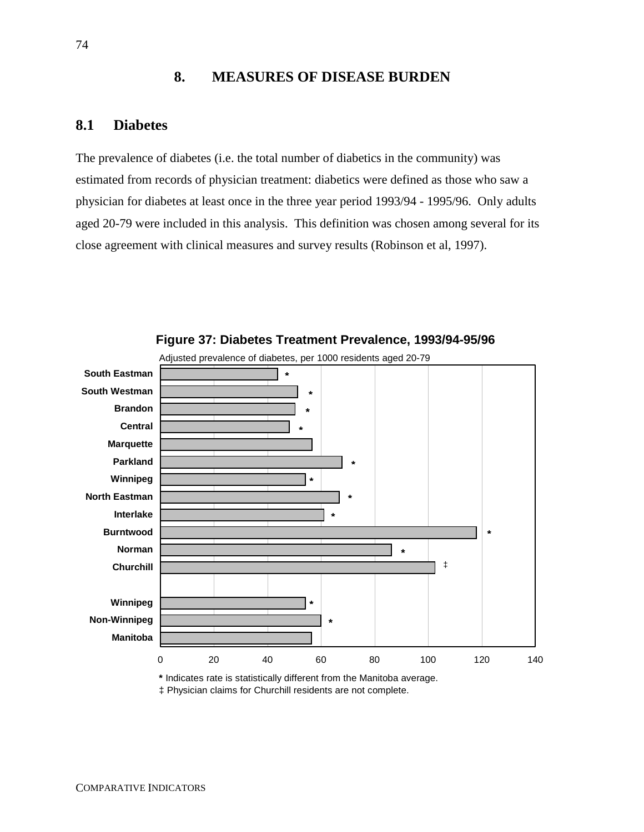# **8. MEASURES OF DISEASE BURDEN**

### **8.1 Diabetes**

The prevalence of diabetes (i.e. the total number of diabetics in the community) was estimated from records of physician treatment: diabetics were defined as those who saw a physician for diabetes at least once in the three year period 1993/94 - 1995/96. Only adults aged 20-79 were included in this analysis. This definition was chosen among several for its close agreement with clinical measures and survey results (Robinson et al, 1997).





**\*** Indicates rate is statistically different from the Manitoba average. ‡ Physician claims for Churchill residents are not complete.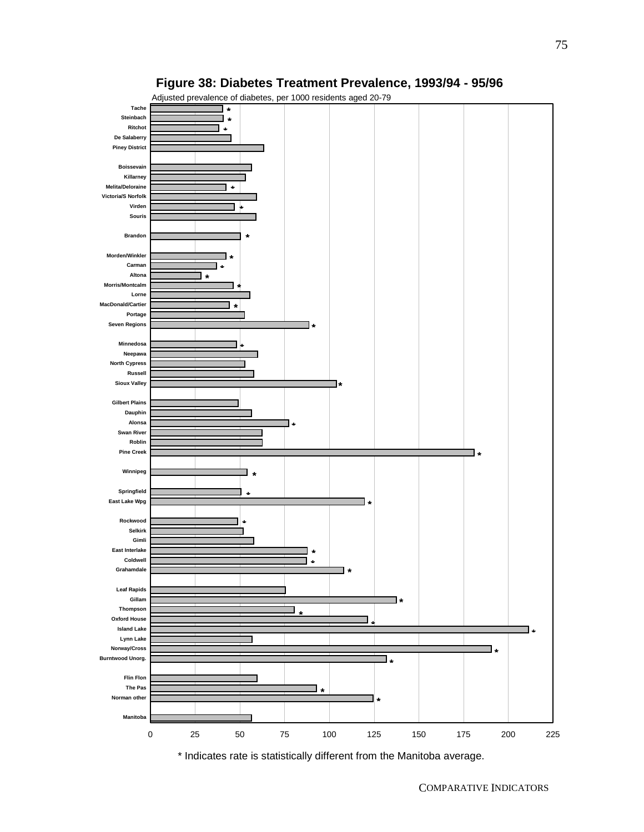

### **Figure 38: Diabetes Treatment Prevalence, 1993/94 - 95/96**

\* Indicates rate is statistically different from the Manitoba average.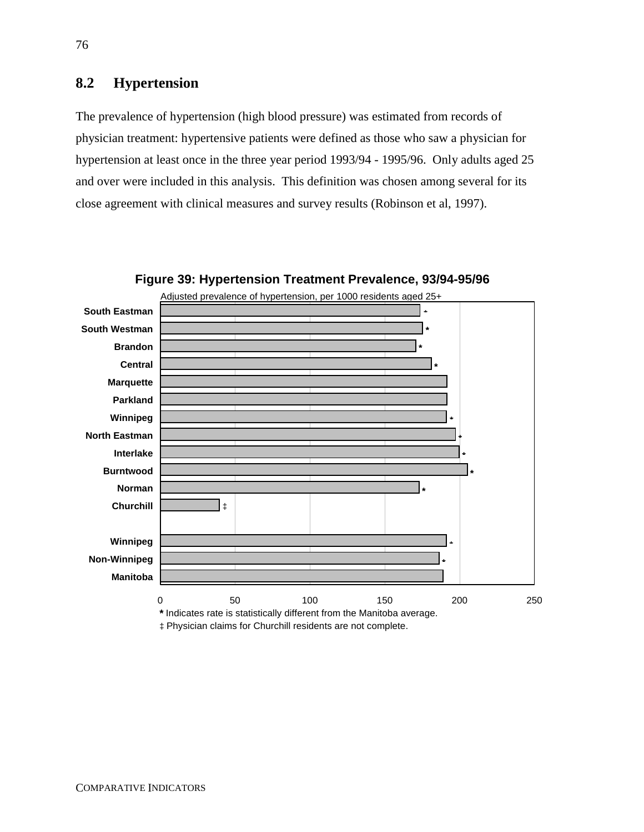# **8.2 Hypertension**

The prevalence of hypertension (high blood pressure) was estimated from records of physician treatment: hypertensive patients were defined as those who saw a physician for hypertension at least once in the three year period 1993/94 - 1995/96. Only adults aged 25 and over were included in this analysis. This definition was chosen among several for its close agreement with clinical measures and survey results (Robinson et al, 1997).



**Figure 39: Hypertension Treatment Prevalence, 93/94-95/96**

‡ Physician claims for Churchill residents are not complete.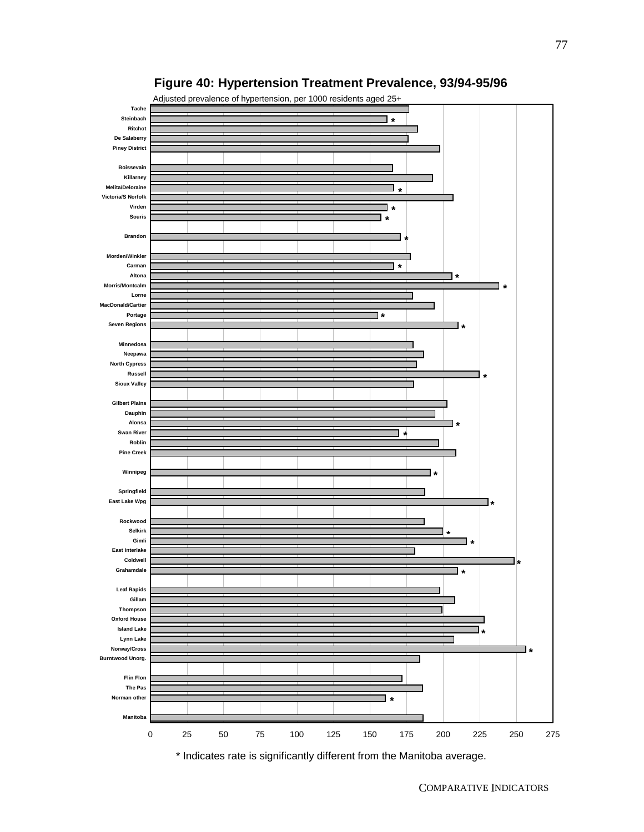

### **Figure 40: Hypertension Treatment Prevalence, 93/94-95/96**

COMPARATIVE INDICATORS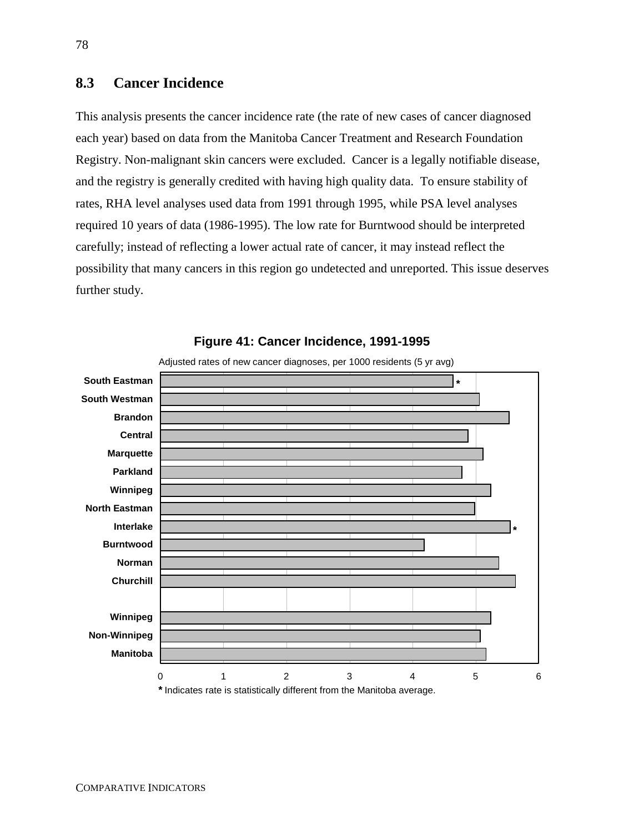# **8.3 Cancer Incidence**

This analysis presents the cancer incidence rate (the rate of new cases of cancer diagnosed each year) based on data from the Manitoba Cancer Treatment and Research Foundation Registry. Non-malignant skin cancers were excluded. Cancer is a legally notifiable disease, and the registry is generally credited with having high quality data. To ensure stability of rates, RHA level analyses used data from 1991 through 1995, while PSA level analyses required 10 years of data (1986-1995). The low rate for Burntwood should be interpreted carefully; instead of reflecting a lower actual rate of cancer, it may instead reflect the possibility that many cancers in this region go undetected and unreported. This issue deserves further study.



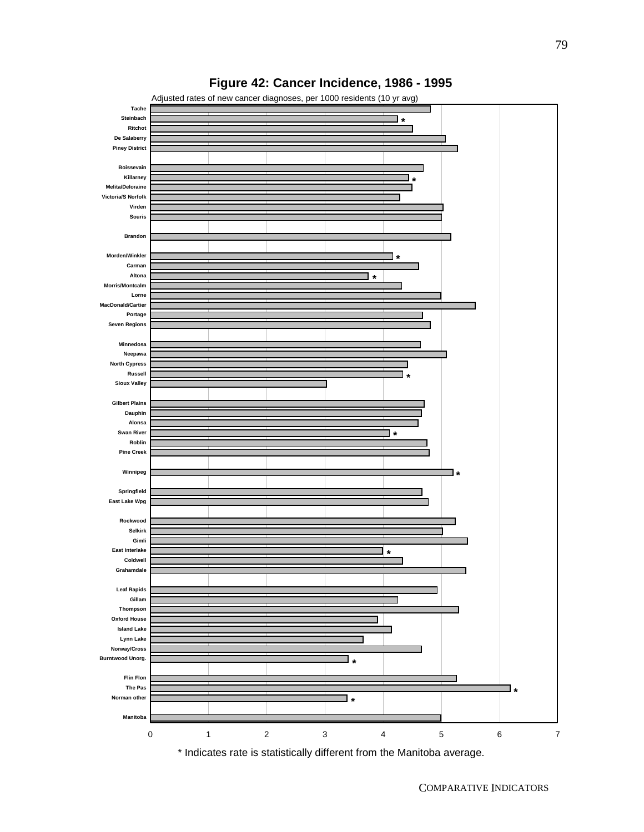

## **Figure 42: Cancer Incidence, 1986 - 1995**

COMPARATIVE INDICATORS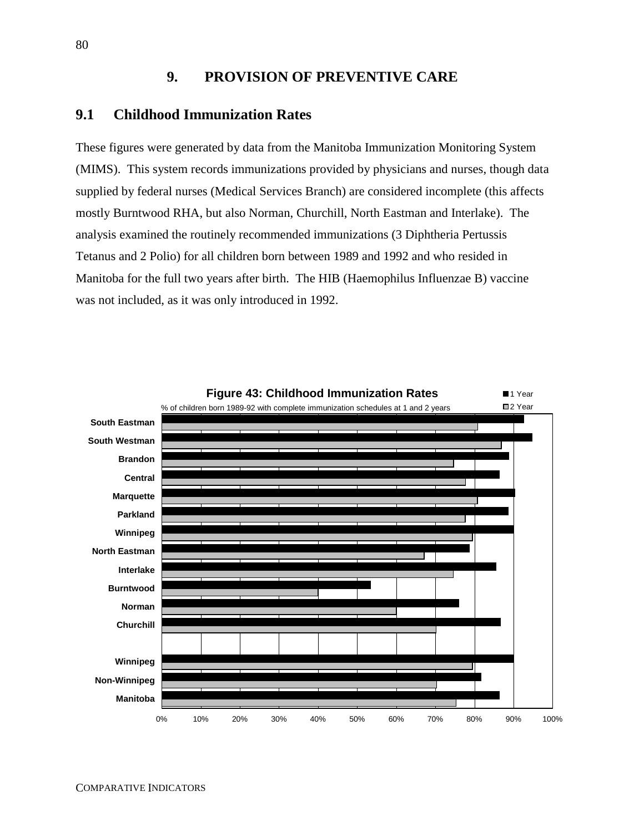# **9. PROVISION OF PREVENTIVE CARE**

#### **9.1 Childhood Immunization Rates**

These figures were generated by data from the Manitoba Immunization Monitoring System (MIMS). This system records immunizations provided by physicians and nurses, though data supplied by federal nurses (Medical Services Branch) are considered incomplete (this affects mostly Burntwood RHA, but also Norman, Churchill, North Eastman and Interlake). The analysis examined the routinely recommended immunizations (3 Diphtheria Pertussis Tetanus and 2 Polio) for all children born between 1989 and 1992 and who resided in Manitoba for the full two years after birth. The HIB (Haemophilus Influenzae B) vaccine was not included, as it was only introduced in 1992.

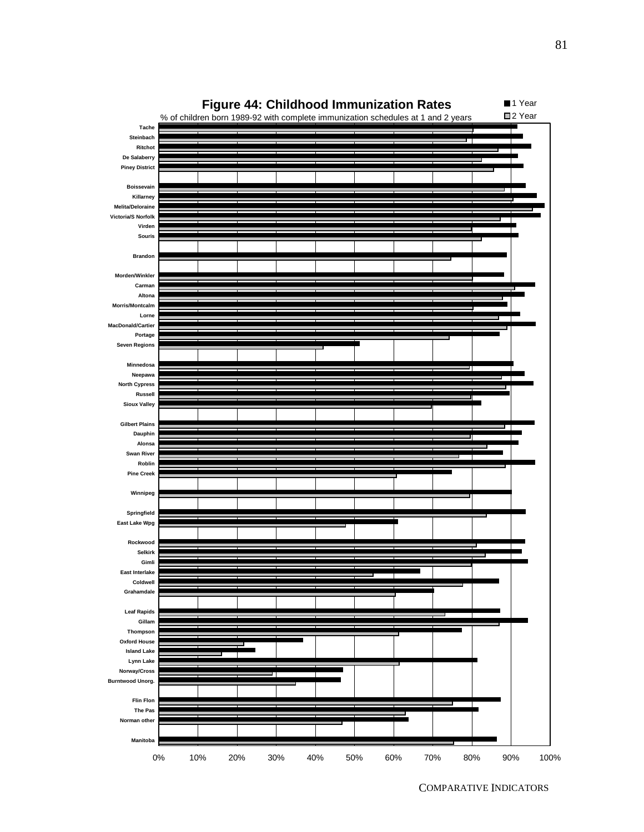

COMPARATIVE INDICATORS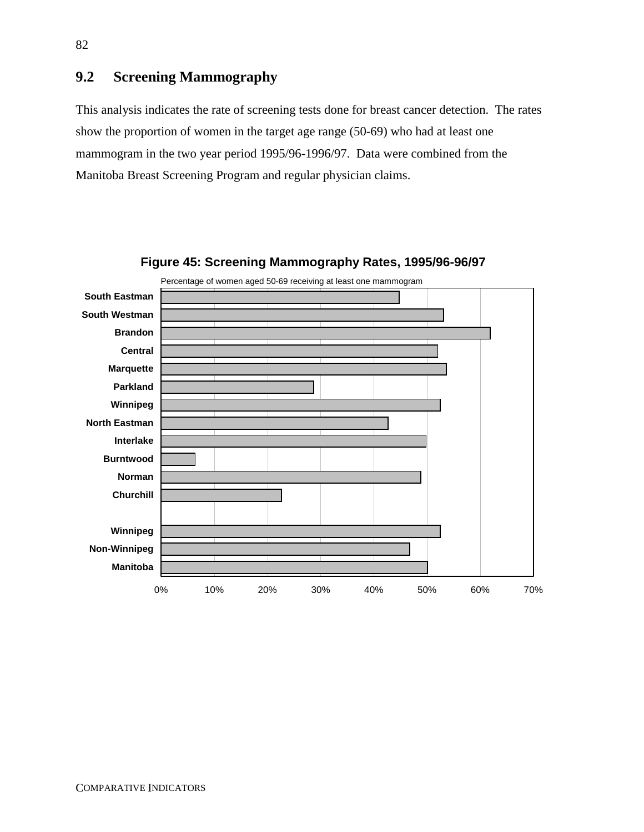# **9.2 Screening Mammography**

This analysis indicates the rate of screening tests done for breast cancer detection. The rates show the proportion of women in the target age range (50-69) who had at least one mammogram in the two year period 1995/96-1996/97. Data were combined from the Manitoba Breast Screening Program and regular physician claims.



**Figure 45: Screening Mammography Rates, 1995/96-96/97**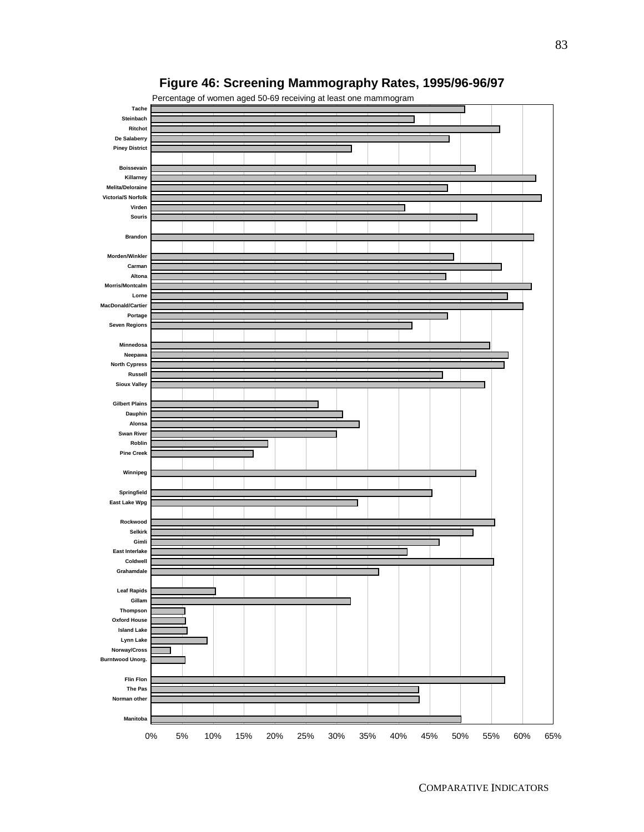

# **Figure 46: Screening Mammography Rates, 1995/96-96/97**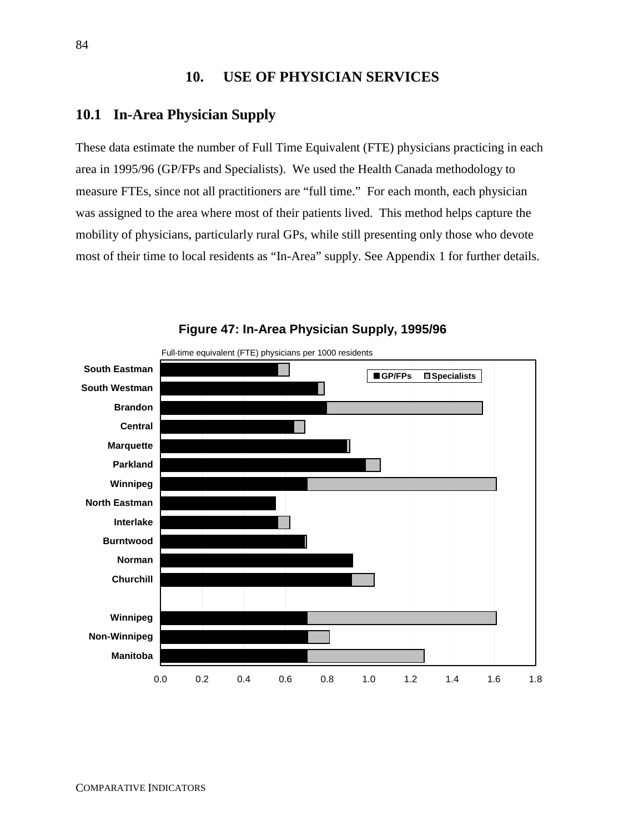# **10. USE OF PHYSICIAN SERVICES**

### **10.1 In-Area Physician Supply**

These data estimate the number of Full Time Equivalent (FTE) physicians practicing in each area in 1995/96 (GP/FPs and Specialists). We used the Health Canada methodology to measure FTEs, since not all practitioners are "full time." For each month, each physician was assigned to the area where most of their patients lived. This method helps capture the mobility of physicians, particularly rural GPs, while still presenting only those who devote most of their time to local residents as "In-Area" supply. See Appendix 1 for further details.



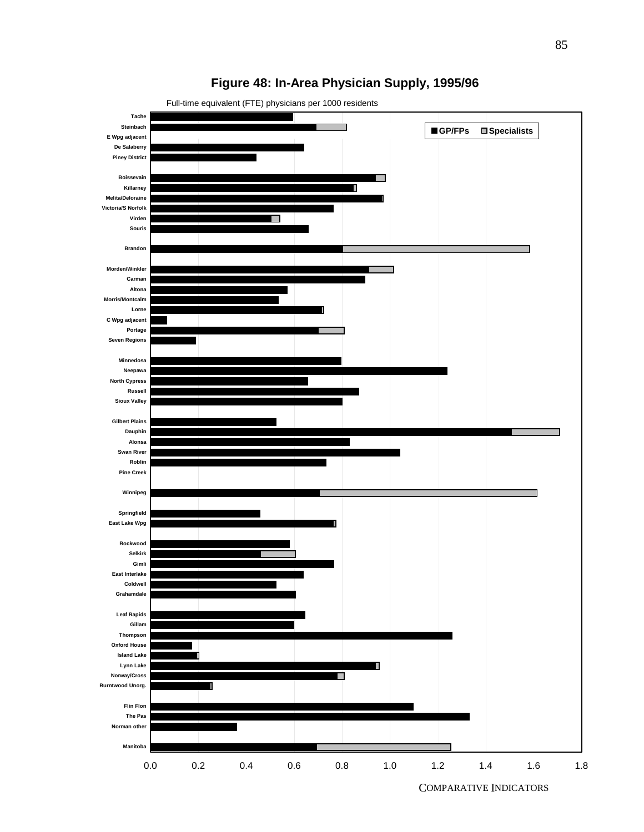

# **Figure 48: In-Area Physician Supply, 1995/96**

COMPARATIVE INDICATORS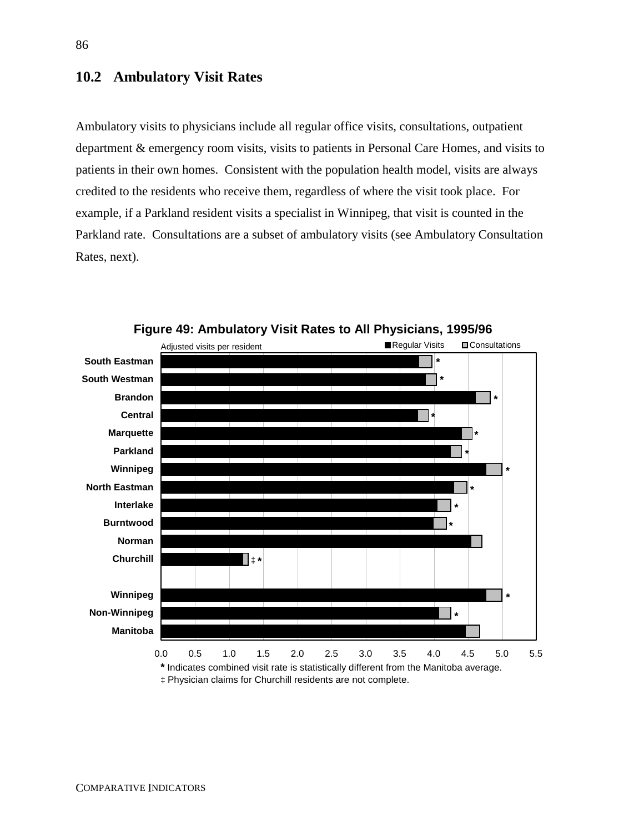### **10.2 Ambulatory Visit Rates**

Ambulatory visits to physicians include all regular office visits, consultations, outpatient department & emergency room visits, visits to patients in Personal Care Homes, and visits to patients in their own homes. Consistent with the population health model, visits are always credited to the residents who receive them, regardless of where the visit took place. For example, if a Parkland resident visits a specialist in Winnipeg, that visit is counted in the Parkland rate. Consultations are a subset of ambulatory visits (see Ambulatory Consultation Rates, next).



**Figure 49: Ambulatory Visit Rates to All Physicians, 1995/96**

‡ Physician claims for Churchill residents are not complete.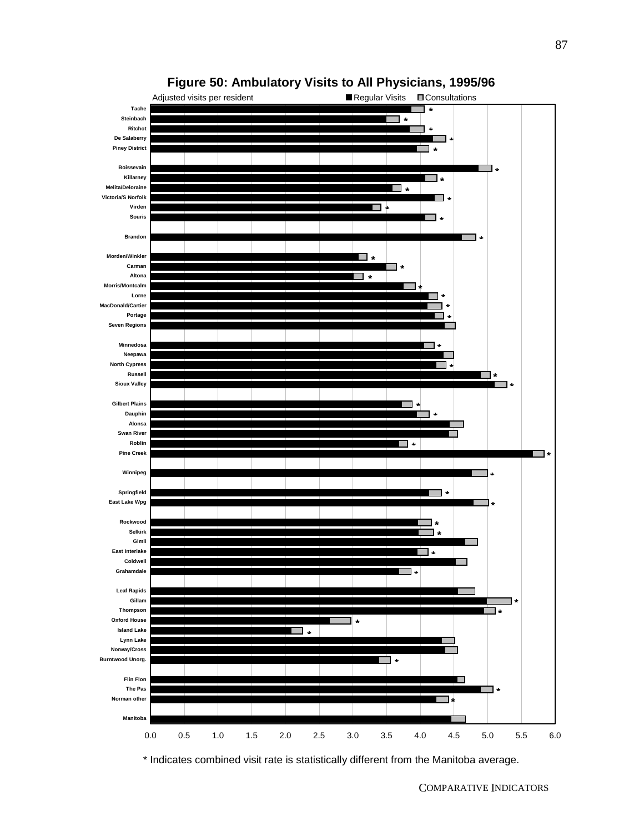



\* Indicates combined visit rate is statistically different from the Manitoba average.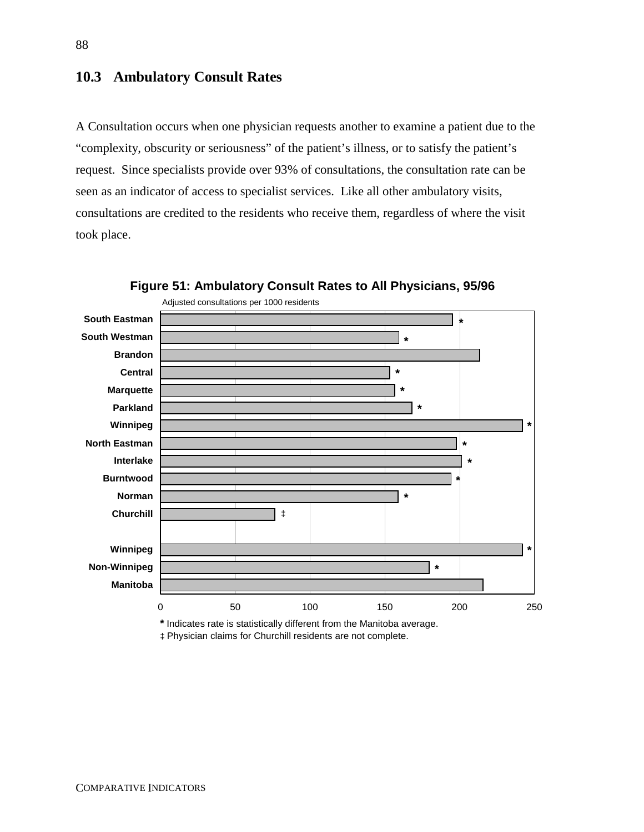## **10.3 Ambulatory Consult Rates**

A Consultation occurs when one physician requests another to examine a patient due to the "complexity, obscurity or seriousness" of the patient's illness, or to satisfy the patient's request. Since specialists provide over 93% of consultations, the consultation rate can be seen as an indicator of access to specialist services. Like all other ambulatory visits, consultations are credited to the residents who receive them, regardless of where the visit took place.



**Figure 51: Ambulatory Consult Rates to All Physicians, 95/96**

**\*** Indicates rate is statistically different from the Manitoba average. ‡ Physician claims for Churchill residents are not complete.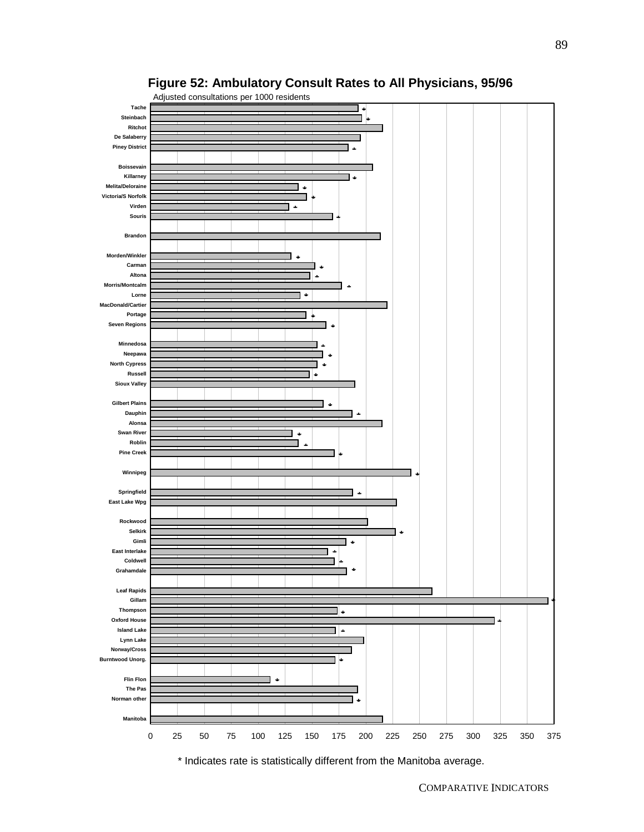



\* Indicates rate is statistically different from the Manitoba average.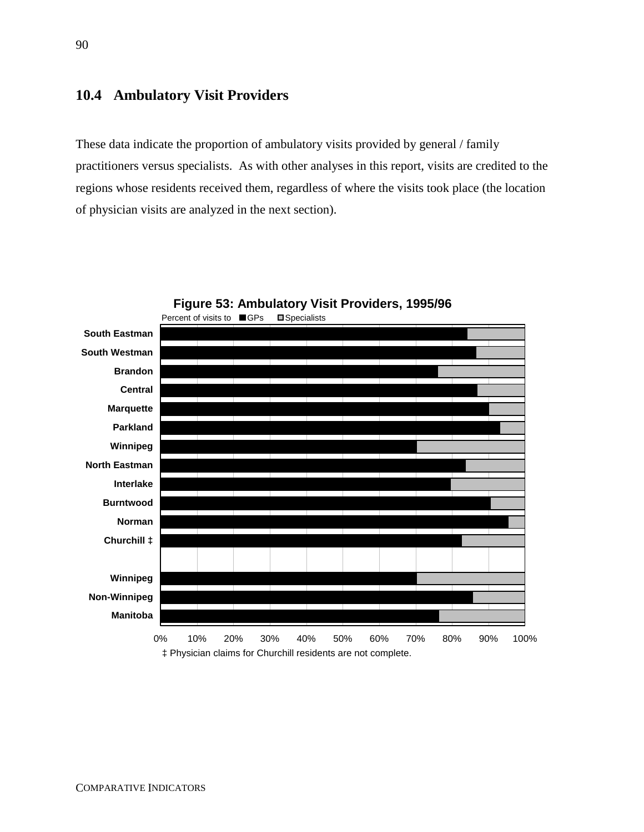# **10.4 Ambulatory Visit Providers**

These data indicate the proportion of ambulatory visits provided by general / family practitioners versus specialists. As with other analyses in this report, visits are credited to the regions whose residents received them, regardless of where the visits took place (the location of physician visits are analyzed in the next section).



**Figure 53: Ambulatory Visit Providers, 1995/96**

0% 10% 20% 30% 40% 50% 60% 70% 80% 90% 100% ‡ Physician claims for Churchill residents are not complete.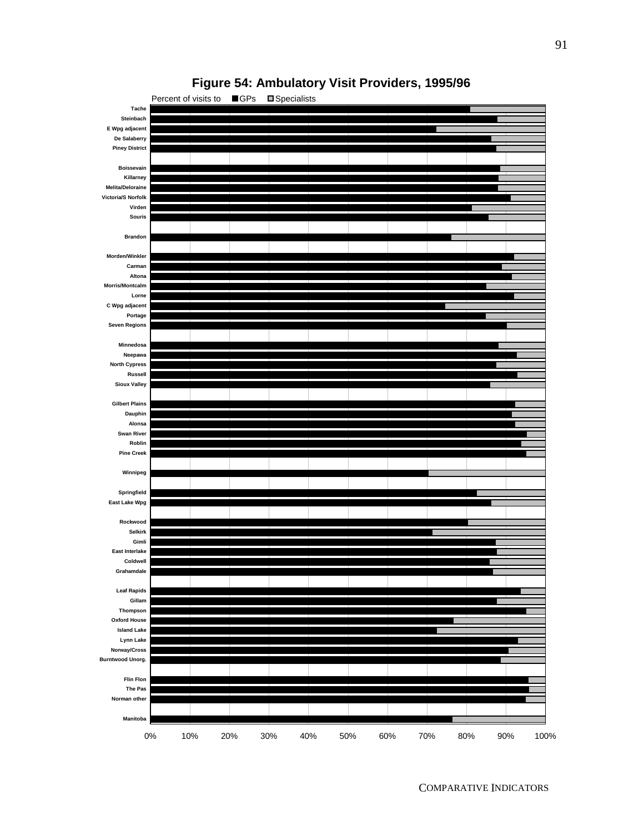

# **Figure 54: Ambulatory Visit Providers, 1995/96**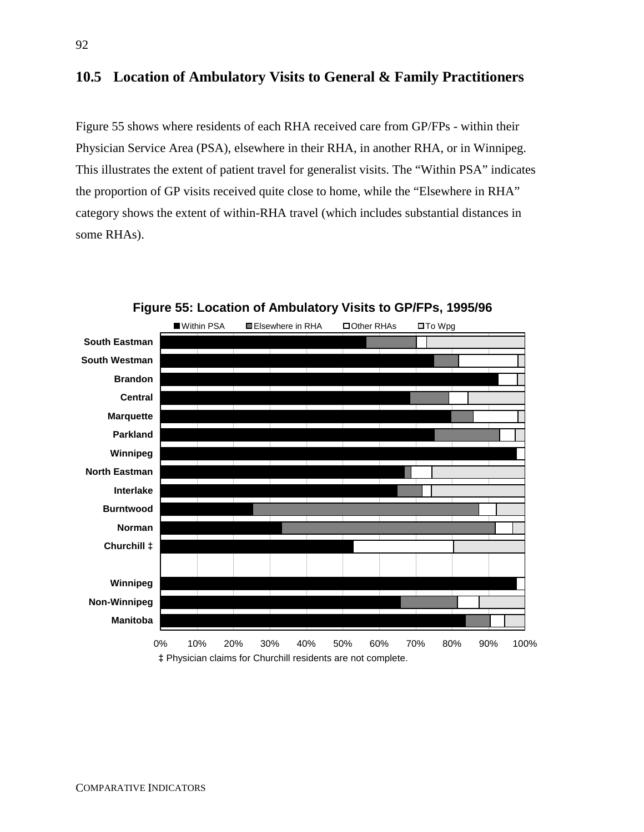## **10.5 Location of Ambulatory Visits to General & Family Practitioners**

Figure 55 shows where residents of each RHA received care from GP/FPs - within their Physician Service Area (PSA), elsewhere in their RHA, in another RHA, or in Winnipeg. This illustrates the extent of patient travel for generalist visits. The "Within PSA" indicates the proportion of GP visits received quite close to home, while the "Elsewhere in RHA" category shows the extent of within-RHA travel (which includes substantial distances in some RHAs).



**Figure 55: Location of Ambulatory Visits to GP/FPs, 1995/96**

**‡** Physician claims for Churchill residents are not complete.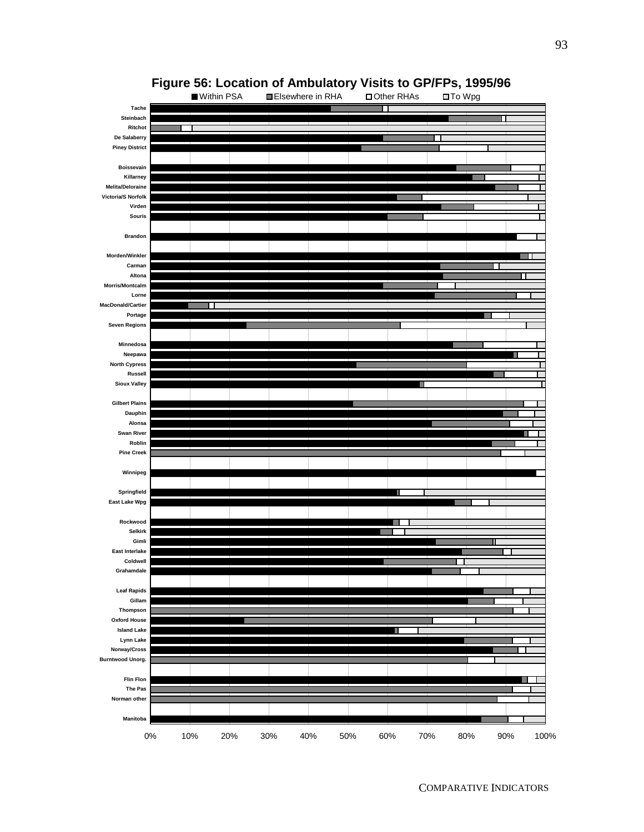

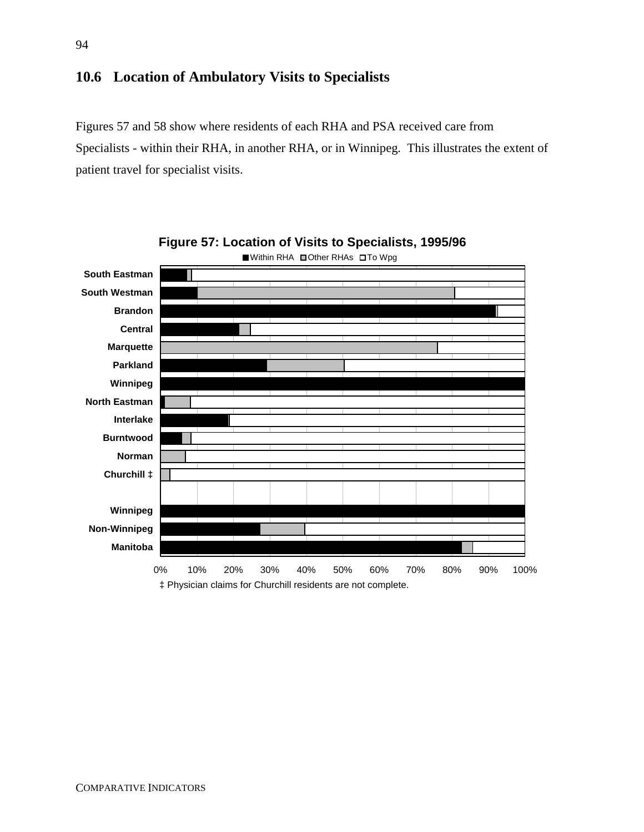# **10.6 Location of Ambulatory Visits to Specialists**

Figures 57 and 58 show where residents of each RHA and PSA received care from Specialists - within their RHA, in another RHA, or in Winnipeg. This illustrates the extent of patient travel for specialist visits.



94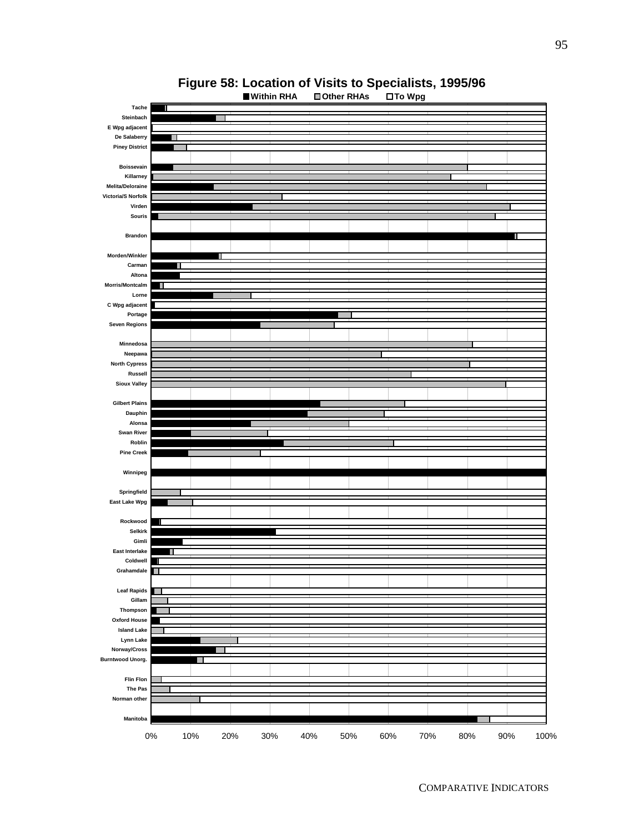

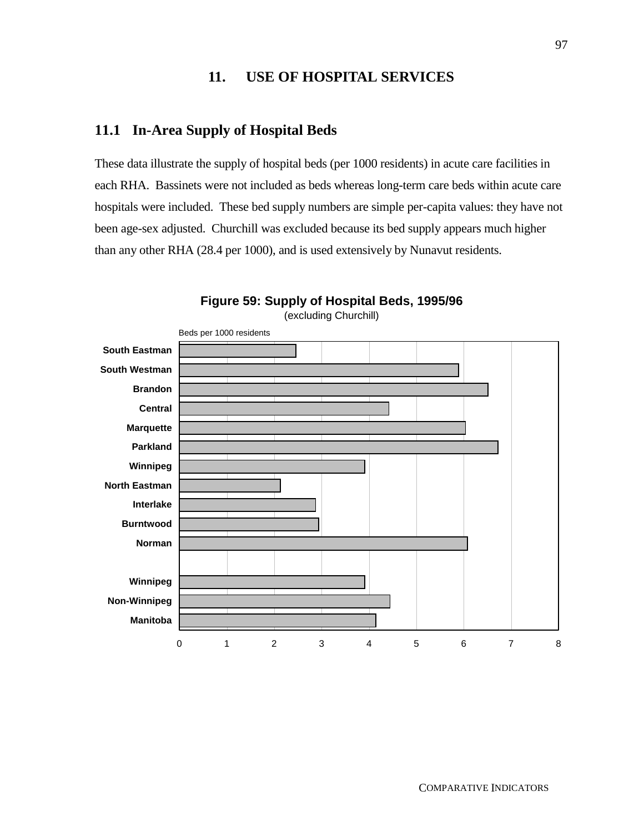# **11. USE OF HOSPITAL SERVICES**

#### **11.1 In-Area Supply of Hospital Beds**

These data illustrate the supply of hospital beds (per 1000 residents) in acute care facilities in each RHA. Bassinets were not included as beds whereas long-term care beds within acute care hospitals were included. These bed supply numbers are simple per-capita values: they have not been age-sex adjusted. Churchill was excluded because its bed supply appears much higher than any other RHA (28.4 per 1000), and is used extensively by Nunavut residents.



**Figure 59: Supply of Hospital Beds, 1995/96**  (excluding Churchill)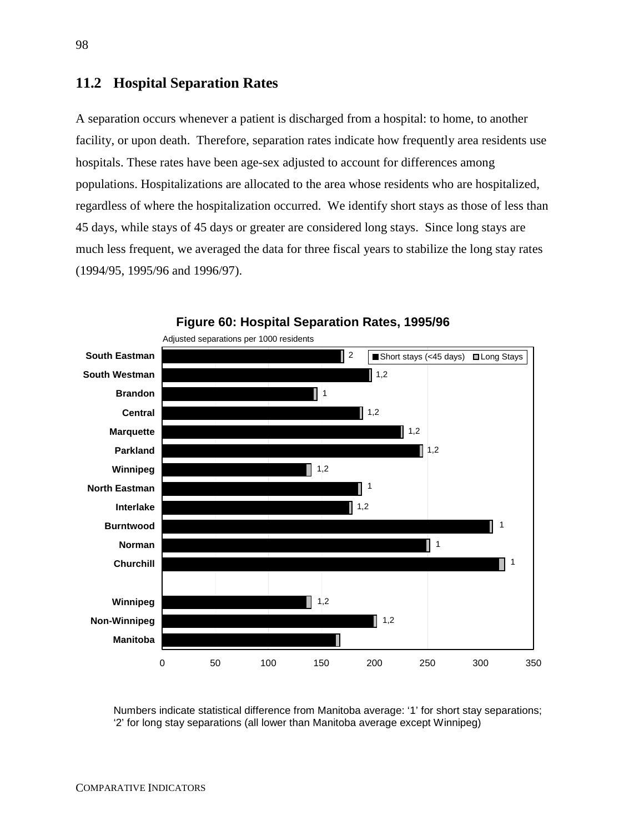## **11.2 Hospital Separation Rates**

A separation occurs whenever a patient is discharged from a hospital: to home, to another facility, or upon death. Therefore, separation rates indicate how frequently area residents use hospitals. These rates have been age-sex adjusted to account for differences among populations. Hospitalizations are allocated to the area whose residents who are hospitalized, regardless of where the hospitalization occurred. We identify short stays as those of less than 45 days, while stays of 45 days or greater are considered long stays. Since long stays are much less frequent, we averaged the data for three fiscal years to stabilize the long stay rates (1994/95, 1995/96 and 1996/97).



**Figure 60: Hospital Separation Rates, 1995/96**

Numbers indicate statistical difference from Manitoba average: '1' for short stay separations; '2' for long stay separations (all lower than Manitoba average except Winnipeg)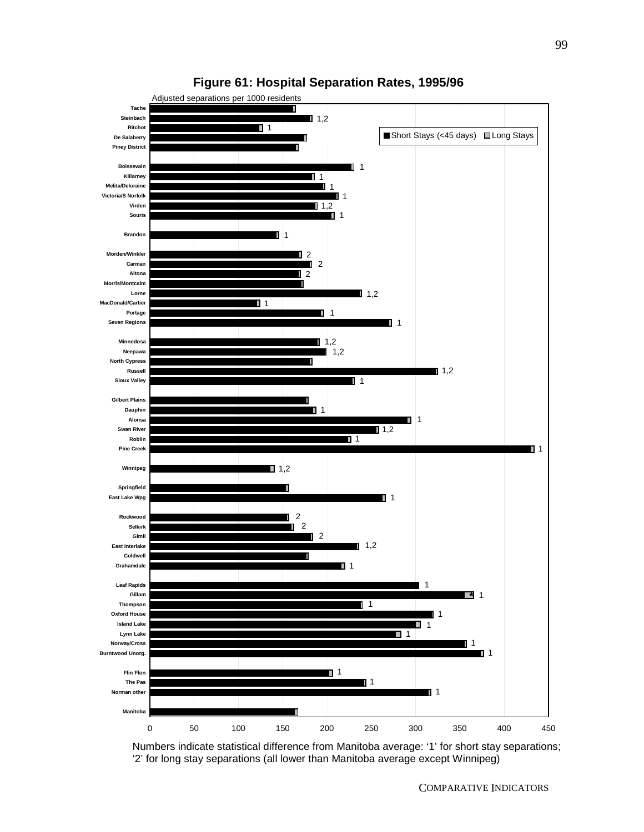

## **Figure 61: Hospital Separation Rates, 1995/96**

Numbers indicate statistical difference from Manitoba average: '1' for short stay separations; '2' for long stay separations (all lower than Manitoba average except Winnipeg)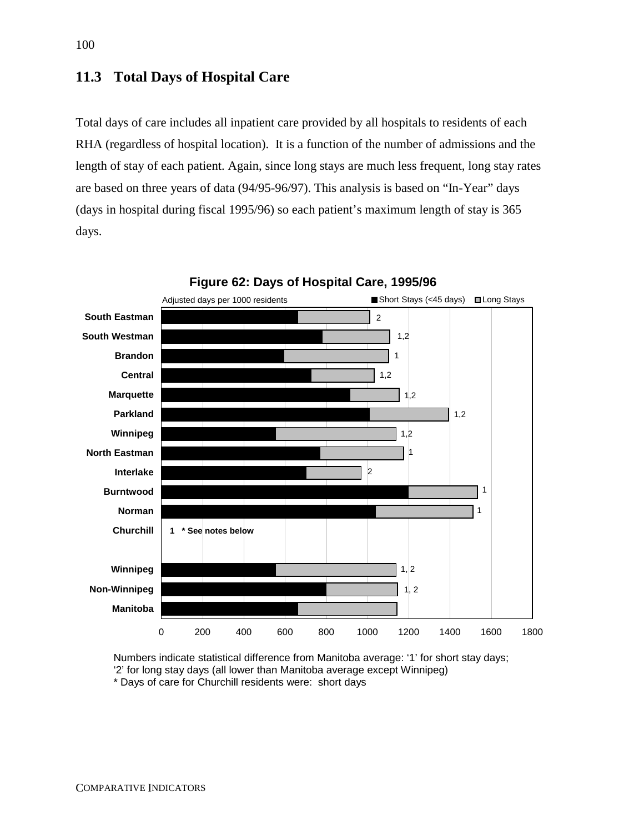## **11.3 Total Days of Hospital Care**

Total days of care includes all inpatient care provided by all hospitals to residents of each RHA (regardless of hospital location). It is a function of the number of admissions and the length of stay of each patient. Again, since long stays are much less frequent, long stay rates are based on three years of data (94/95-96/97). This analysis is based on "In-Year" days (days in hospital during fiscal 1995/96) so each patient's maximum length of stay is 365 days.



Numbers indicate statistical difference from Manitoba average: '1' for short stay days; '2' for long stay days (all lower than Manitoba average except Winnipeg) \* Days of care for Churchill residents were: short days

100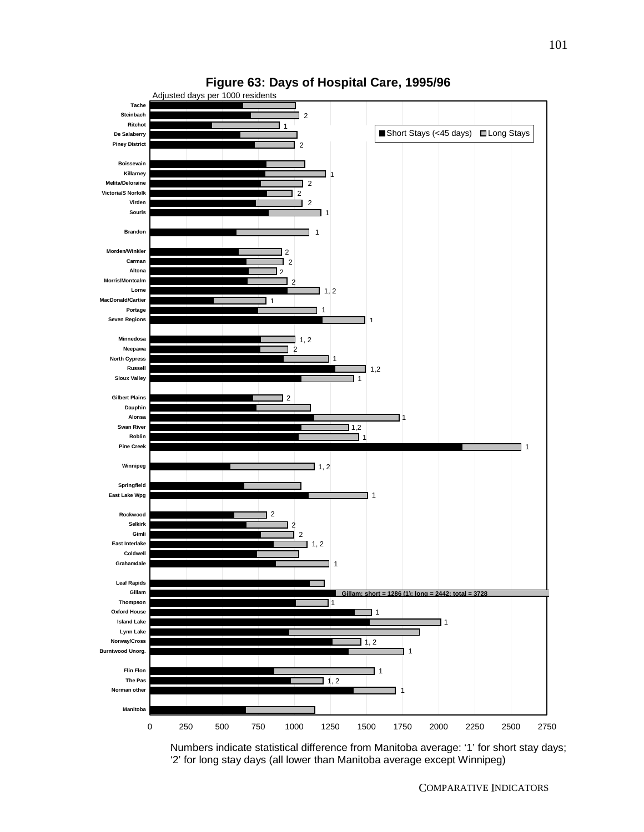



Numbers indicate statistical difference from Manitoba average: '1' for short stay days; '2' for long stay days (all lower than Manitoba average except Winnipeg)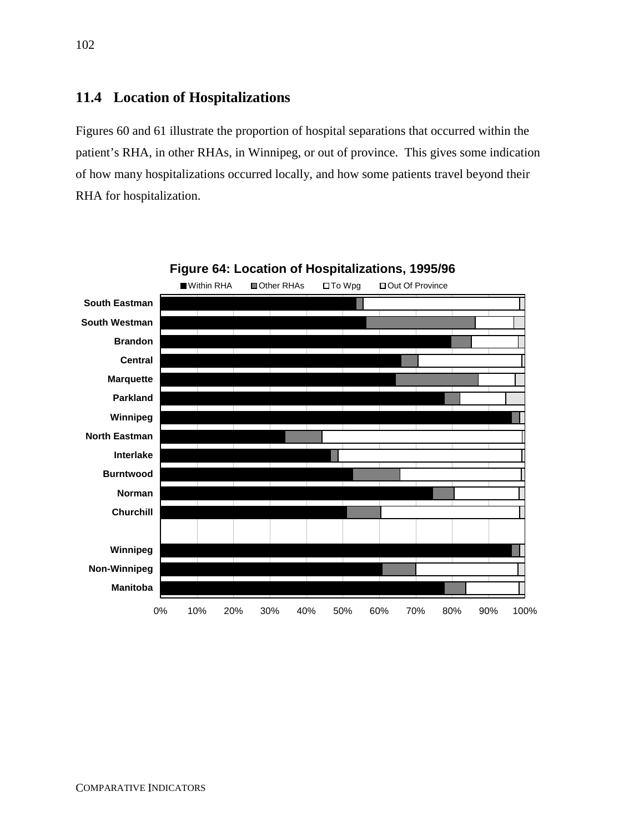## **11.4 Location of Hospitalizations**

Figures 60 and 61 illustrate the proportion of hospital separations that occurred within the patient's RHA, in other RHAs, in Winnipeg, or out of province. This gives some indication of how many hospitalizations occurred locally, and how some patients travel beyond their RHA for hospitalization.

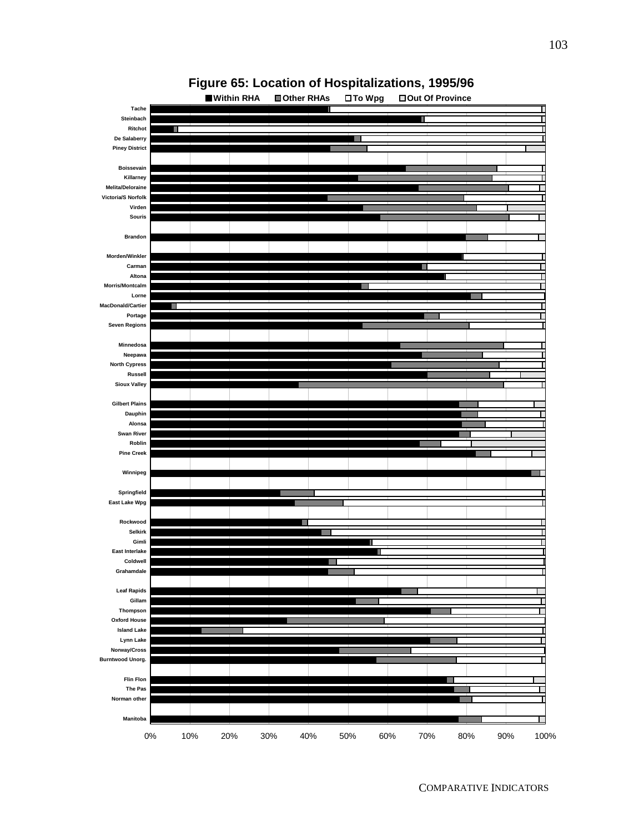

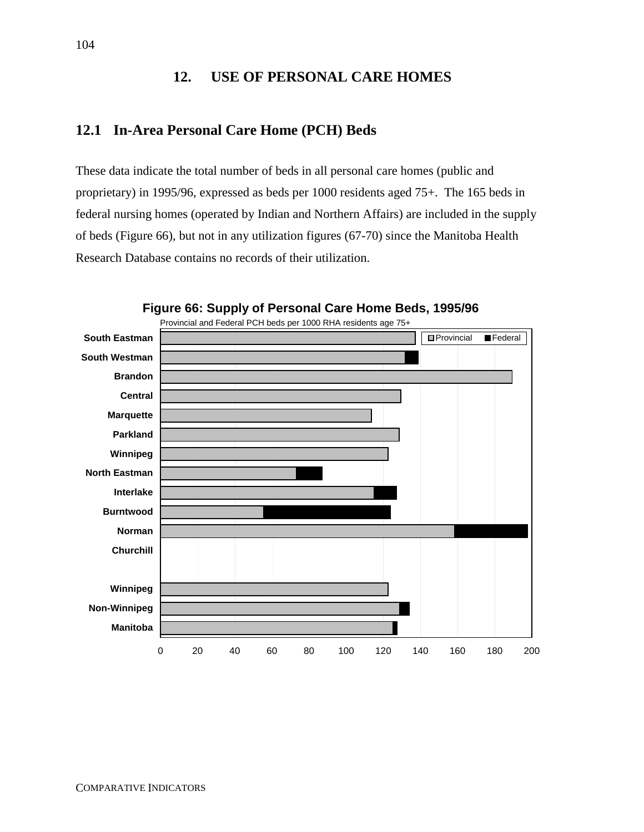## **12. USE OF PERSONAL CARE HOMES**

## **12.1 In-Area Personal Care Home (PCH) Beds**

These data indicate the total number of beds in all personal care homes (public and proprietary) in 1995/96, expressed as beds per 1000 residents aged 75+. The 165 beds in federal nursing homes (operated by Indian and Northern Affairs) are included in the supply of beds (Figure 66), but not in any utilization figures (67-70) since the Manitoba Health Research Database contains no records of their utilization.



**Figure 66: Supply of Personal Care Home Beds, 1995/96**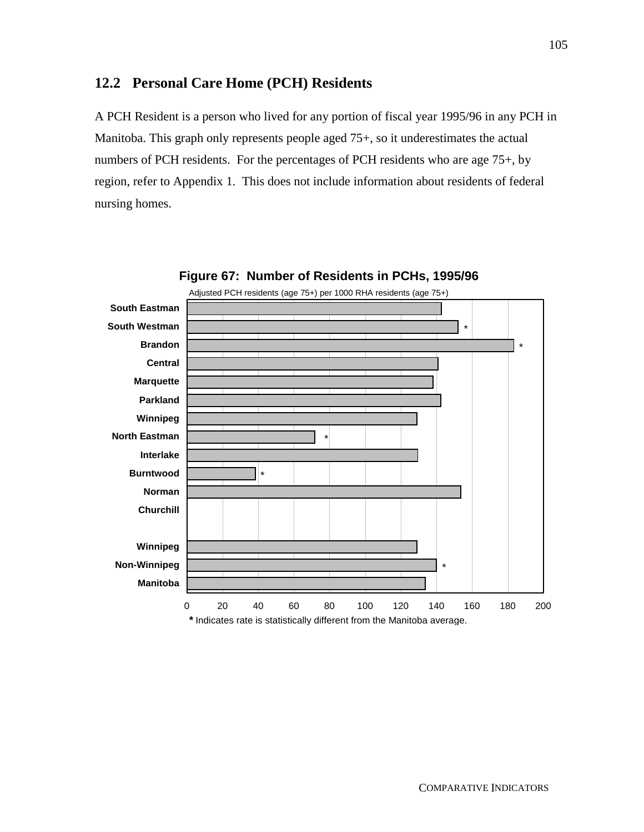## **12.2 Personal Care Home (PCH) Residents**

A PCH Resident is a person who lived for any portion of fiscal year 1995/96 in any PCH in Manitoba. This graph only represents people aged 75+, so it underestimates the actual numbers of PCH residents. For the percentages of PCH residents who are age 75+, by region, refer to Appendix 1. This does not include information about residents of federal nursing homes.

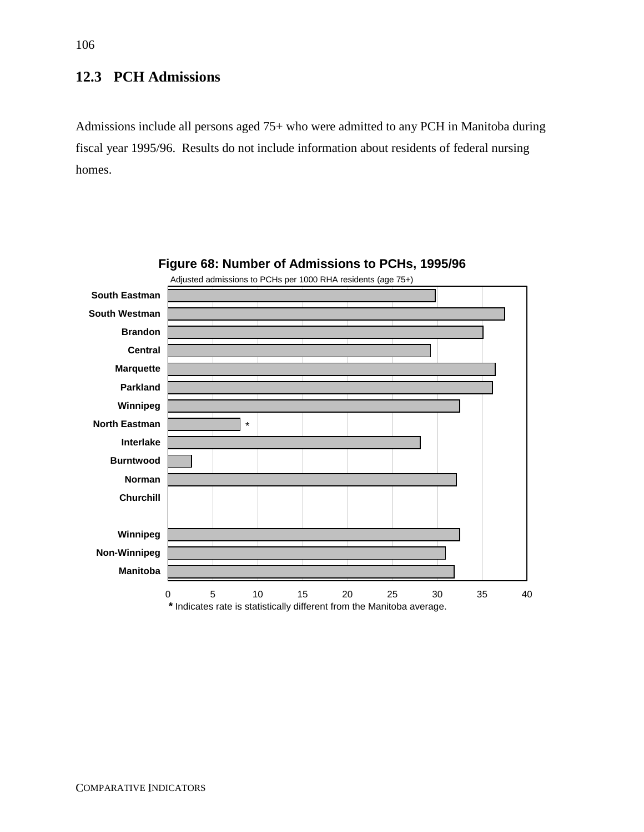# **12.3 PCH Admissions**

Admissions include all persons aged 75+ who were admitted to any PCH in Manitoba during fiscal year 1995/96. Results do not include information about residents of federal nursing homes.



## **Figure 68: Number of Admissions to PCHs, 1995/96**

106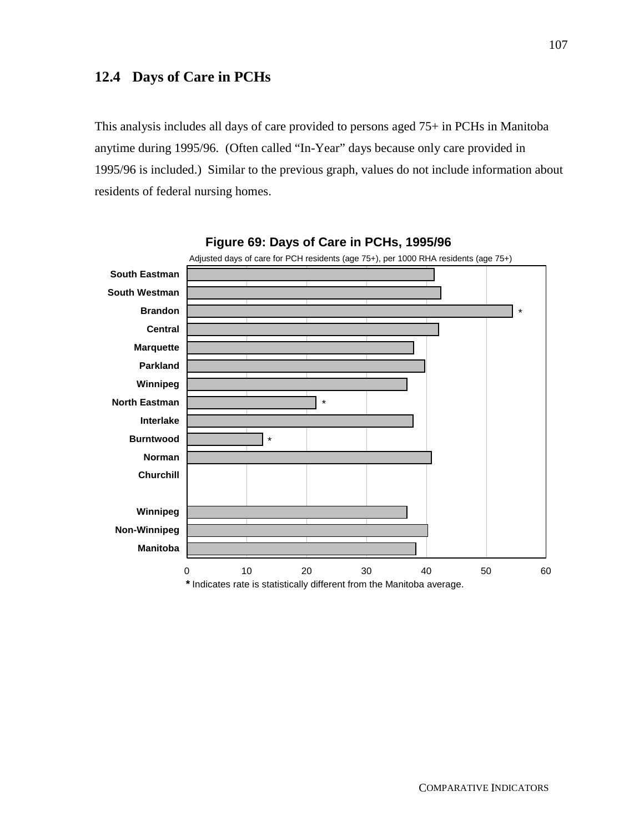## **12.4 Days of Care in PCHs**

This analysis includes all days of care provided to persons aged 75+ in PCHs in Manitoba anytime during 1995/96. (Often called "In-Year" days because only care provided in 1995/96 is included.) Similar to the previous graph, values do not include information about residents of federal nursing homes.



## **Figure 69: Days of Care in PCHs, 1995/96**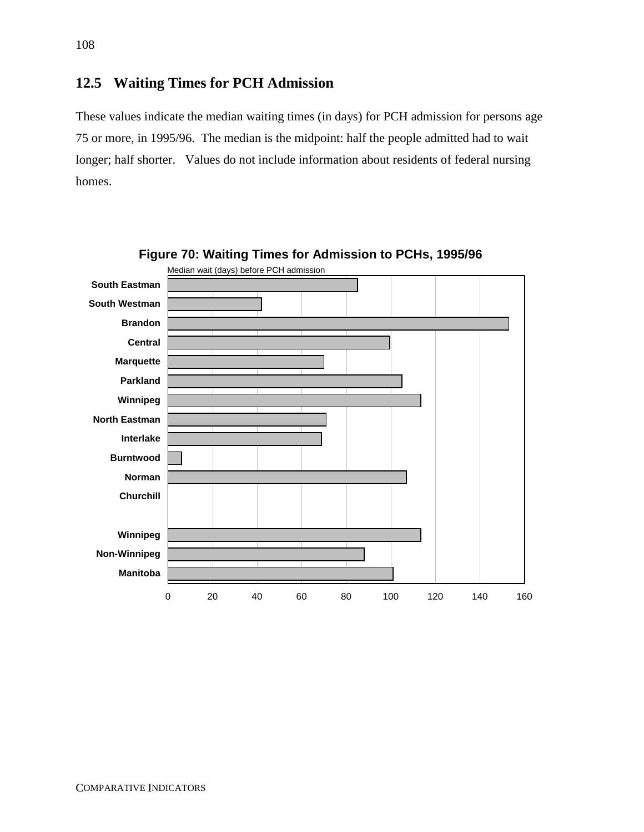## **12.5 Waiting Times for PCH Admission**

These values indicate the median waiting times (in days) for PCH admission for persons age 75 or more, in 1995/96. The median is the midpoint: half the people admitted had to wait longer; half shorter. Values do not include information about residents of federal nursing homes.



**Figure 70: Waiting Times for Admission to PCHs, 1995/96**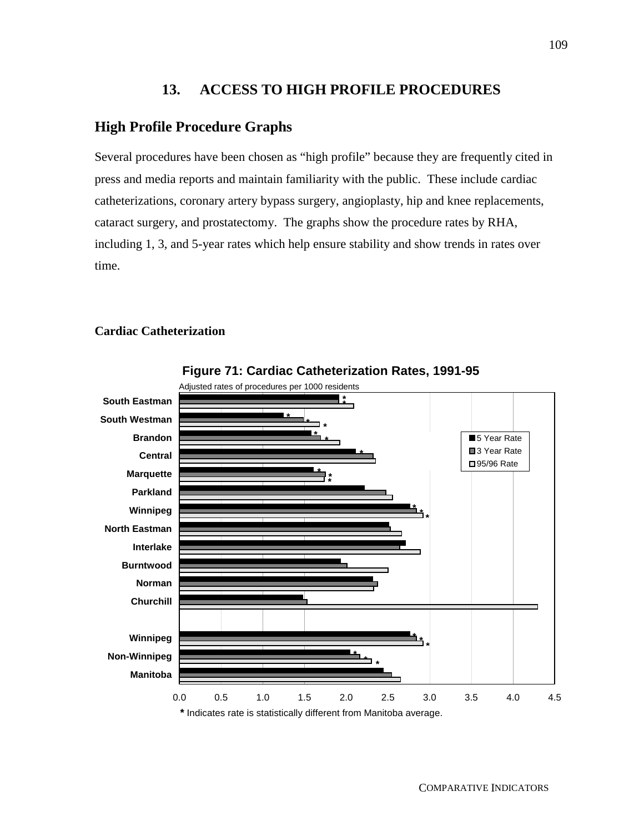## **13. ACCESS TO HIGH PROFILE PROCEDURES**

## **High Profile Procedure Graphs**

Several procedures have been chosen as "high profile" because they are frequently cited in press and media reports and maintain familiarity with the public. These include cardiac catheterizations, coronary artery bypass surgery, angioplasty, hip and knee replacements, cataract surgery, and prostatectomy. The graphs show the procedure rates by RHA, including 1, 3, and 5-year rates which help ensure stability and show trends in rates over time.

## **Cardiac Catheterization**



**Figure 71: Cardiac Catheterization Rates, 1991-95**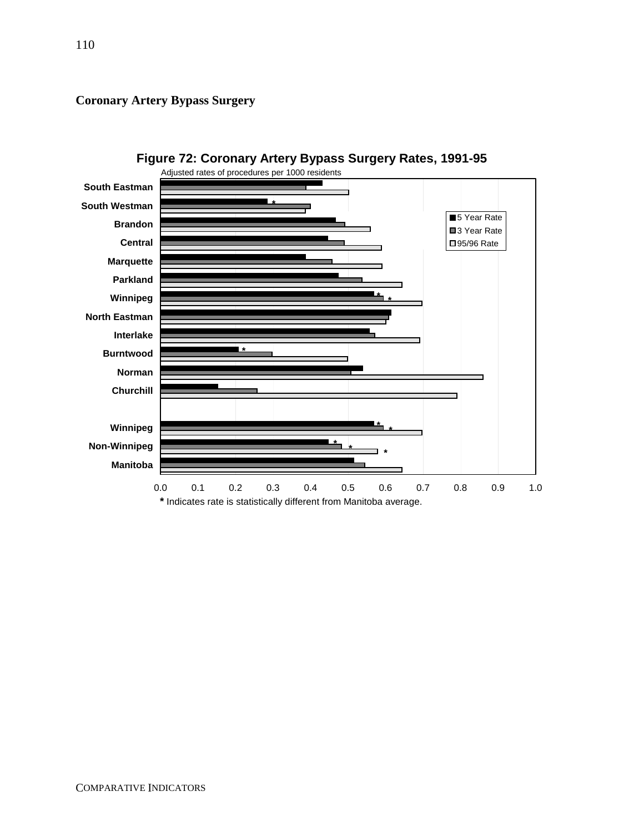**Coronary Artery Bypass Surgery**



**Figure 72: Coronary Artery Bypass Surgery Rates, 1991-95**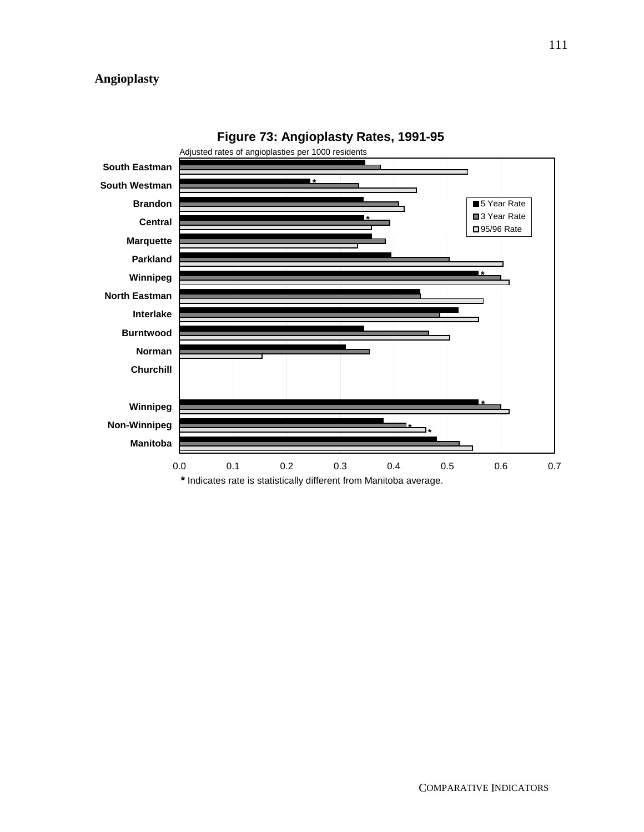## **Angioplasty**



**Figure 73: Angioplasty Rates, 1991-95**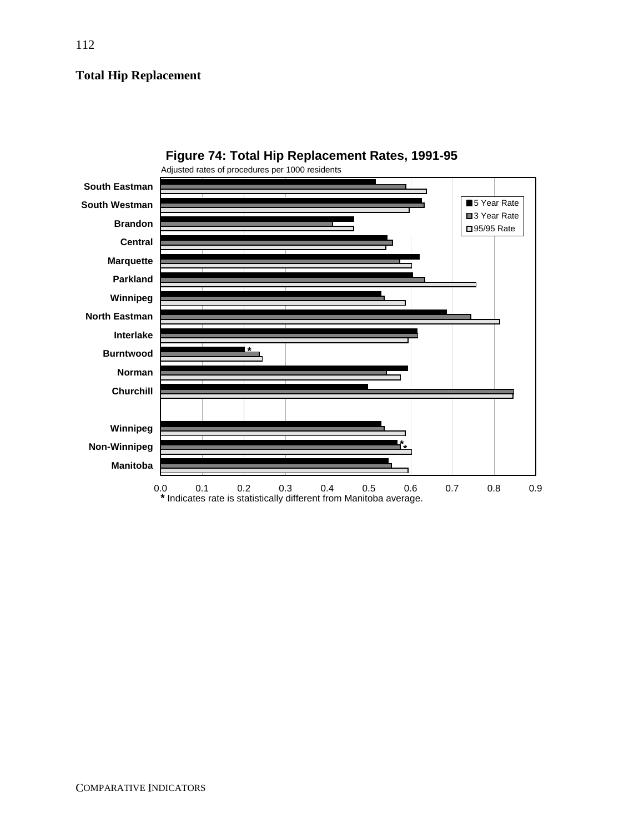## **Total Hip Replacement**



**Figure 74: Total Hip Replacement Rates, 1991-95**

112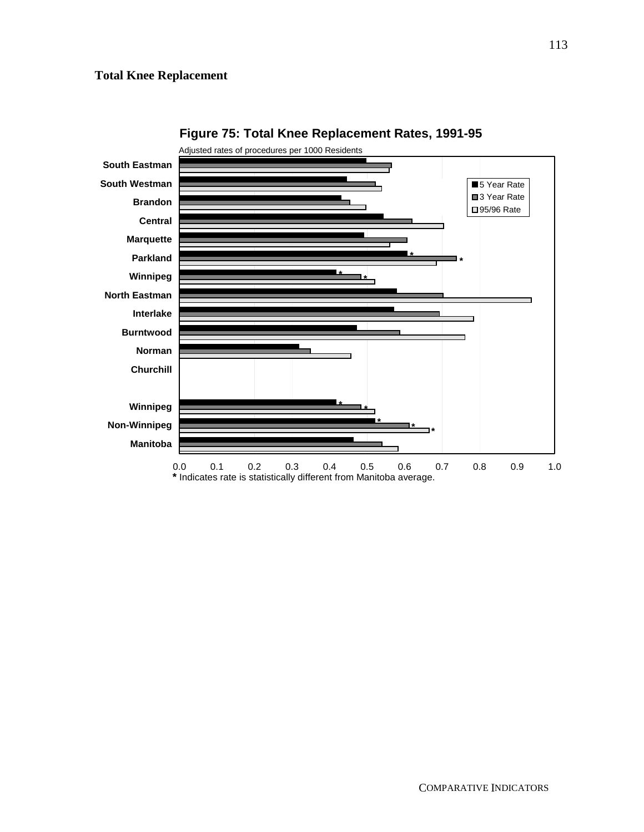#### **Total Knee Replacement**



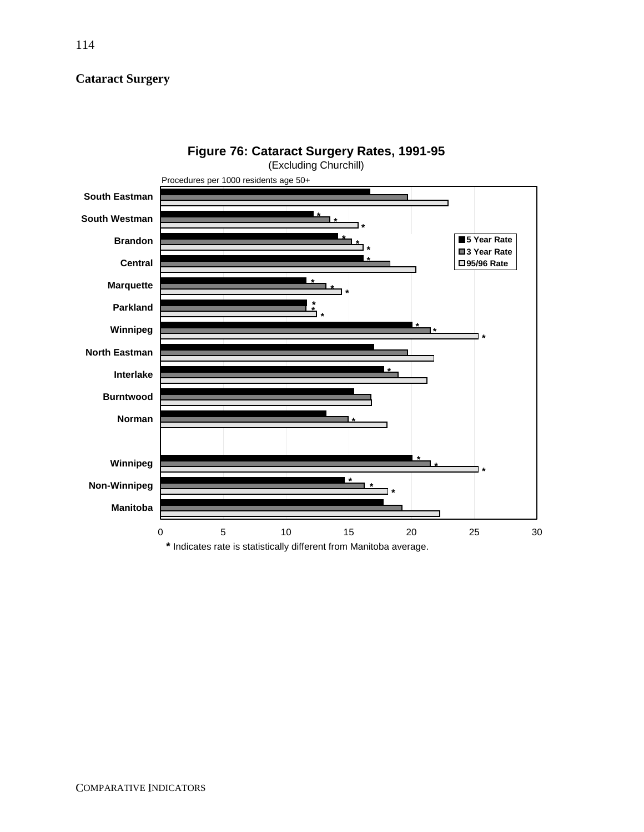## **Cataract Surgery**

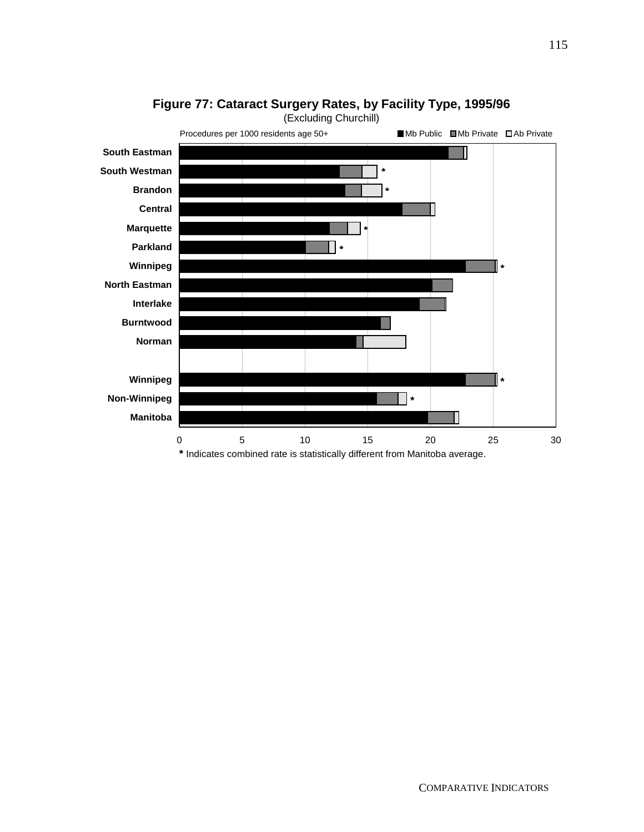

## **Figure 77: Cataract Surgery Rates, by Facility Type, 1995/96**

COMPARATIVE INDICATORS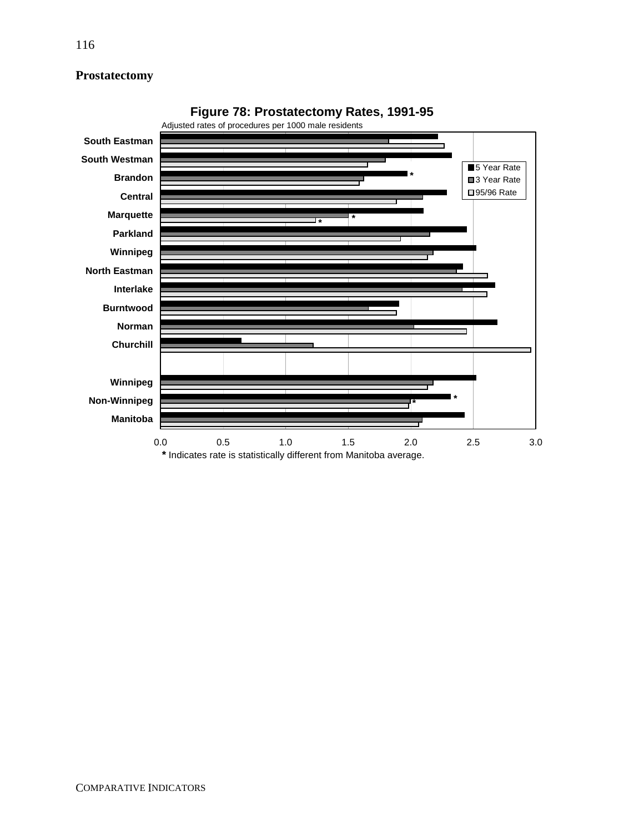## **Prostatectomy**



**Figure 78: Prostatectomy Rates, 1991-95**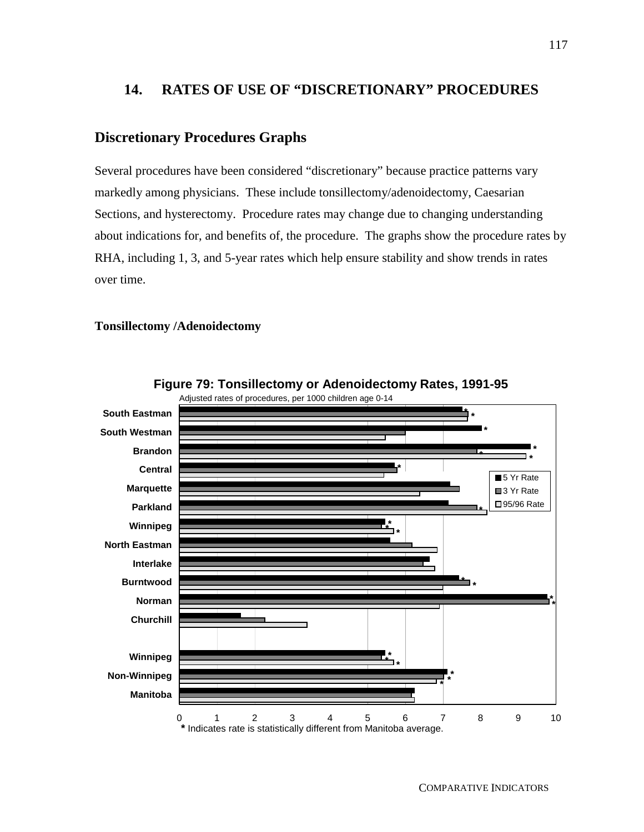## **14. RATES OF USE OF "DISCRETIONARY" PROCEDURES**

## **Discretionary Procedures Graphs**

Several procedures have been considered "discretionary" because practice patterns vary markedly among physicians. These include tonsillectomy/adenoidectomy, Caesarian Sections, and hysterectomy. Procedure rates may change due to changing understanding about indications for, and benefits of, the procedure. The graphs show the procedure rates by RHA, including 1, 3, and 5-year rates which help ensure stability and show trends in rates over time.

#### **Tonsillectomy /Adenoidectomy**



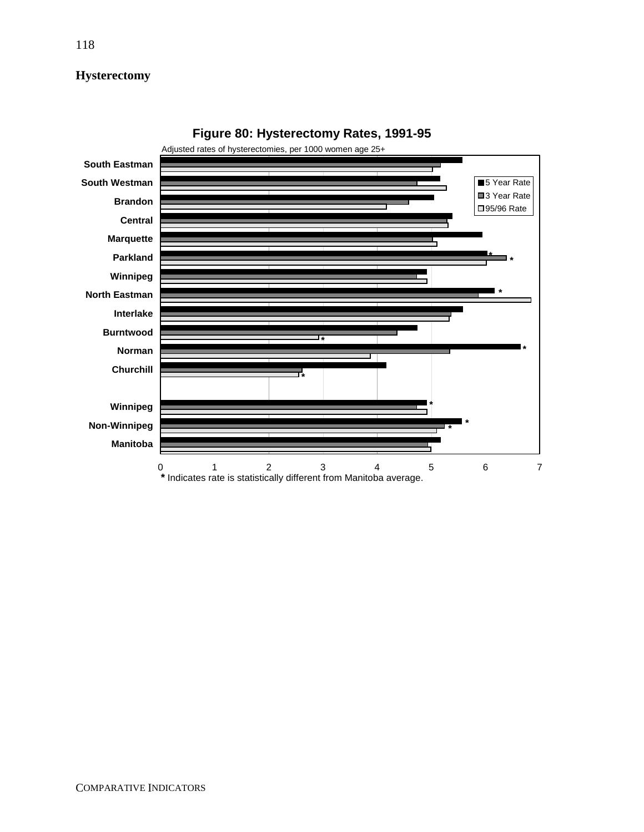## **Hysterectomy**



**Figure 80: Hysterectomy Rates, 1991-95**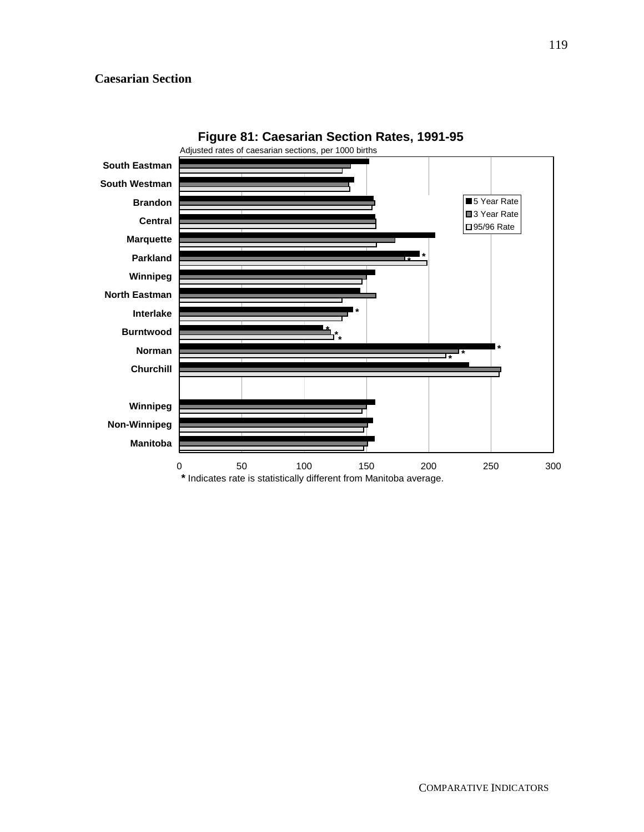#### **Caesarian Section**

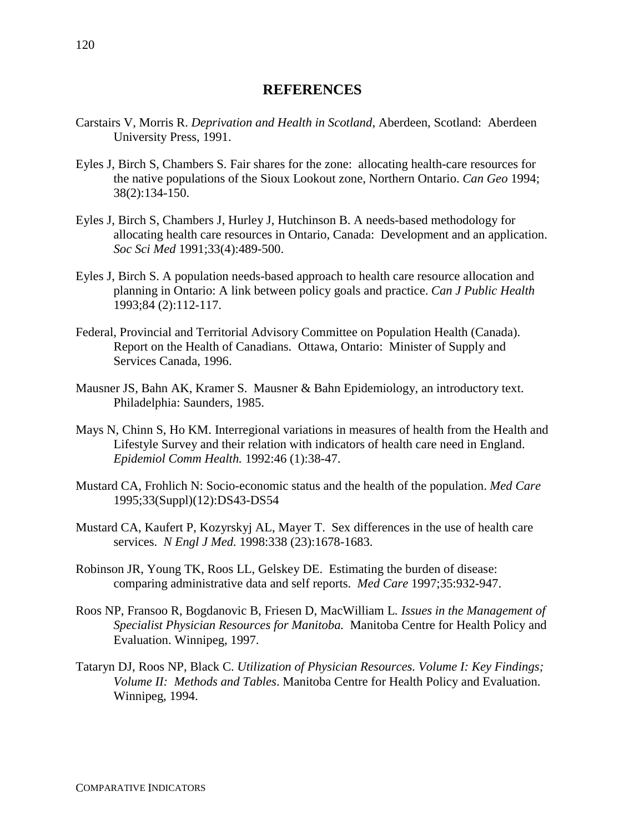## **REFERENCES**

- Carstairs V, Morris R. *Deprivation and Health in Scotland*, Aberdeen, Scotland: Aberdeen University Press, 1991.
- Eyles J, Birch S, Chambers S. Fair shares for the zone: allocating health-care resources for the native populations of the Sioux Lookout zone, Northern Ontario. *Can Geo* 1994; 38(2):134-150.
- Eyles J, Birch S, Chambers J, Hurley J, Hutchinson B. A needs-based methodology for allocating health care resources in Ontario, Canada: Development and an application. *Soc Sci Med* 1991;33(4):489-500.
- Eyles J, Birch S. A population needs-based approach to health care resource allocation and planning in Ontario: A link between policy goals and practice. *Can J Public Health* 1993;84 (2):112-117.
- Federal, Provincial and Territorial Advisory Committee on Population Health (Canada). Report on the Health of Canadians. Ottawa, Ontario: Minister of Supply and Services Canada, 1996.
- Mausner JS, Bahn AK, Kramer S. Mausner & Bahn Epidemiology, an introductory text. Philadelphia: Saunders, 1985.
- Mays N, Chinn S, Ho KM. Interregional variations in measures of health from the Health and Lifestyle Survey and their relation with indicators of health care need in England. *Epidemiol Comm Health.* 1992:46 (1):38-47.
- Mustard CA, Frohlich N: Socio-economic status and the health of the population. *Med Care* 1995;33(Suppl)(12):DS43-DS54
- Mustard CA, Kaufert P, Kozyrskyj AL, Mayer T. Sex differences in the use of health care services. *N Engl J Med.* 1998:338 (23):1678-1683.
- Robinson JR, Young TK, Roos LL, Gelskey DE. Estimating the burden of disease: comparing administrative data and self reports. *Med Care* 1997;35:932-947.
- Roos NP, Fransoo R, Bogdanovic B, Friesen D, MacWilliam L*. Issues in the Management of Specialist Physician Resources for Manitoba.* Manitoba Centre for Health Policy and Evaluation. Winnipeg, 1997.
- Tataryn DJ, Roos NP, Black C. *Utilization of Physician Resources. Volume I: Key Findings; Volume II: Methods and Tables*. Manitoba Centre for Health Policy and Evaluation. Winnipeg, 1994.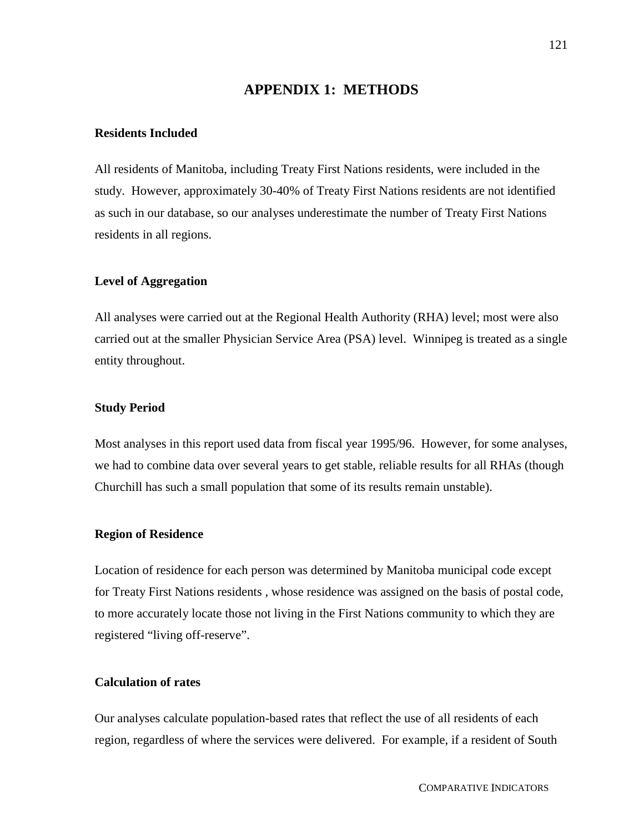#### **APPENDIX 1: METHODS**

#### **Residents Included**

All residents of Manitoba, including Treaty First Nations residents, were included in the study. However, approximately 30-40% of Treaty First Nations residents are not identified as such in our database, so our analyses underestimate the number of Treaty First Nations residents in all regions.

#### **Level of Aggregation**

All analyses were carried out at the Regional Health Authority (RHA) level; most were also carried out at the smaller Physician Service Area (PSA) level. Winnipeg is treated as a single entity throughout.

#### **Study Period**

Most analyses in this report used data from fiscal year 1995/96. However, for some analyses, we had to combine data over several years to get stable, reliable results for all RHAs (though Churchill has such a small population that some of its results remain unstable).

#### **Region of Residence**

Location of residence for each person was determined by Manitoba municipal code except for Treaty First Nations residents , whose residence was assigned on the basis of postal code, to more accurately locate those not living in the First Nations community to which they are registered "living off-reserve".

#### **Calculation of rates**

Our analyses calculate population-based rates that reflect the use of all residents of each region, regardless of where the services were delivered. For example, if a resident of South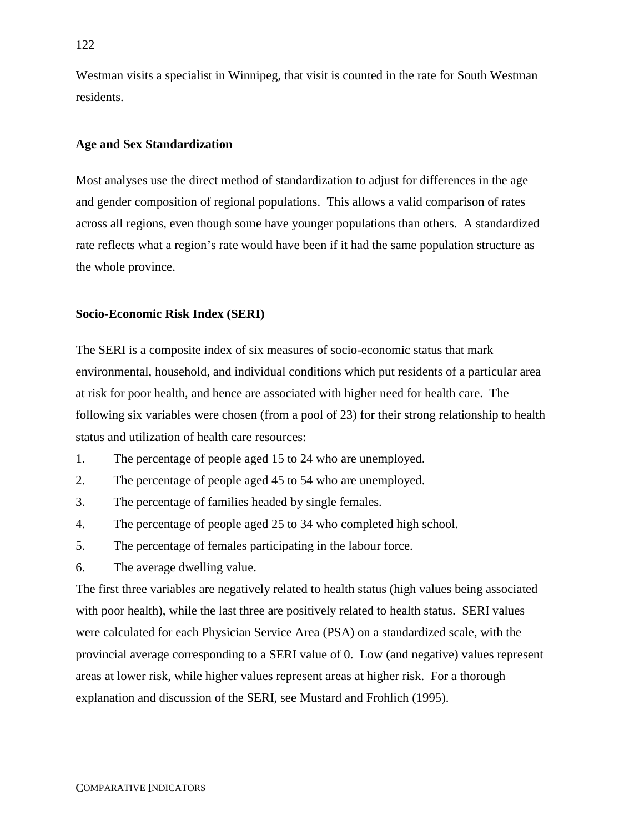Westman visits a specialist in Winnipeg, that visit is counted in the rate for South Westman residents.

#### **Age and Sex Standardization**

Most analyses use the direct method of standardization to adjust for differences in the age and gender composition of regional populations. This allows a valid comparison of rates across all regions, even though some have younger populations than others. A standardized rate reflects what a region's rate would have been if it had the same population structure as the whole province.

#### **Socio-Economic Risk Index (SERI)**

The SERI is a composite index of six measures of socio-economic status that mark environmental, household, and individual conditions which put residents of a particular area at risk for poor health, and hence are associated with higher need for health care. The following six variables were chosen (from a pool of 23) for their strong relationship to health status and utilization of health care resources:

- 1. The percentage of people aged 15 to 24 who are unemployed.
- 2. The percentage of people aged 45 to 54 who are unemployed.
- 3. The percentage of families headed by single females.
- 4. The percentage of people aged 25 to 34 who completed high school.
- 5. The percentage of females participating in the labour force.
- 6. The average dwelling value.

The first three variables are negatively related to health status (high values being associated with poor health), while the last three are positively related to health status. SERI values were calculated for each Physician Service Area (PSA) on a standardized scale, with the provincial average corresponding to a SERI value of 0. Low (and negative) values represent areas at lower risk, while higher values represent areas at higher risk. For a thorough explanation and discussion of the SERI, see Mustard and Frohlich (1995).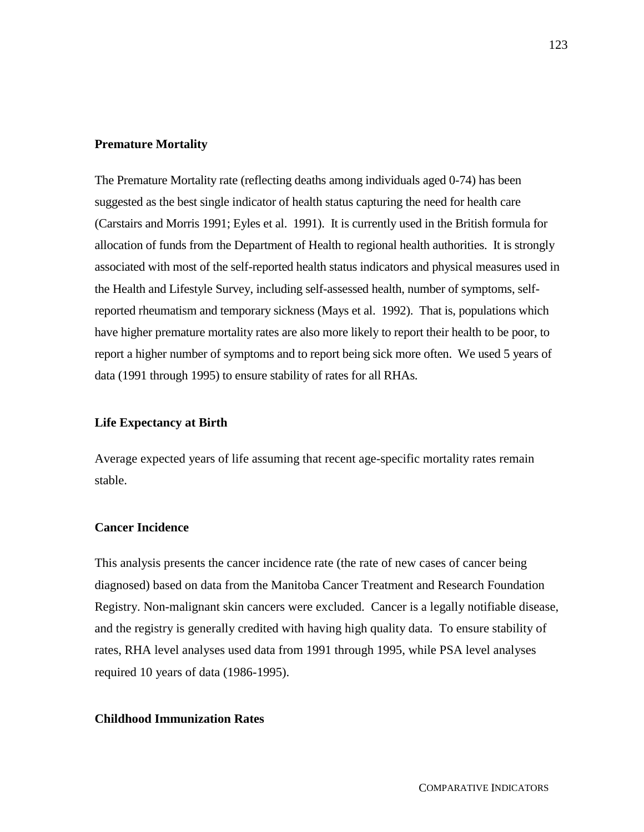#### **Premature Mortality**

The Premature Mortality rate (reflecting deaths among individuals aged 0-74) has been suggested as the best single indicator of health status capturing the need for health care (Carstairs and Morris 1991; Eyles et al. 1991). It is currently used in the British formula for allocation of funds from the Department of Health to regional health authorities. It is strongly associated with most of the self-reported health status indicators and physical measures used in the Health and Lifestyle Survey, including self-assessed health, number of symptoms, selfreported rheumatism and temporary sickness (Mays et al. 1992). That is, populations which have higher premature mortality rates are also more likely to report their health to be poor, to report a higher number of symptoms and to report being sick more often. We used 5 years of data (1991 through 1995) to ensure stability of rates for all RHAs.

#### **Life Expectancy at Birth**

Average expected years of life assuming that recent age-specific mortality rates remain stable.

#### **Cancer Incidence**

This analysis presents the cancer incidence rate (the rate of new cases of cancer being diagnosed) based on data from the Manitoba Cancer Treatment and Research Foundation Registry. Non-malignant skin cancers were excluded. Cancer is a legally notifiable disease, and the registry is generally credited with having high quality data. To ensure stability of rates, RHA level analyses used data from 1991 through 1995, while PSA level analyses required 10 years of data (1986-1995).

#### **Childhood Immunization Rates**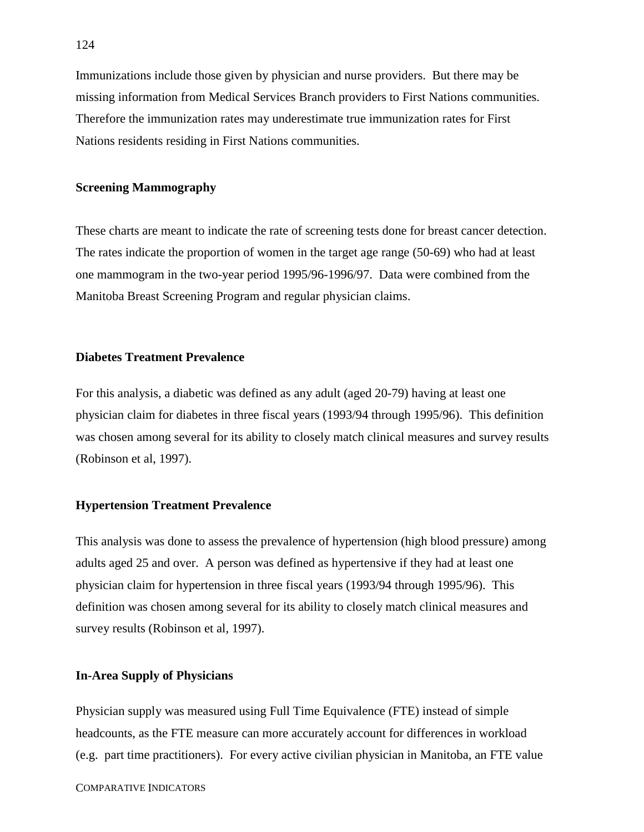Immunizations include those given by physician and nurse providers. But there may be missing information from Medical Services Branch providers to First Nations communities. Therefore the immunization rates may underestimate true immunization rates for First Nations residents residing in First Nations communities.

#### **Screening Mammography**

These charts are meant to indicate the rate of screening tests done for breast cancer detection. The rates indicate the proportion of women in the target age range (50-69) who had at least one mammogram in the two-year period 1995/96-1996/97. Data were combined from the Manitoba Breast Screening Program and regular physician claims.

#### **Diabetes Treatment Prevalence**

For this analysis, a diabetic was defined as any adult (aged 20-79) having at least one physician claim for diabetes in three fiscal years (1993/94 through 1995/96). This definition was chosen among several for its ability to closely match clinical measures and survey results (Robinson et al, 1997).

#### **Hypertension Treatment Prevalence**

This analysis was done to assess the prevalence of hypertension (high blood pressure) among adults aged 25 and over. A person was defined as hypertensive if they had at least one physician claim for hypertension in three fiscal years (1993/94 through 1995/96). This definition was chosen among several for its ability to closely match clinical measures and survey results (Robinson et al, 1997).

#### **In-Area Supply of Physicians**

Physician supply was measured using Full Time Equivalence (FTE) instead of simple headcounts, as the FTE measure can more accurately account for differences in workload (e.g. part time practitioners). For every active civilian physician in Manitoba, an FTE value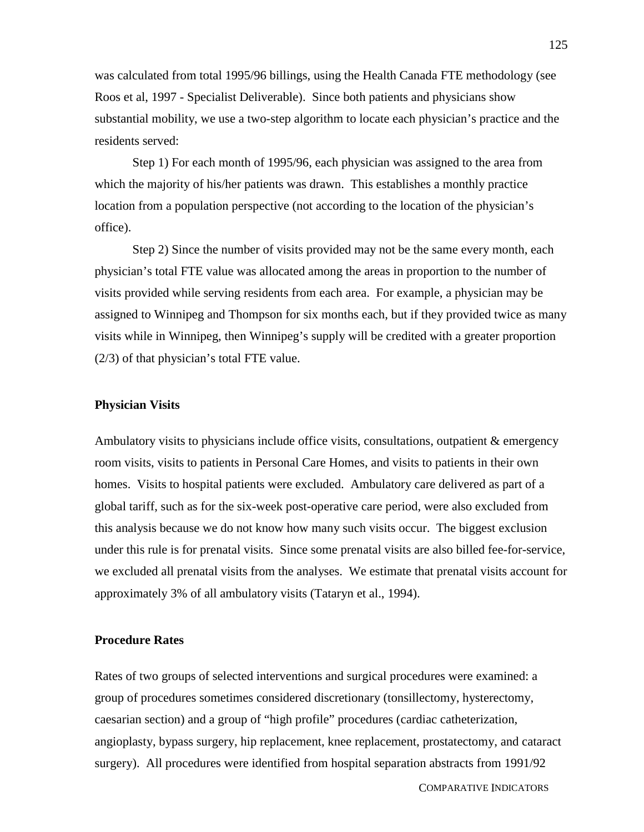was calculated from total 1995/96 billings, using the Health Canada FTE methodology (see Roos et al, 1997 - Specialist Deliverable). Since both patients and physicians show substantial mobility, we use a two-step algorithm to locate each physician's practice and the residents served:

Step 1) For each month of 1995/96, each physician was assigned to the area from which the majority of his/her patients was drawn. This establishes a monthly practice location from a population perspective (not according to the location of the physician's office).

Step 2) Since the number of visits provided may not be the same every month, each physician's total FTE value was allocated among the areas in proportion to the number of visits provided while serving residents from each area. For example, a physician may be assigned to Winnipeg and Thompson for six months each, but if they provided twice as many visits while in Winnipeg, then Winnipeg's supply will be credited with a greater proportion (2/3) of that physician's total FTE value.

#### **Physician Visits**

Ambulatory visits to physicians include office visits, consultations, outpatient & emergency room visits, visits to patients in Personal Care Homes, and visits to patients in their own homes. Visits to hospital patients were excluded. Ambulatory care delivered as part of a global tariff, such as for the six-week post-operative care period, were also excluded from this analysis because we do not know how many such visits occur. The biggest exclusion under this rule is for prenatal visits. Since some prenatal visits are also billed fee-for-service, we excluded all prenatal visits from the analyses. We estimate that prenatal visits account for approximately 3% of all ambulatory visits (Tataryn et al., 1994).

#### **Procedure Rates**

Rates of two groups of selected interventions and surgical procedures were examined: a group of procedures sometimes considered discretionary (tonsillectomy, hysterectomy, caesarian section) and a group of "high profile" procedures (cardiac catheterization, angioplasty, bypass surgery, hip replacement, knee replacement, prostatectomy, and cataract surgery). All procedures were identified from hospital separation abstracts from 1991/92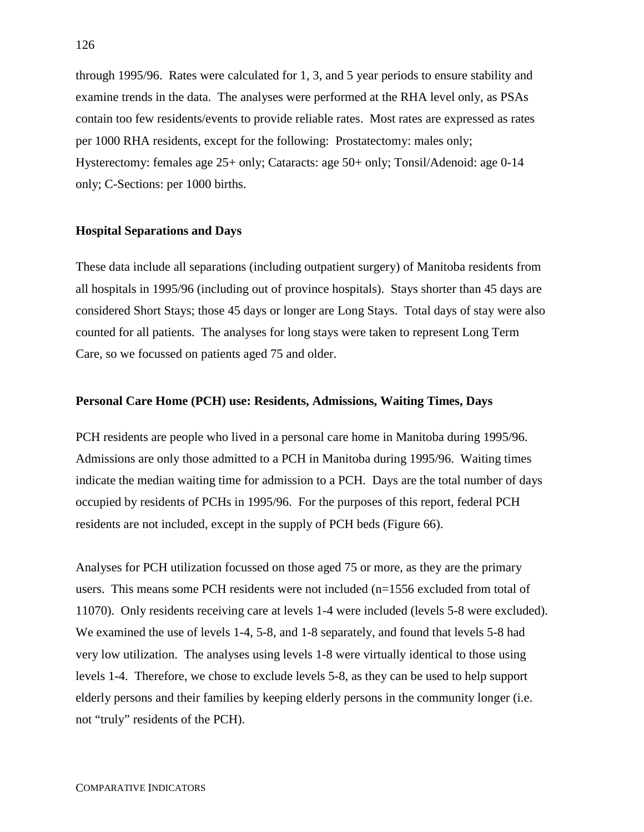through 1995/96. Rates were calculated for 1, 3, and 5 year periods to ensure stability and examine trends in the data. The analyses were performed at the RHA level only, as PSAs contain too few residents/events to provide reliable rates. Most rates are expressed as rates per 1000 RHA residents, except for the following: Prostatectomy: males only; Hysterectomy: females age 25+ only; Cataracts: age 50+ only; Tonsil/Adenoid: age 0-14 only; C-Sections: per 1000 births.

#### **Hospital Separations and Days**

These data include all separations (including outpatient surgery) of Manitoba residents from all hospitals in 1995/96 (including out of province hospitals). Stays shorter than 45 days are considered Short Stays; those 45 days or longer are Long Stays. Total days of stay were also counted for all patients. The analyses for long stays were taken to represent Long Term Care, so we focussed on patients aged 75 and older.

#### **Personal Care Home (PCH) use: Residents, Admissions, Waiting Times, Days**

PCH residents are people who lived in a personal care home in Manitoba during 1995/96. Admissions are only those admitted to a PCH in Manitoba during 1995/96. Waiting times indicate the median waiting time for admission to a PCH. Days are the total number of days occupied by residents of PCHs in 1995/96. For the purposes of this report, federal PCH residents are not included, except in the supply of PCH beds (Figure 66).

Analyses for PCH utilization focussed on those aged 75 or more, as they are the primary users. This means some PCH residents were not included (n=1556 excluded from total of 11070). Only residents receiving care at levels 1-4 were included (levels 5-8 were excluded). We examined the use of levels 1-4, 5-8, and 1-8 separately, and found that levels 5-8 had very low utilization. The analyses using levels 1-8 were virtually identical to those using levels 1-4. Therefore, we chose to exclude levels 5-8, as they can be used to help support elderly persons and their families by keeping elderly persons in the community longer (i.e. not "truly" residents of the PCH).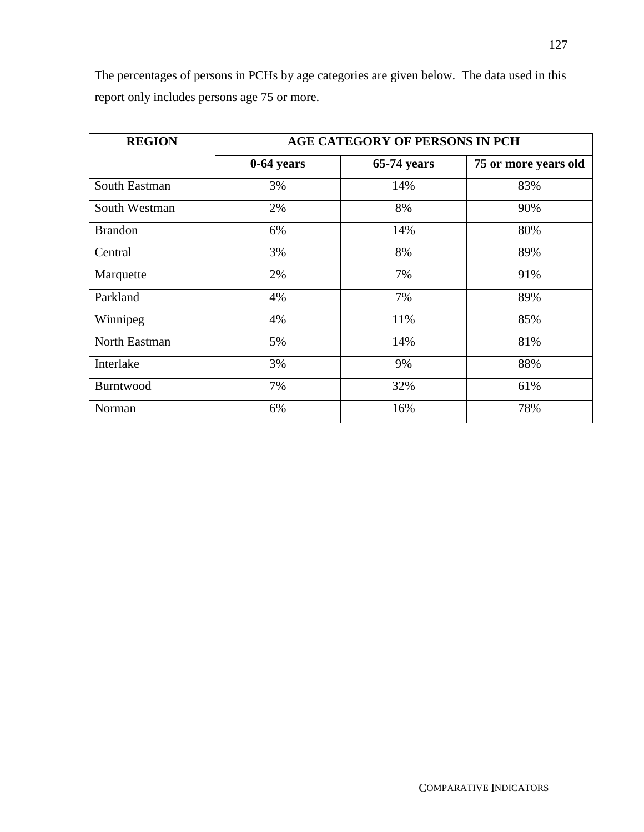| <b>REGION</b>  | <b>AGE CATEGORY OF PERSONS IN PCH</b> |             |                      |  |  |  |  |
|----------------|---------------------------------------|-------------|----------------------|--|--|--|--|
|                | 0-64 years                            | 65-74 years | 75 or more years old |  |  |  |  |
| South Eastman  | 3%                                    | 14%         | 83%                  |  |  |  |  |
| South Westman  | 2%                                    | 8%          | 90%                  |  |  |  |  |
| <b>Brandon</b> | 6%                                    | 14%         | 80%                  |  |  |  |  |
| Central        | 3%                                    | 8%          | 89%                  |  |  |  |  |
| Marquette      | 2%                                    | 7%          | 91%                  |  |  |  |  |
| Parkland       | 4%                                    | 7%          | 89%                  |  |  |  |  |
| Winnipeg       | 4%                                    | 11%         | 85%                  |  |  |  |  |
| North Eastman  | 5%                                    | 14%         | 81%                  |  |  |  |  |
| Interlake      | 3%                                    | 9%          | 88%                  |  |  |  |  |
| Burntwood      | 7%                                    | 32%         | 61%                  |  |  |  |  |
| Norman         | 6%                                    | 16%         | 78%                  |  |  |  |  |

The percentages of persons in PCHs by age categories are given below. The data used in this report only includes persons age 75 or more.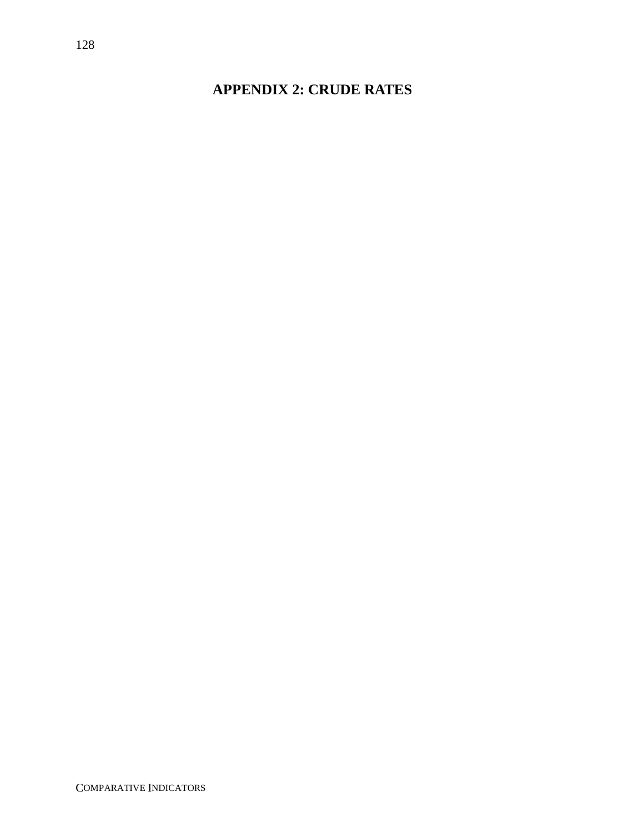# **APPENDIX 2: CRUDE RATES**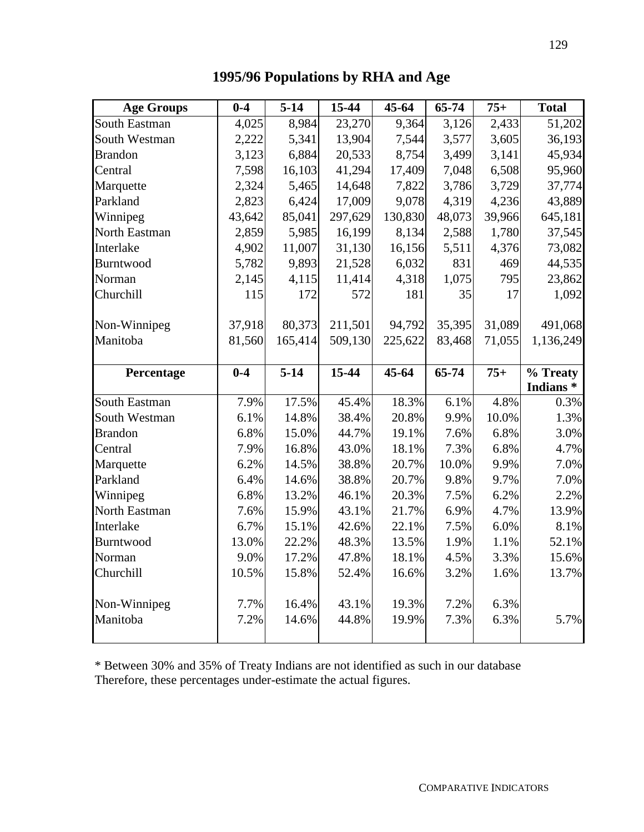| <b>Age Groups</b> | $0-4$   | $5-14$   | 15-44   | $45 - 64$ | 65-74  | $75+$  | <b>Total</b>                                                                                     |
|-------------------|---------|----------|---------|-----------|--------|--------|--------------------------------------------------------------------------------------------------|
| South Eastman     | 4,025   | 8,984    | 23,270  | 9,364     | 3,126  | 2,433  | 51,202                                                                                           |
| South Westman     | 2,222   | 5,341    | 13,904  | 7,544     | 3,577  | 3,605  | 36,193                                                                                           |
| <b>Brandon</b>    | 3,123   | 6,884    | 20,533  | 8,754     | 3,499  | 3,141  | 45,934                                                                                           |
| Central           | 7,598   | 16,103   | 41,294  | 17,409    | 7,048  | 6,508  | 95,960                                                                                           |
| Marquette         | 2,324   | 5,465    | 14,648  | 7,822     | 3,786  | 3,729  | 37,774                                                                                           |
| Parkland          | 2,823   | 6,424    | 17,009  | 9,078     | 4,319  | 4,236  | 43,889                                                                                           |
| Winnipeg          | 43,642  | 85,041   | 297,629 | 130,830   | 48,073 | 39,966 | 645,181                                                                                          |
| North Eastman     | 2,859   | 5,985    | 16,199  | 8,134     | 2,588  | 1,780  | 37,545                                                                                           |
| Interlake         | 4,902   | 11,007   | 31,130  | 16,156    | 5,511  | 4,376  | 73,082                                                                                           |
| Burntwood         | 5,782   | 9,893    | 21,528  | 6,032     | 831    | 469    | 44,535                                                                                           |
| Norman            | 2,145   | 4,115    | 11,414  | 4,318     | 1,075  | 795    | 23,862                                                                                           |
| Churchill         | 115     | 172      | 572     | 181       | 35     | 17     | 1,092                                                                                            |
| Non-Winnipeg      | 37,918  | 80,373   | 211,501 | 94,792    | 35,395 | 31,089 | 491,068                                                                                          |
| Manitoba          | 81,560  | 165,414  | 509,130 | 225,622   | 83,468 | 71,055 | 1,136,249                                                                                        |
| Percentage        | $0 - 4$ | $5 - 14$ | 15-44   | $45 - 64$ | 65-74  | $75+$  | % Treaty                                                                                         |
|                   |         |          |         |           |        |        |                                                                                                  |
|                   |         |          |         |           |        |        | Indians <sup>*</sup>                                                                             |
| South Eastman     | 7.9%    | 17.5%    | 45.4%   | 18.3%     | 6.1%   | 4.8%   |                                                                                                  |
| South Westman     | 6.1%    | 14.8%    | 38.4%   | 20.8%     | 9.9%   | 10.0%  |                                                                                                  |
| <b>Brandon</b>    | 6.8%    | 15.0%    | 44.7%   | 19.1%     | 7.6%   | 6.8%   |                                                                                                  |
| Central           | 7.9%    | 16.8%    | 43.0%   | 18.1%     | 7.3%   | 6.8%   |                                                                                                  |
| Marquette         | 6.2%    | 14.5%    | 38.8%   | 20.7%     | 10.0%  | 9.9%   |                                                                                                  |
| Parkland          | 6.4%    | 14.6%    | 38.8%   | 20.7%     | 9.8%   | 9.7%   |                                                                                                  |
| Winnipeg          | 6.8%    | 13.2%    | 46.1%   | 20.3%     | 7.5%   | 6.2%   |                                                                                                  |
| North Eastman     | 7.6%    | 15.9%    | 43.1%   | 21.7%     | 6.9%   | 4.7%   |                                                                                                  |
| Interlake         | 6.7%    | 15.1%    | 42.6%   | 22.1%     | 7.5%   | 6.0%   |                                                                                                  |
| Burntwood         | 13.0%   | 22.2%    | 48.3%   | 13.5%     | 1.9%   | 1.1%   |                                                                                                  |
| Norman            | 9.0%    | 17.2%    | 47.8%   | 18.1%     | 4.5%   | 3.3%   |                                                                                                  |
| Churchill         | 10.5%   | 15.8%    | 52.4%   | 16.6%     | 3.2%   | 1.6%   | 0.3%<br>1.3%<br>3.0%<br>4.7%<br>7.0%<br>7.0%<br>2.2%<br>13.9%<br>8.1%<br>52.1%<br>15.6%<br>13.7% |
| Non-Winnipeg      | 7.7%    | 16.4%    | 43.1%   | 19.3%     | 7.2%   | 6.3%   |                                                                                                  |
| Manitoba          | 7.2%    | 14.6%    | 44.8%   | 19.9%     | 7.3%   | 6.3%   | 5.7%                                                                                             |

**1995/96 Populations by RHA and Age**

\* Between 30% and 35% of Treaty Indians are not identified as such in our database Therefore, these percentages under-estimate the actual figures.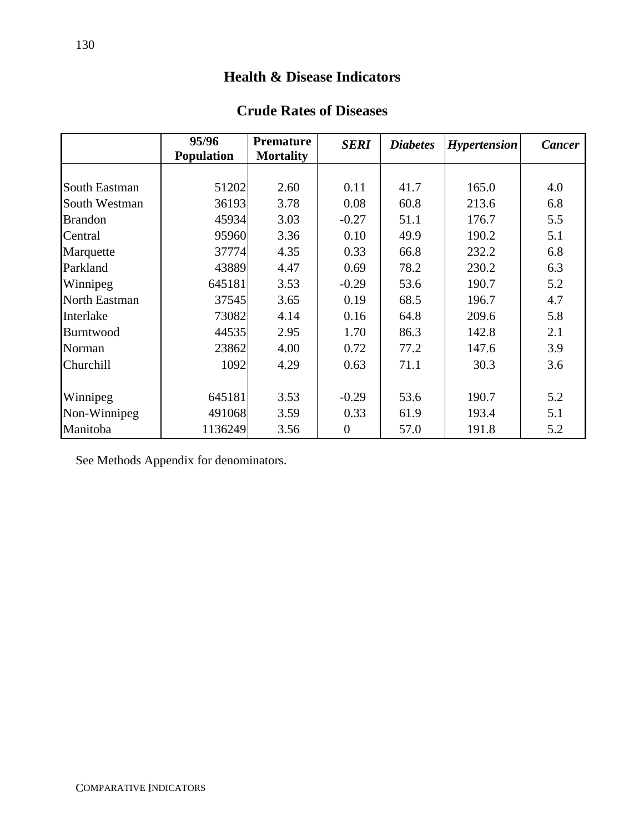# **Health & Disease Indicators**

## **Crude Rates of Diseases**

|                  | 95/96<br><b>Population</b> | <b>Premature</b><br><b>Mortality</b> | <b>SERI</b>      | <b>Diabetes</b> | <b>Hypertension</b> | <b>Cancer</b> |
|------------------|----------------------------|--------------------------------------|------------------|-----------------|---------------------|---------------|
|                  |                            |                                      |                  |                 |                     |               |
| South Eastman    | 51202                      | 2.60                                 | 0.11             | 41.7            | 165.0               | 4.0           |
| South Westman    | 36193                      | 3.78                                 | 0.08             | 60.8            | 213.6               | 6.8           |
| <b>Brandon</b>   | 45934                      | 3.03                                 | $-0.27$          | 51.1            | 176.7               | 5.5           |
| Central          | 95960                      | 3.36                                 | 0.10             | 49.9            | 190.2               | 5.1           |
| Marquette        | 37774                      | 4.35                                 | 0.33             | 66.8            | 232.2               | 6.8           |
| Parkland         | 43889                      | 4.47                                 | 0.69             | 78.2            | 230.2               | 6.3           |
| Winnipeg         | 645181                     | 3.53                                 | $-0.29$          | 53.6            | 190.7               | 5.2           |
| North Eastman    | 37545                      | 3.65                                 | 0.19             | 68.5            | 196.7               | 4.7           |
| Interlake        | 73082                      | 4.14                                 | 0.16             | 64.8            | 209.6               | 5.8           |
| <b>Burntwood</b> | 44535                      | 2.95                                 | 1.70             | 86.3            | 142.8               | 2.1           |
| Norman           | 23862                      | 4.00                                 | 0.72             | 77.2            | 147.6               | 3.9           |
| Churchill        | 1092                       | 4.29                                 | 0.63             | 71.1            | 30.3                | 3.6           |
|                  |                            |                                      |                  |                 |                     |               |
| Winnipeg         | 645181                     | 3.53                                 | $-0.29$          | 53.6            | 190.7               | 5.2           |
| Non-Winnipeg     | 491068                     | 3.59                                 | 0.33             | 61.9            | 193.4               | 5.1           |
| Manitoba         | 1136249                    | 3.56                                 | $\boldsymbol{0}$ | 57.0            | 191.8               | 5.2           |

See Methods Appendix for denominators.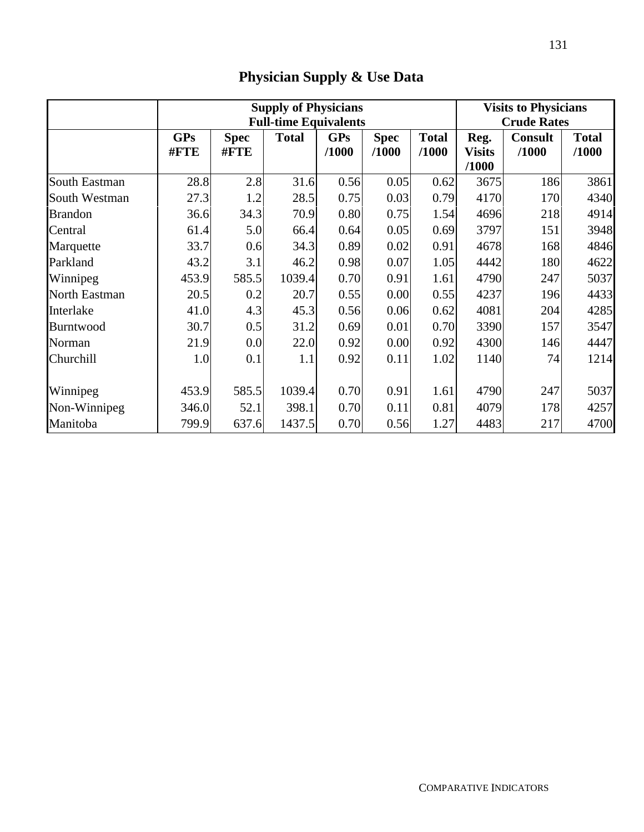|               | <b>Supply of Physicians</b><br><b>Full-time Equivalents</b> |                     |              |                     |                      |                       | <b>Visits to Physicians</b><br><b>Crude Rates</b> |                         |                       |
|---------------|-------------------------------------------------------------|---------------------|--------------|---------------------|----------------------|-----------------------|---------------------------------------------------|-------------------------|-----------------------|
|               | <b>GPs</b><br>#FTE                                          | <b>Spec</b><br>#FTE | <b>Total</b> | <b>GPs</b><br>/1000 | <b>Spec</b><br>/1000 | <b>Total</b><br>/1000 | Reg.<br><b>Visits</b><br>/1000                    | <b>Consult</b><br>/1000 | <b>Total</b><br>/1000 |
| South Eastman | 28.8                                                        | 2.8                 | 31.6         | 0.56                | 0.05                 | 0.62                  | 3675                                              | 186                     | 3861                  |
| South Westman | 27.3                                                        | 1.2                 | 28.5         | 0.75                | 0.03                 | 0.79                  | 4170                                              | 170                     | 4340                  |
| Brandon       | 36.6                                                        | 34.3                | 70.9         | 0.80                | 0.75                 | 1.54                  | 4696                                              | 218                     | 4914                  |
| Central       | 61.4                                                        | 5.0                 | 66.4         | 0.64                | 0.05                 | 0.69                  | 3797                                              | 151                     | 3948                  |
| Marquette     | 33.7                                                        | 0.6                 | 34.3         | 0.89                | 0.02                 | 0.91                  | 4678                                              | 168                     | 4846                  |
| Parkland      | 43.2                                                        | 3.1                 | 46.2         | 0.98                | 0.07                 | 1.05                  | 4442                                              | 180                     | 4622                  |
| Winnipeg      | 453.9                                                       | 585.5               | 1039.4       | 0.70                | 0.91                 | 1.61                  | 4790                                              | 247                     | 5037                  |
| North Eastman | 20.5                                                        | 0.2                 | 20.7         | 0.55                | 0.00                 | 0.55                  | 4237                                              | 196                     | 4433                  |
| Interlake     | 41.0                                                        | 4.3                 | 45.3         | 0.56                | 0.06                 | 0.62                  | 4081                                              | 204                     | 4285                  |
| Burntwood     | 30.7                                                        | 0.5                 | 31.2         | 0.69                | 0.01                 | 0.70                  | 3390                                              | 157                     | 3547                  |
| Norman        | 21.9                                                        | 0.0                 | 22.0         | 0.92                | 0.00                 | 0.92                  | 4300                                              | 146                     | 4447                  |
| Churchill     | 1.0                                                         | 0.1                 | 1.1          | 0.92                | 0.11                 | 1.02                  | 1140                                              | 74                      | 1214                  |
| Winnipeg      | 453.9                                                       | 585.5               | 1039.4       | 0.70                | 0.91                 | 1.61                  | 4790                                              | 247                     | 5037                  |
| Non-Winnipeg  | 346.0                                                       | 52.1                | 398.1        | 0.70                | 0.11                 | 0.81                  | 4079                                              | 178                     | 4257                  |
| Manitoba      | 799.9                                                       | 637.6               | 1437.5       | 0.70                | 0.56                 | 1.27                  | 4483                                              | 217                     | 4700                  |

# **Physician Supply & Use Data**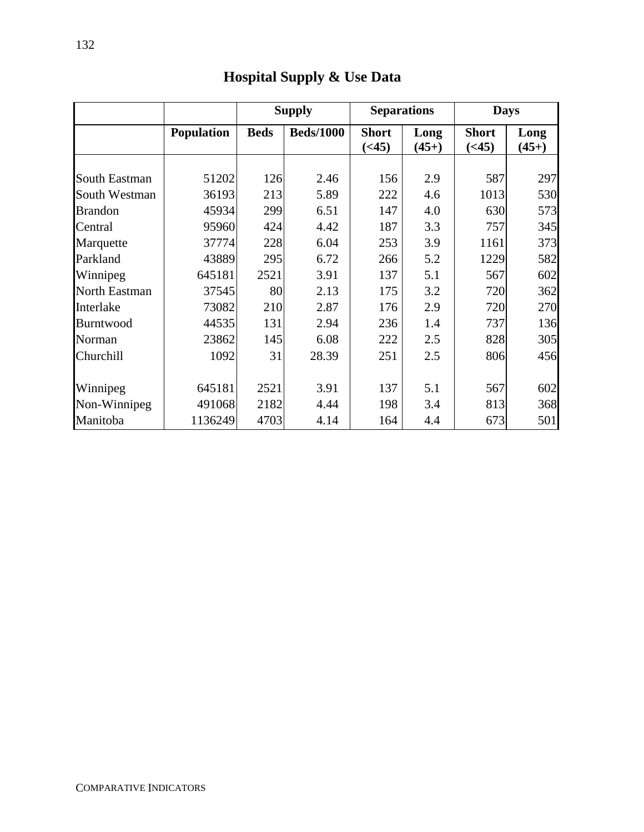|                |                   |             | <b>Supply</b>    |                               | <b>Separations</b> | <b>Days</b>                   |                 |
|----------------|-------------------|-------------|------------------|-------------------------------|--------------------|-------------------------------|-----------------|
|                | <b>Population</b> | <b>Beds</b> | <b>Beds/1000</b> | <b>Short</b><br>( <b>45</b> ) | Long<br>$(45+)$    | <b>Short</b><br>( <b>45</b> ) | Long<br>$(45+)$ |
| South Eastman  | 51202             | 126         | 2.46             | 156                           | 2.9                | 587                           | 297             |
| South Westman  | 36193             | 213         | 5.89             | 222                           | 4.6                | 1013                          | 530             |
| <b>Brandon</b> | 45934             | 299         | 6.51             | 147                           | 4.0                | 630                           | 573             |
| Central        | 95960             | 424         | 4.42             | 187                           | 3.3                | 757                           | 345             |
| Marquette      | 37774             | 228         | 6.04             | 253                           | 3.9                | 1161                          | 373             |
| Parkland       | 43889             | 295         | 6.72             | 266                           | 5.2                | 1229                          | 582             |
| Winnipeg       | 645181            | 2521        | 3.91             | 137                           | 5.1                | 567                           | 602             |
| North Eastman  | 37545             | 80          | 2.13             | 175                           | 3.2                | 720                           | 362             |
| Interlake      | 73082             | 210         | 2.87             | 176                           | 2.9                | 720                           | 270             |
| Burntwood      | 44535             | 131         | 2.94             | 236                           | 1.4                | 737                           | 136             |
| Norman         | 23862             | 145         | 6.08             | 222                           | 2.5                | 828                           | 305             |
| Churchill      | 1092              | 31          | 28.39            | 251                           | 2.5                | 806                           | 456             |
| Winnipeg       | 645181            | 2521        | 3.91             | 137                           | 5.1                | 567                           | 602             |
| Non-Winnipeg   | 491068            | 2182        | 4.44             | 198                           | 3.4                | 813                           | 368             |
| Manitoba       | 1136249           | 4703        | 4.14             | 164                           | 4.4                | 673                           | 501             |

# **Hospital Supply & Use Data**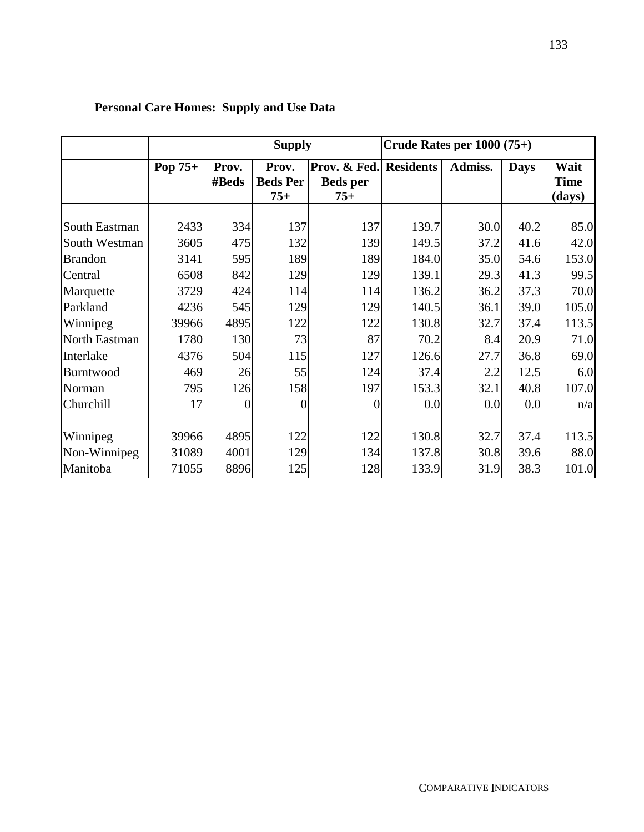|                |         | <b>Supply</b>  |                                   |                                                    | Crude Rates per $1000(75+)$ |         |             |                               |
|----------------|---------|----------------|-----------------------------------|----------------------------------------------------|-----------------------------|---------|-------------|-------------------------------|
|                | Pop 75+ | Prov.<br>#Beds | Prov.<br><b>Beds Per</b><br>$75+$ | Prov. & Fed. Residents<br><b>Beds</b> per<br>$75+$ |                             | Admiss. | <b>Days</b> | Wait<br><b>Time</b><br>(days) |
| South Eastman  | 2433    | 334            | 137                               | 137                                                | 139.7                       | 30.0    | 40.2        | 85.0                          |
| South Westman  | 3605    | 475            | 132                               | 139                                                | 149.5                       | 37.2    | 41.6        | 42.0                          |
| <b>Brandon</b> | 3141    | 595            | 189                               | 189                                                | 184.0                       | 35.0    | 54.6        | 153.0                         |
| Central        | 6508    | 842            | 129                               | 129                                                | 139.1                       | 29.3    | 41.3        | 99.5                          |
| Marquette      | 3729    | 424            | 114                               | 114                                                | 136.2                       | 36.2    | 37.3        | 70.0                          |
| Parkland       | 4236    | 545            | 129                               | 129                                                | 140.5                       | 36.1    | 39.0        | 105.0                         |
| Winnipeg       | 39966   | 4895           | 122                               | 122                                                | 130.8                       | 32.7    | 37.4        | 113.5                         |
| North Eastman  | 1780    | 130            | 73                                | 87                                                 | 70.2                        | 8.4     | 20.9        | 71.0                          |
| Interlake      | 4376    | 504            | 115                               | 127                                                | 126.6                       | 27.7    | 36.8        | 69.0                          |
| Burntwood      | 469     | 26             | 55                                | 124                                                | 37.4                        | 2.2     | 12.5        | 6.0                           |
| Norman         | 795     | 126            | 158                               | 197                                                | 153.3                       | 32.1    | 40.8        | 107.0                         |
| Churchill      | 17      | $\overline{0}$ | $\overline{0}$                    | $\overline{0}$                                     | 0.0                         | 0.0     | 0.0         | n/a                           |
|                |         |                |                                   |                                                    |                             |         |             |                               |
| Winnipeg       | 39966   | 4895           | 122                               | 122                                                | 130.8                       | 32.7    | 37.4        | 113.5                         |
| Non-Winnipeg   | 31089   | 4001           | 129                               | 134                                                | 137.8                       | 30.8    | 39.6        | 88.0                          |
| Manitoba       | 71055   | 8896           | 125                               | 128                                                | 133.9                       | 31.9    | 38.3        | 101.0                         |

# **Personal Care Homes: Supply and Use Data**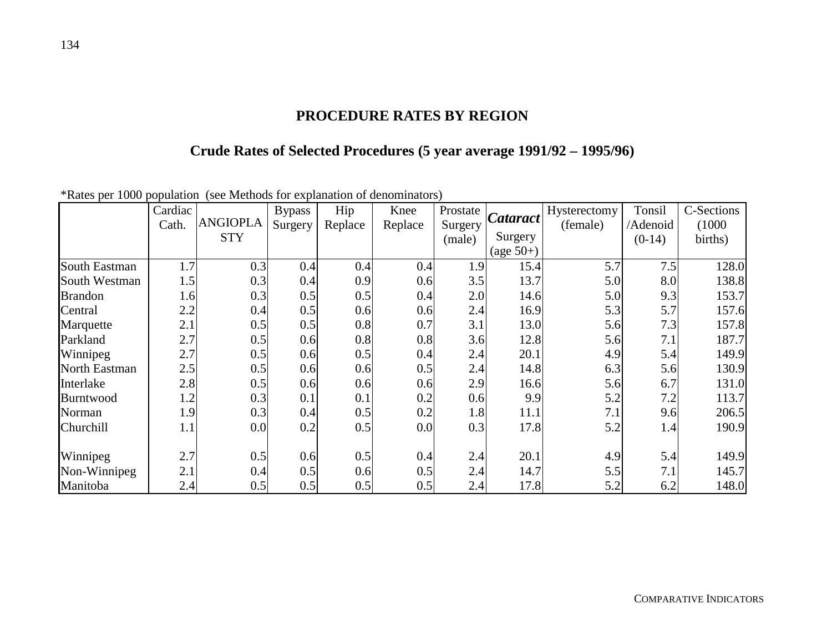## **PROCEDURE RATES BY REGION**

# **Crude Rates of Selected Procedures (5 year average 1991/92 – 1995/96)**

| .              | Cardiac |                 | <b>Bypass</b> | Hip     | Knee    | Prostate | Cataract    | Hysterectomy | Tonsil   | C-Sections |
|----------------|---------|-----------------|---------------|---------|---------|----------|-------------|--------------|----------|------------|
|                | Cath.   | <b>ANGIOPLA</b> | Surgery       | Replace | Replace | Surgery  |             | (female)     | /Adenoid | (1000)     |
|                |         | <b>STY</b>      |               |         |         | (male)   | Surgery     |              | $(0-14)$ | births)    |
|                |         |                 |               |         |         |          | $(age 50+)$ |              |          |            |
| South Eastman  | 1.7     | 0.3             | 0.4           | 0.4     | 0.4     | 1.9      | 15.4        | 5.7          | 7.5      | 128.0      |
| South Westman  | 1.5     | 0.3             | 0.4           | 0.9     | 0.6     | 3.5      | 13.7        | 5.0          | 8.0      | 138.8      |
| <b>Brandon</b> | 1.6     | 0.3             | 0.5           | 0.5     | 0.4     | 2.0      | 14.6        | 5.0          | 9.3      | 153.7      |
| Central        | 2.2     | 0.4             | 0.5           | 0.6     | 0.6     | 2.4      | 16.9        | 5.3          | 5.7      | 157.6      |
| Marquette      | 2.1     | 0.5             | 0.5           | 0.8     | 0.7     | 3.1      | 13.0        | 5.6          | 7.3      | 157.8      |
| Parkland       | 2.7     | 0.5             | 0.6           | 0.8     | 0.8     | 3.6      | 12.8        | 5.6          | 7.1      | 187.7      |
| Winnipeg       | 2.7     | 0.5             | 0.6           | 0.5     | 0.4     | 2.4      | 20.1        | 4.9          | 5.4      | 149.9      |
| North Eastman  | 2.5     | 0.5             | 0.6           | 0.6     | 0.5     | 2.4      | 14.8        | 6.3          | 5.6      | 130.9      |
| Interlake      | 2.8     | 0.5             | 0.6           | 0.6     | 0.6     | 2.9      | 16.6        | 5.6          | 6.7      | 131.0      |
| Burntwood      | 1.2     | 0.3             | 0.1           | 0.1     | 0.2     | 0.6      | 9.9         | 5.2          | 7.2      | 113.7      |
| Norman         | 1.9     | 0.3             | 0.4           | 0.5     | 0.2     | 1.8      | 11.1        | 7.1          | 9.6      | 206.5      |
| Churchill      | 1.1     | 0.0             | 0.2           | 0.5     | 0.0     | 0.3      | 17.8        | 5.2          | 1.4      | 190.9      |
|                |         |                 |               |         |         |          |             |              |          |            |
| Winnipeg       | 2.7     | 0.5             | 0.6           | 0.5     | 0.4     | 2.4      | 20.1        | 4.9          | 5.4      | 149.9      |
| Non-Winnipeg   | 2.1     | 0.4             | 0.5           | 0.6     | 0.5     | 2.4      | 14.7        | 5.5          | 7.1      | 145.7      |
| Manitoba       | 2.4     | 0.5             | 0.5           | 0.5     | 0.5     | 2.4      | 17.8        | 5.2          | 6.2      | 148.0      |

\*Rates per 1000 population (see Methods for explanation of denominators)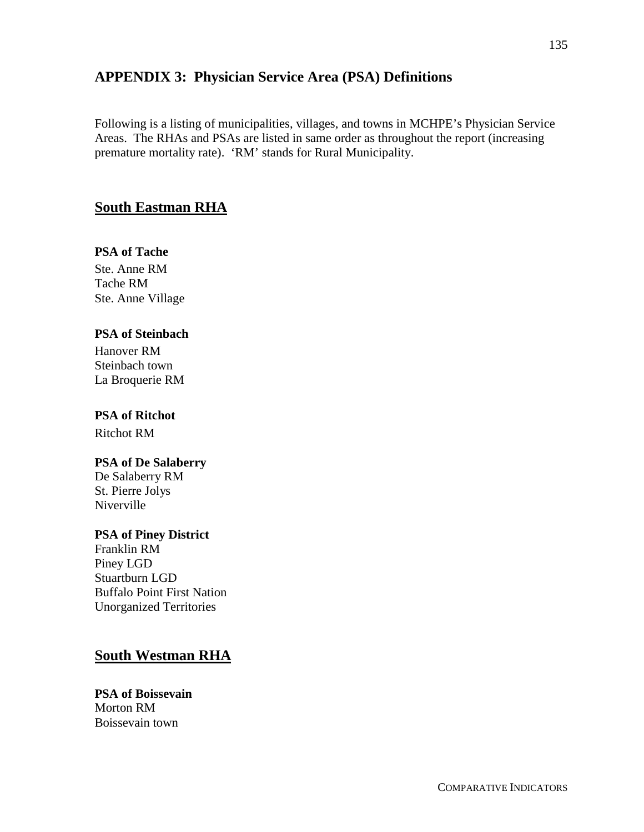## **APPENDIX 3: Physician Service Area (PSA) Definitions**

Following is a listing of municipalities, villages, and towns in MCHPE's Physician Service Areas. The RHAs and PSAs are listed in same order as throughout the report (increasing premature mortality rate). 'RM' stands for Rural Municipality.

## **South Eastman RHA**

## **PSA of Tache**

Ste. Anne RM Tache RM Ste. Anne Village

## **PSA of Steinbach**

Hanover RM Steinbach town La Broquerie RM

## **PSA of Ritchot**

Ritchot RM

## **PSA of De Salaberry**

De Salaberry RM St. Pierre Jolys Niverville

## **PSA of Piney District**

Franklin RM Piney LGD Stuartburn LGD Buffalo Point First Nation Unorganized Territories

# **South Westman RHA**

**PSA of Boissevain** Morton RM Boissevain town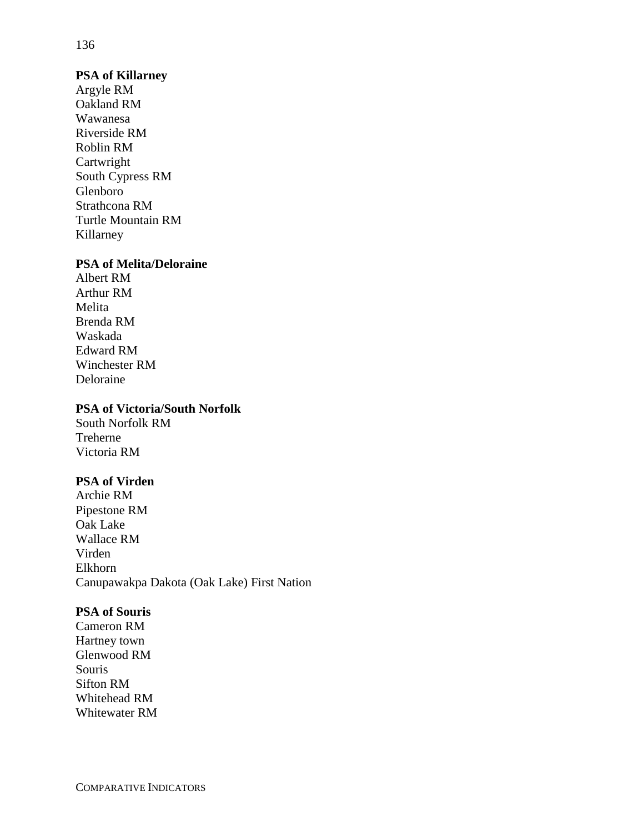#### **PSA of Killarney**

Argyle RM Oakland RM Wawanesa Riverside RM Roblin RM Cartwright South Cypress RM Glenboro Strathcona RM Turtle Mountain RM Killarney

#### **PSA of Melita/Deloraine**

Albert RM Arthur RM Melita Brenda RM Waskada Edward RM Winchester RM Deloraine

#### **PSA of Victoria/South Norfolk**

South Norfolk RM Treherne Victoria RM

## **PSA of Virden**

Archie RM Pipestone RM Oak Lake Wallace RM Virden Elkhorn Canupawakpa Dakota (Oak Lake) First Nation

#### **PSA of Souris**

Cameron RM Hartney town Glenwood RM Souris Sifton RM Whitehead RM Whitewater RM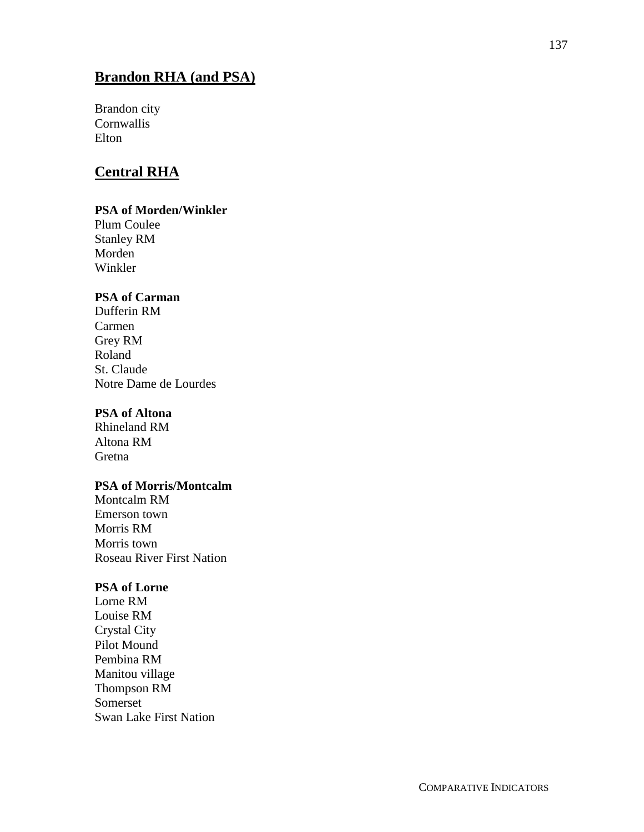# **Brandon RHA (and PSA)**

Brandon city **Cornwallis** Elton

## **Central RHA**

## **PSA of Morden/Winkler**

Plum Coulee Stanley RM Morden Winkler

## **PSA of Carman**

Dufferin RM Carmen Grey RM Roland St. Claude Notre Dame de Lourdes

## **PSA of Altona**

Rhineland RM Altona RM Gretna

#### **PSA of Morris/Montcalm**

Montcalm RM Emerson town Morris RM Morris town Roseau River First Nation

### **PSA of Lorne**

Lorne RM Louise RM Crystal City Pilot Mound Pembina RM Manitou village Thompson RM Somerset Swan Lake First Nation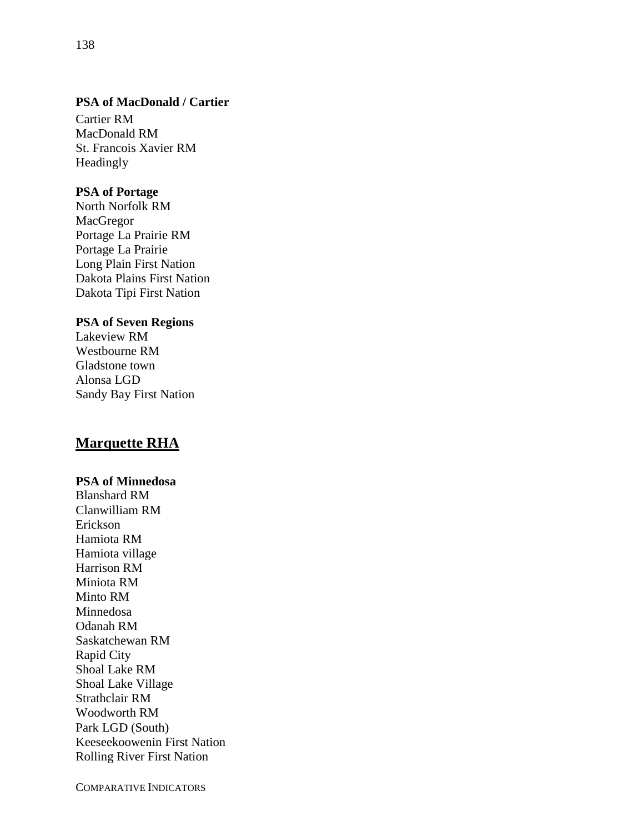## **PSA of MacDonald / Cartier**

Cartier RM MacDonald RM St. Francois Xavier RM Headingly

#### **PSA of Portage**

North Norfolk RM MacGregor Portage La Prairie RM Portage La Prairie Long Plain First Nation Dakota Plains First Nation Dakota Tipi First Nation

#### **PSA of Seven Regions**

Lakeview RM Westbourne RM Gladstone town Alonsa LGD Sandy Bay First Nation

## **Marquette RHA**

### **PSA of Minnedosa**

Blanshard RM Clanwilliam RM Erickson Hamiota RM Hamiota village Harrison RM Miniota RM Minto RM Minnedosa Odanah RM Saskatchewan RM Rapid City Shoal Lake RM Shoal Lake Village Strathclair RM Woodworth RM Park LGD (South) Keeseekoowenin First Nation Rolling River First Nation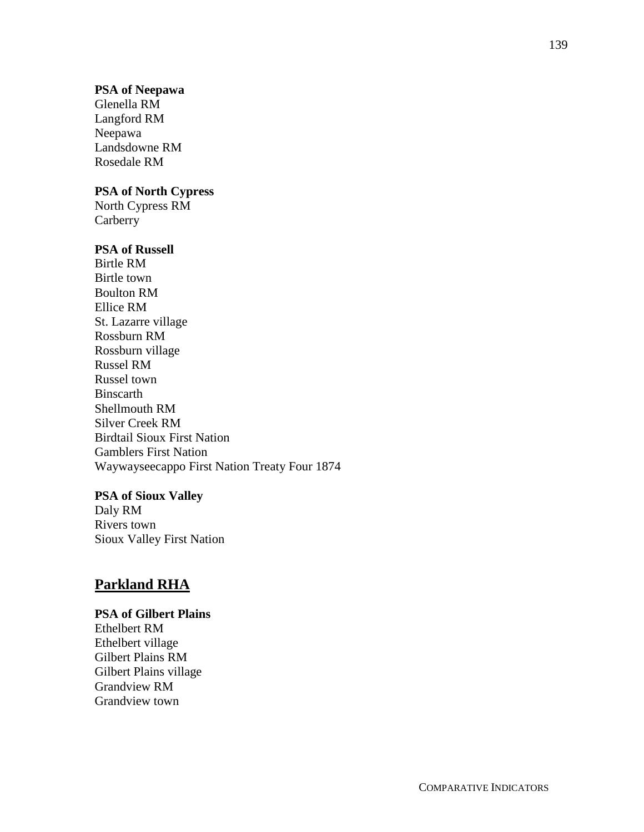#### **PSA of Neepawa**

Glenella RM Langford RM Neepawa Landsdowne RM Rosedale RM

### **PSA of North Cypress**

North Cypress RM **Carberry** 

### **PSA of Russell**

Birtle RM Birtle town Boulton RM Ellice RM St. Lazarre village Rossburn RM Rossburn village Russel RM Russel town Binscarth Shellmouth RM Silver Creek RM Birdtail Sioux First Nation Gamblers First Nation Waywayseecappo First Nation Treaty Four 1874

#### **PSA of Sioux Valley**

Daly RM Rivers town Sioux Valley First Nation

## **Parkland RHA**

#### **PSA of Gilbert Plains**

Ethelbert RM Ethelbert village Gilbert Plains RM Gilbert Plains village Grandview RM Grandview town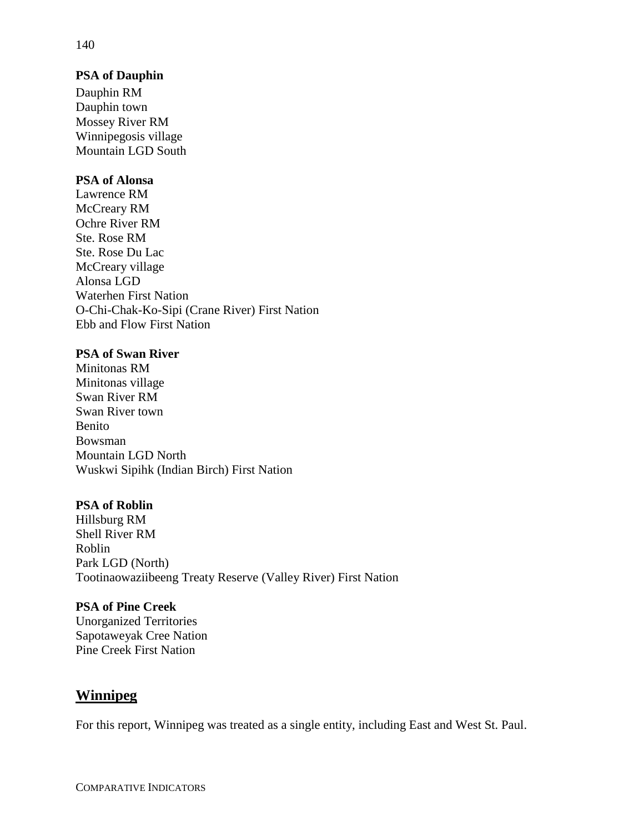### **PSA of Dauphin**

Dauphin RM Dauphin town Mossey River RM Winnipegosis village Mountain LGD South

## **PSA of Alonsa**

Lawrence RM McCreary RM Ochre River RM Ste. Rose RM Ste. Rose Du Lac McCreary village Alonsa LGD Waterhen First Nation O-Chi-Chak-Ko-Sipi (Crane River) First Nation Ebb and Flow First Nation

### **PSA of Swan River**

Minitonas RM Minitonas village Swan River RM Swan River town Benito Bowsman Mountain LGD North Wuskwi Sipihk (Indian Birch) First Nation

#### **PSA of Roblin**

Hillsburg RM Shell River RM Roblin Park LGD (North) Tootinaowaziibeeng Treaty Reserve (Valley River) First Nation

#### **PSA of Pine Creek**

Unorganized Territories Sapotaweyak Cree Nation Pine Creek First Nation

## **Winnipeg**

For this report, Winnipeg was treated as a single entity, including East and West St. Paul.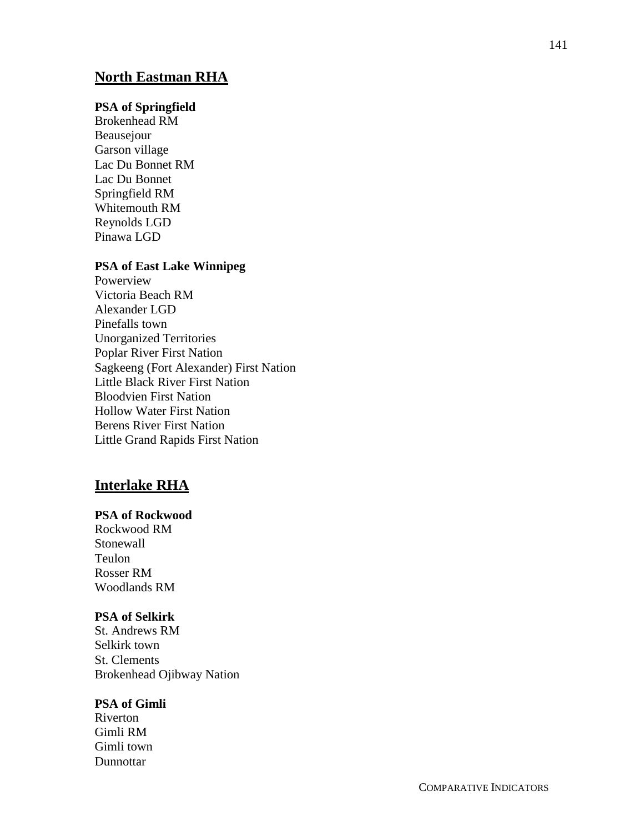## **North Eastman RHA**

### **PSA of Springfield**

Brokenhead RM Beausejour Garson village Lac Du Bonnet RM Lac Du Bonnet Springfield RM Whitemouth RM Reynolds LGD Pinawa LGD

#### **PSA of East Lake Winnipeg**

Powerview Victoria Beach RM Alexander LGD Pinefalls town Unorganized Territories Poplar River First Nation Sagkeeng (Fort Alexander) First Nation Little Black River First Nation Bloodvien First Nation Hollow Water First Nation Berens River First Nation Little Grand Rapids First Nation

## **Interlake RHA**

#### **PSA of Rockwood**

Rockwood RM Stonewall Teulon Rosser RM Woodlands RM

### **PSA of Selkirk**

St. Andrews RM Selkirk town St. Clements Brokenhead Ojibway Nation

#### **PSA of Gimli**

Riverton Gimli RM Gimli town Dunnottar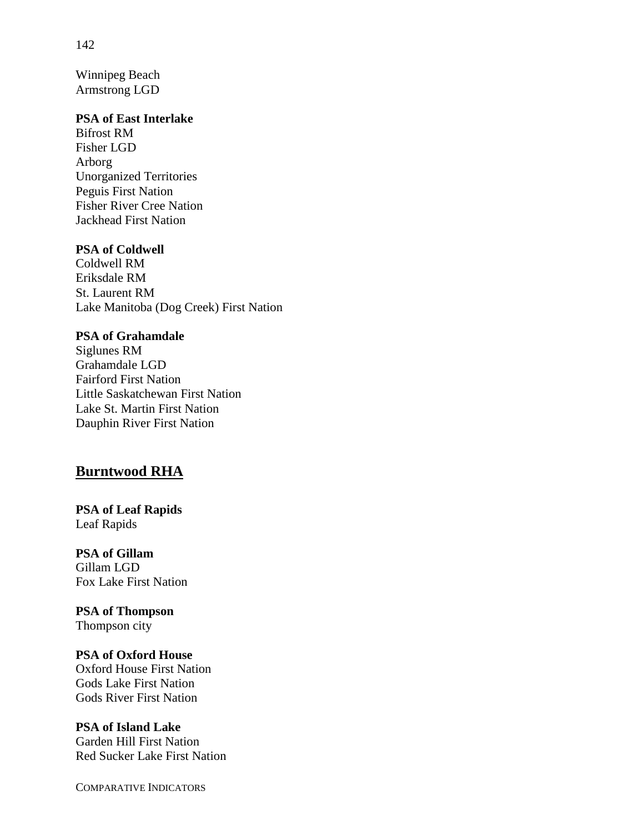Winnipeg Beach Armstrong LGD

#### **PSA of East Interlake**

Bifrost RM Fisher LGD Arborg Unorganized Territories Peguis First Nation Fisher River Cree Nation Jackhead First Nation

### **PSA of Coldwell**

Coldwell RM Eriksdale RM St. Laurent RM Lake Manitoba (Dog Creek) First Nation

### **PSA of Grahamdale**

Siglunes RM Grahamdale LGD Fairford First Nation Little Saskatchewan First Nation Lake St. Martin First Nation Dauphin River First Nation

# **Burntwood RHA**

**PSA of Leaf Rapids** Leaf Rapids

**PSA of Gillam** Gillam LGD Fox Lake First Nation

**PSA of Thompson** Thompson city

#### **PSA of Oxford House**

Oxford House First Nation Gods Lake First Nation Gods River First Nation

#### **PSA of Island Lake**

Garden Hill First Nation Red Sucker Lake First Nation

COMPARATIVE INDICATORS